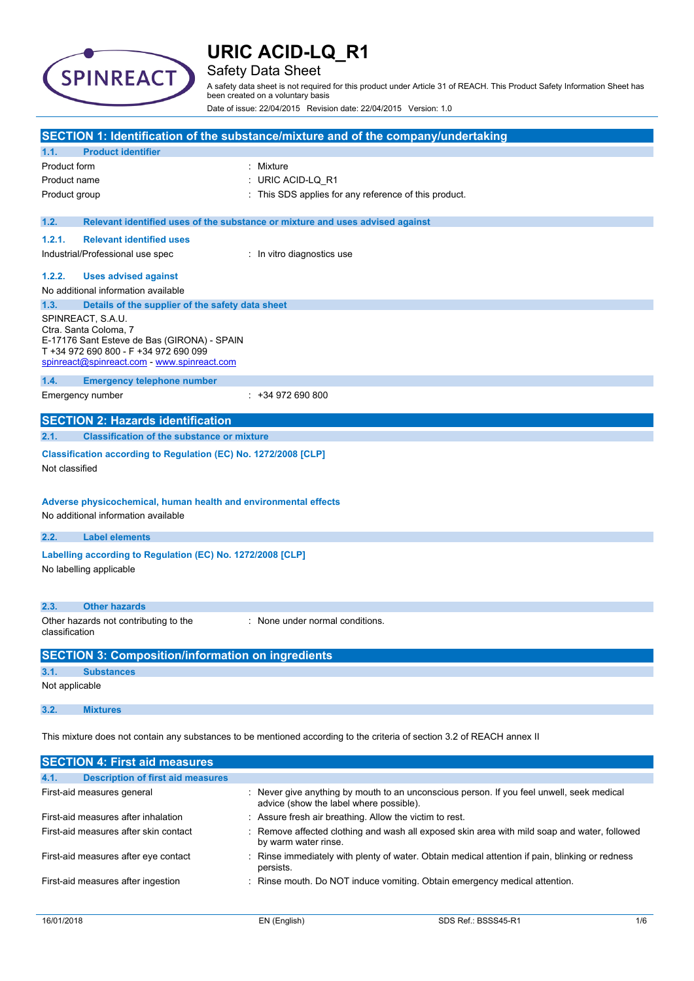

### Safety Data Sheet

A safety data sheet is not required for this product under Article 31 of REACH. This Product Safety Information Sheet has been created on a voluntary basis

Date of issue: 22/04/2015 Revision date: 22/04/2015 Version: 1.0

|                |                                                                                                                                                                                   | SECTION 1: Identification of the substance/mixture and of the company/undertaking                                       |
|----------------|-----------------------------------------------------------------------------------------------------------------------------------------------------------------------------------|-------------------------------------------------------------------------------------------------------------------------|
| 1.1.           | <b>Product identifier</b>                                                                                                                                                         |                                                                                                                         |
| Product form   |                                                                                                                                                                                   | Mixture                                                                                                                 |
| Product name   |                                                                                                                                                                                   | URIC ACID-LQ_R1                                                                                                         |
| Product group  |                                                                                                                                                                                   | This SDS applies for any reference of this product.                                                                     |
|                |                                                                                                                                                                                   |                                                                                                                         |
| 1.2.           |                                                                                                                                                                                   | Relevant identified uses of the substance or mixture and uses advised against                                           |
| 1.2.1.         | <b>Relevant identified uses</b>                                                                                                                                                   |                                                                                                                         |
|                | Industrial/Professional use spec                                                                                                                                                  | : In vitro diagnostics use                                                                                              |
| 1.2.2.         | <b>Uses advised against</b>                                                                                                                                                       |                                                                                                                         |
|                | No additional information available                                                                                                                                               |                                                                                                                         |
| 1.3.           | Details of the supplier of the safety data sheet                                                                                                                                  |                                                                                                                         |
|                | SPINREACT, S.A.U.<br>Ctra. Santa Coloma, 7<br>E-17176 Sant Esteve de Bas (GIRONA) - SPAIN<br>T +34 972 690 800 - F +34 972 690 099<br>spinreact@spinreact.com - www.spinreact.com |                                                                                                                         |
| 1.4.           | <b>Emergency telephone number</b>                                                                                                                                                 |                                                                                                                         |
|                | Emergency number                                                                                                                                                                  | $: +34972690800$                                                                                                        |
|                |                                                                                                                                                                                   |                                                                                                                         |
|                | <b>SECTION 2: Hazards identification</b>                                                                                                                                          |                                                                                                                         |
| 2.1.           | <b>Classification of the substance or mixture</b>                                                                                                                                 |                                                                                                                         |
| Not classified | Classification according to Regulation (EC) No. 1272/2008 [CLP]<br>Adverse physicochemical, human health and environmental effects<br>No additional information available         |                                                                                                                         |
| 2.2.           | <b>Label elements</b>                                                                                                                                                             |                                                                                                                         |
|                | Labelling according to Regulation (EC) No. 1272/2008 [CLP]                                                                                                                        |                                                                                                                         |
|                | No labelling applicable                                                                                                                                                           |                                                                                                                         |
| 2.3.           | <b>Other hazards</b>                                                                                                                                                              |                                                                                                                         |
| classification | Other hazards not contributing to the                                                                                                                                             | None under normal conditions.                                                                                           |
|                | <b>SECTION 3: Composition/information on ingredients</b>                                                                                                                          |                                                                                                                         |
| 3.1.           | <b>Substances</b>                                                                                                                                                                 |                                                                                                                         |
| Not applicable |                                                                                                                                                                                   |                                                                                                                         |
| 3.2.           | <b>Mixtures</b>                                                                                                                                                                   |                                                                                                                         |
|                |                                                                                                                                                                                   | This mixture does not contain any substances to be mentioned according to the criteria of section 3.2 of REACH annex II |
|                | <b>SECTION 4: First aid measures</b>                                                                                                                                              |                                                                                                                         |

| <b>Description of first aid measures</b><br>4.1. |                                                                                                                                      |
|--------------------------------------------------|--------------------------------------------------------------------------------------------------------------------------------------|
| First-aid measures general                       | : Never give anything by mouth to an unconscious person. If you feel unwell, seek medical<br>advice (show the label where possible). |
| First-aid measures after inhalation              | : Assure fresh air breathing. Allow the victim to rest.                                                                              |
| First-aid measures after skin contact            | : Remove affected clothing and wash all exposed skin area with mild soap and water, followed<br>by warm water rinse.                 |
| First-aid measures after eye contact             | : Rinse immediately with plenty of water. Obtain medical attention if pain, blinking or redness<br>persists.                         |
| First-aid measures after ingestion               | : Rinse mouth. Do NOT induce vomiting. Obtain emergency medical attention.                                                           |
|                                                  |                                                                                                                                      |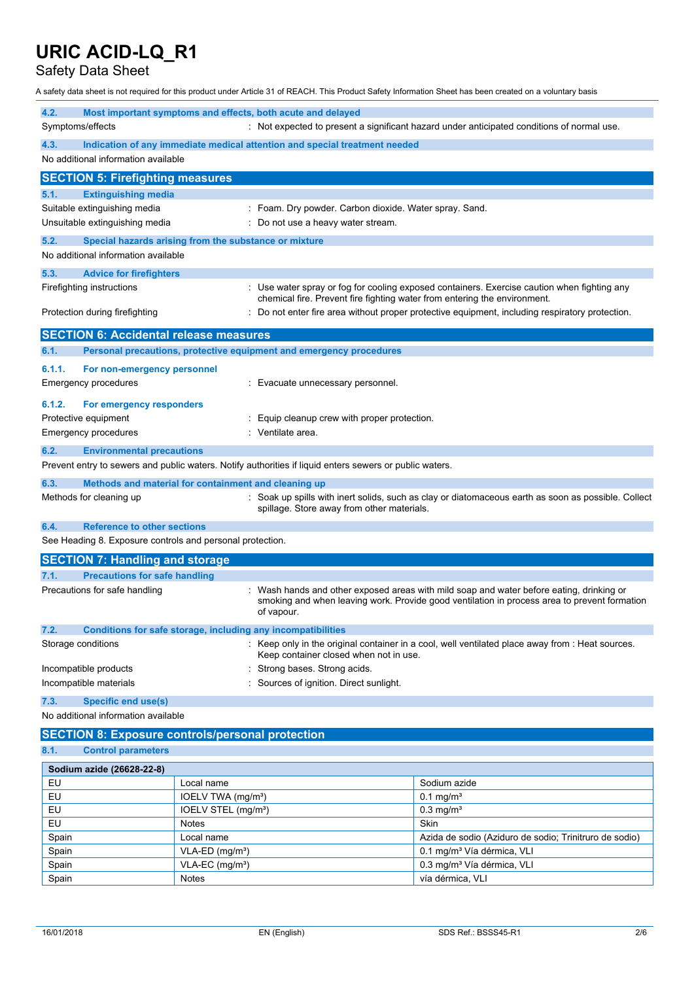### Safety Data Sheet

A safety data sheet is not required for this product under Article 31 of REACH. This Product Safety Information Sheet has been created on a voluntary basis

| 4.2.                                                      | Most important symptoms and effects, both acute and delayed                                             |                                                                                                   |  |  |
|-----------------------------------------------------------|---------------------------------------------------------------------------------------------------------|---------------------------------------------------------------------------------------------------|--|--|
| Symptoms/effects                                          |                                                                                                         | : Not expected to present a significant hazard under anticipated conditions of normal use.        |  |  |
| 4.3.                                                      | Indication of any immediate medical attention and special treatment needed                              |                                                                                                   |  |  |
| No additional information available                       |                                                                                                         |                                                                                                   |  |  |
| <b>SECTION 5: Firefighting measures</b>                   |                                                                                                         |                                                                                                   |  |  |
| <b>Extinguishing media</b><br>5.1.                        |                                                                                                         |                                                                                                   |  |  |
| Suitable extinguishing media                              |                                                                                                         | : Foam. Dry powder. Carbon dioxide. Water spray. Sand.                                            |  |  |
| Unsuitable extinguishing media                            |                                                                                                         | Do not use a heavy water stream.                                                                  |  |  |
| 5.2.                                                      | Special hazards arising from the substance or mixture                                                   |                                                                                                   |  |  |
| No additional information available                       |                                                                                                         |                                                                                                   |  |  |
| 5.3.<br><b>Advice for firefighters</b>                    |                                                                                                         |                                                                                                   |  |  |
| Firefighting instructions                                 |                                                                                                         | : Use water spray or fog for cooling exposed containers. Exercise caution when fighting any       |  |  |
|                                                           |                                                                                                         | chemical fire. Prevent fire fighting water from entering the environment.                         |  |  |
| Protection during firefighting                            |                                                                                                         | Do not enter fire area without proper protective equipment, including respiratory protection.     |  |  |
| <b>SECTION 6: Accidental release measures</b>             |                                                                                                         |                                                                                                   |  |  |
| 6.1.                                                      | Personal precautions, protective equipment and emergency procedures                                     |                                                                                                   |  |  |
| 6.1.1.<br>For non-emergency personnel                     |                                                                                                         |                                                                                                   |  |  |
| <b>Emergency procedures</b>                               | : Evacuate unnecessary personnel.                                                                       |                                                                                                   |  |  |
| 6.1.2.<br>For emergency responders                        |                                                                                                         |                                                                                                   |  |  |
| Protective equipment                                      | Equip cleanup crew with proper protection.                                                              |                                                                                                   |  |  |
| <b>Emergency procedures</b>                               | Ventilate area.                                                                                         |                                                                                                   |  |  |
| 6.2.<br><b>Environmental precautions</b>                  |                                                                                                         |                                                                                                   |  |  |
|                                                           | Prevent entry to sewers and public waters. Notify authorities if liquid enters sewers or public waters. |                                                                                                   |  |  |
| 6.3.                                                      | Methods and material for containment and cleaning up                                                    |                                                                                                   |  |  |
| Methods for cleaning up                                   |                                                                                                         | Soak up spills with inert solids, such as clay or diatomaceous earth as soon as possible. Collect |  |  |
|                                                           | spillage. Store away from other materials.                                                              |                                                                                                   |  |  |
| <b>Reference to other sections</b><br>6.4.                |                                                                                                         |                                                                                                   |  |  |
| See Heading 8. Exposure controls and personal protection. |                                                                                                         |                                                                                                   |  |  |
| <b>SECTION 7: Handling and storage</b>                    |                                                                                                         |                                                                                                   |  |  |
| <b>Precautions for safe handling</b><br>7.1.              |                                                                                                         |                                                                                                   |  |  |
| Precautions for safe handling                             |                                                                                                         | Wash hands and other exposed areas with mild soap and water before eating, drinking or            |  |  |
|                                                           | of vapour.                                                                                              | smoking and when leaving work. Provide good ventilation in process area to prevent formation      |  |  |
| 7.2.                                                      | Conditions for safe storage, including any incompatibilities                                            |                                                                                                   |  |  |
| Storage conditions                                        | Keep container closed when not in use.                                                                  | : Keep only in the original container in a cool, well ventilated place away from : Heat sources.  |  |  |
| Incompatible products                                     |                                                                                                         | Strong bases. Strong acids.                                                                       |  |  |
| Incompatible materials                                    |                                                                                                         | Sources of ignition. Direct sunlight.                                                             |  |  |
| 7.3.<br><b>Specific end use(s)</b>                        |                                                                                                         |                                                                                                   |  |  |
| No additional information available                       |                                                                                                         |                                                                                                   |  |  |
|                                                           | <b>SECTION 8: Exposure controls/personal protection</b>                                                 |                                                                                                   |  |  |
| 8.1.<br><b>Control parameters</b>                         |                                                                                                         |                                                                                                   |  |  |
| Sodium azide (26628-22-8)                                 |                                                                                                         |                                                                                                   |  |  |
| EU                                                        | Local name                                                                                              | Sodium azide                                                                                      |  |  |
| EU                                                        | IOELV TWA (mg/m <sup>3</sup> )                                                                          | $0.1$ mg/m <sup>3</sup>                                                                           |  |  |
| EU                                                        | IOELV STEL (mg/m <sup>3</sup> )                                                                         | $0.3$ mg/m <sup>3</sup>                                                                           |  |  |
| EU                                                        | <b>Notes</b>                                                                                            | Skin                                                                                              |  |  |
| Spain                                                     | Local name                                                                                              | Azida de sodio (Aziduro de sodio; Trinitruro de sodio)                                            |  |  |
| Spain                                                     | $VLA-ED$ (mg/m <sup>3</sup> )                                                                           | 0.1 mg/m <sup>3</sup> Vía dérmica, VLI                                                            |  |  |

Spain VLA-EC (mg/m<sup>3</sup>) VLA-EC (mg/m<sup>3</sup>) 0.3 mg/m<sup>3</sup> Vía dérmica, VLI

Spain Notes Notes vía dérmica, VLI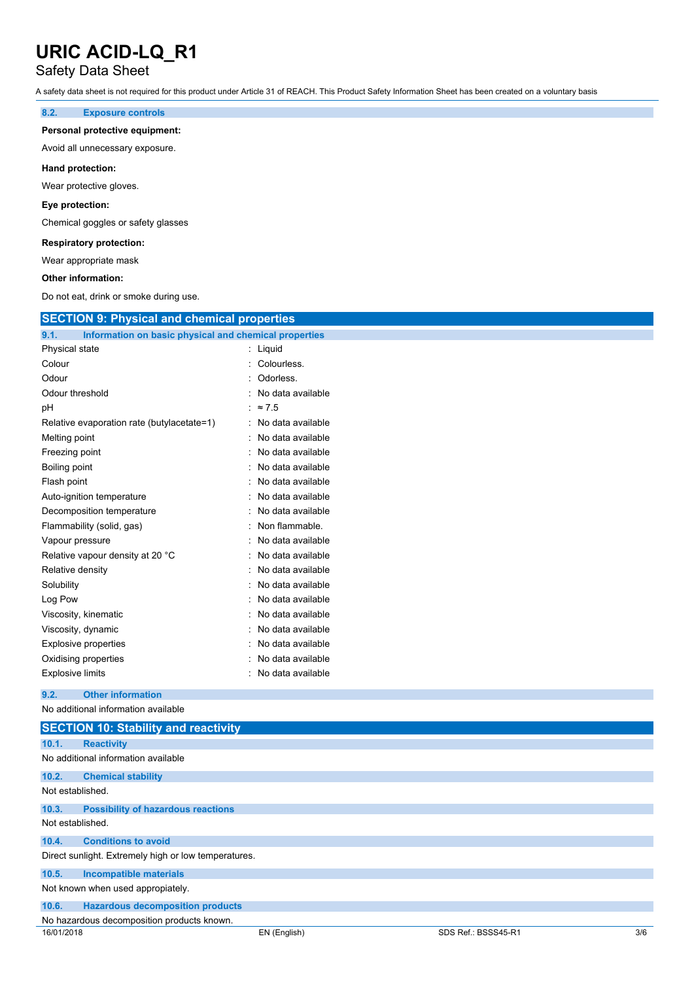### Safety Data Sheet

A safety data sheet is not required for this product under Article 31 of REACH. This Product Safety Information Sheet has been created on a voluntary basis

#### **8.2. Exposure controls**

#### **Personal protective equipment:**

Avoid all unnecessary exposure.

#### **Hand protection:**

Wear protective gloves.

#### **Eye protection:**

Chemical goggles or safety glasses

#### **Respiratory protection:**

Wear appropriate mask

#### **Other information:**

Do not eat, drink or smoke during use.

| <b>SECTION 9: Physical and chemical properties</b>            |                   |  |
|---------------------------------------------------------------|-------------------|--|
| Information on basic physical and chemical properties<br>9.1. |                   |  |
| Physical state                                                | : Liquid          |  |
| Colour                                                        | Colourless.       |  |
| Odour                                                         | Odorless.         |  |
| Odour threshold                                               | No data available |  |
| рH                                                            | : $\approx 7.5$   |  |
| Relative evaporation rate (butylacetate=1)                    | No data available |  |
| Melting point                                                 | No data available |  |
| Freezing point                                                | No data available |  |
| Boiling point                                                 | No data available |  |
| Flash point                                                   | No data available |  |
| Auto-ignition temperature                                     | No data available |  |
| Decomposition temperature                                     | No data available |  |
| Flammability (solid, gas)                                     | Non flammable.    |  |
| Vapour pressure                                               | No data available |  |
| Relative vapour density at 20 °C                              | No data available |  |
| Relative density                                              | No data available |  |
| Solubility                                                    | No data available |  |
| Log Pow                                                       | No data available |  |
| Viscosity, kinematic                                          | No data available |  |
| Viscosity, dynamic                                            | No data available |  |
| <b>Explosive properties</b>                                   | No data available |  |
| Oxidising properties                                          | No data available |  |
| <b>Explosive limits</b>                                       | No data available |  |
| <b>Other information</b><br>9.2.                              |                   |  |
| No additional information available                           |                   |  |
| <b>SECTION 10: Stability and reactivity</b>                   |                   |  |
| 10.1.<br><b>Reactivity</b>                                    |                   |  |
| No additional information available                           |                   |  |
| 10.2.<br><b>Chemical stability</b>                            |                   |  |
| Not established.                                              |                   |  |
| 10.3.<br><b>Possibility of hazardous reactions</b>            |                   |  |

### Not established.

**10.4. Conditions to avoid**

#### Direct sunlight. Extremely high or low temperatures.

**10.5. Incompatible materials**

Not known when used appropiately.

| 10.6. |                                         |  |
|-------|-----------------------------------------|--|
|       | <b>Hazardous decomposition products</b> |  |

No hazardous decomposition products known.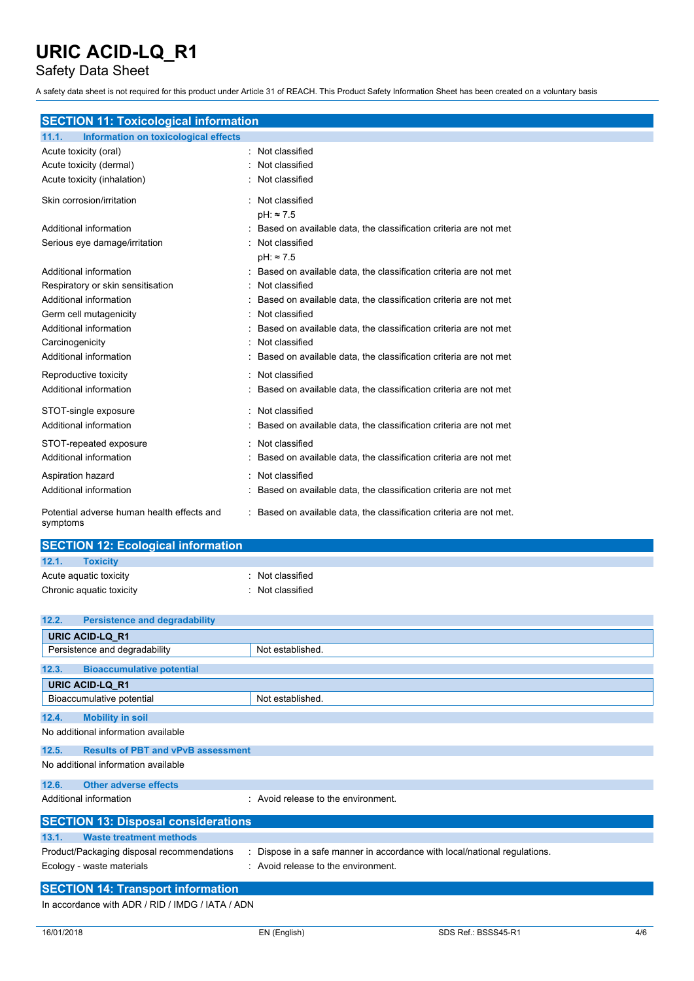Safety Data Sheet

A safety data sheet is not required for this product under Article 31 of REACH. This Product Safety Information Sheet has been created on a voluntary basis

### **SECTION 11: Toxicological information**

| 11.1.<br>Information on toxicological effects          |                                                                    |
|--------------------------------------------------------|--------------------------------------------------------------------|
| Acute toxicity (oral)                                  | : Not classified                                                   |
| Acute toxicity (dermal)                                | Not classified                                                     |
| Acute toxicity (inhalation)                            | Not classified                                                     |
| Skin corrosion/irritation                              | Not classified                                                     |
|                                                        | $pH: \approx 7.5$                                                  |
| Additional information                                 | : Based on available data, the classification criteria are not met |
| Serious eye damage/irritation                          | Not classified                                                     |
|                                                        | $pH: \approx 7.5$                                                  |
| Additional information                                 | : Based on available data, the classification criteria are not met |
| Respiratory or skin sensitisation                      | Not classified                                                     |
| Additional information                                 | Based on available data, the classification criteria are not met   |
| Germ cell mutagenicity                                 | Not classified                                                     |
| Additional information                                 | Based on available data, the classification criteria are not met   |
| Carcinogenicity                                        | Not classified                                                     |
| Additional information                                 | Based on available data, the classification criteria are not met   |
| Reproductive toxicity                                  | : Not classified                                                   |
| Additional information                                 | Based on available data, the classification criteria are not met   |
| STOT-single exposure                                   | : Not classified                                                   |
| Additional information                                 | Based on available data, the classification criteria are not met   |
| STOT-repeated exposure                                 | Not classified                                                     |
| Additional information                                 | Based on available data, the classification criteria are not met   |
| Aspiration hazard                                      | Not classified                                                     |
| Additional information                                 | Based on available data, the classification criteria are not met   |
| Potential adverse human health effects and<br>symptoms | Based on available data, the classification criteria are not met.  |

| <b>SECTION 12: Ecological information</b> |                  |  |
|-------------------------------------------|------------------|--|
| 12.1.<br><b>Toxicity</b>                  |                  |  |
| Acute aquatic toxicity                    | Not classified   |  |
| Chronic aquatic toxicity                  | : Not classified |  |

| 12.2. | <b>Persistence and degradability</b>       |                                                                         |
|-------|--------------------------------------------|-------------------------------------------------------------------------|
|       | <b>URIC ACID-LQ R1</b>                     |                                                                         |
|       | Persistence and degradability              | Not established.                                                        |
| 12.3. | <b>Bioaccumulative potential</b>           |                                                                         |
|       | <b>URIC ACID-LQ R1</b>                     |                                                                         |
|       | Bioaccumulative potential                  | Not established.                                                        |
| 12.4. | <b>Mobility in soil</b>                    |                                                                         |
|       | No additional information available        |                                                                         |
| 12.5. | <b>Results of PBT and vPvB assessment</b>  |                                                                         |
|       | No additional information available        |                                                                         |
| 12.6. | <b>Other adverse effects</b>               |                                                                         |
|       | Additional information                     | $\therefore$ Avoid release to the environment.                          |
|       | <b>SECTION 13: Disposal considerations</b> |                                                                         |
| 13.1. | <b>Waste treatment methods</b>             |                                                                         |
|       | Product/Packaging disposal recommendations | Dispose in a safe manner in accordance with local/national regulations. |
|       | Ecology - waste materials                  | : Avoid release to the environment.                                     |
|       | <b>SECTION 14: Transport information</b>   |                                                                         |

In accordance with ADR / RID / IMDG / IATA / ADN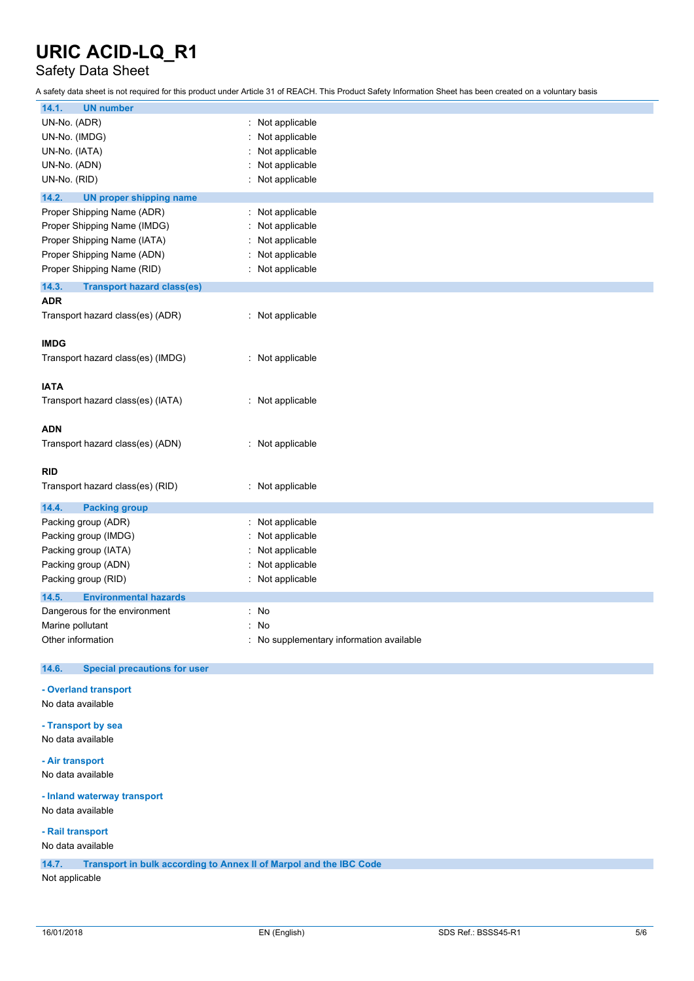### Safety Data Sheet

A safety data sheet is not required for this product under Article 31 of REACH. This Product Safety Information Sheet has been created on a voluntary basis

| 14.1.<br><b>UN number</b>                    |                                          |
|----------------------------------------------|------------------------------------------|
| UN-No. (ADR)                                 | : Not applicable                         |
| UN-No. (IMDG)                                | Not applicable                           |
| UN-No. (IATA)                                | Not applicable                           |
| UN-No. (ADN)                                 | Not applicable                           |
| UN-No. (RID)                                 | Not applicable                           |
| 14.2.                                        |                                          |
| <b>UN proper shipping name</b>               |                                          |
| Proper Shipping Name (ADR)                   | : Not applicable                         |
| Proper Shipping Name (IMDG)                  | Not applicable                           |
| Proper Shipping Name (IATA)                  | Not applicable                           |
| Proper Shipping Name (ADN)                   | Not applicable                           |
| Proper Shipping Name (RID)                   | : Not applicable                         |
|                                              |                                          |
| 14.3.<br><b>Transport hazard class(es)</b>   |                                          |
| <b>ADR</b>                                   |                                          |
| Transport hazard class(es) (ADR)             | : Not applicable                         |
|                                              |                                          |
| <b>IMDG</b>                                  |                                          |
| Transport hazard class(es) (IMDG)            | : Not applicable                         |
|                                              |                                          |
| <b>IATA</b>                                  |                                          |
| Transport hazard class(es) (IATA)            | : Not applicable                         |
|                                              |                                          |
|                                              |                                          |
| <b>ADN</b>                                   |                                          |
| Transport hazard class(es) (ADN)             | : Not applicable                         |
|                                              |                                          |
| <b>RID</b>                                   |                                          |
| Transport hazard class(es) (RID)             | : Not applicable                         |
|                                              |                                          |
| 14.4.<br><b>Packing group</b>                |                                          |
| Packing group (ADR)                          | : Not applicable                         |
| Packing group (IMDG)                         | Not applicable                           |
|                                              |                                          |
| Packing group (IATA)                         | Not applicable                           |
|                                              |                                          |
| Packing group (ADN)                          | Not applicable                           |
| Packing group (RID)                          | : Not applicable                         |
| 14.5.<br><b>Environmental hazards</b>        |                                          |
| Dangerous for the environment                | : No                                     |
| Marine pollutant                             | : No                                     |
| Other information                            | : No supplementary information available |
|                                              |                                          |
| <b>Special precautions for user</b><br>14.6. |                                          |
|                                              |                                          |
| - Overland transport                         |                                          |
| No data available                            |                                          |
|                                              |                                          |
| - Transport by sea                           |                                          |
| No data available                            |                                          |
| - Air transport                              |                                          |
|                                              |                                          |
| No data available                            |                                          |
| - Inland waterway transport                  |                                          |

**- Rail transport**

No data available

**14.7. Transport in bulk according to Annex II of Marpol and the IBC Code**

Not applicable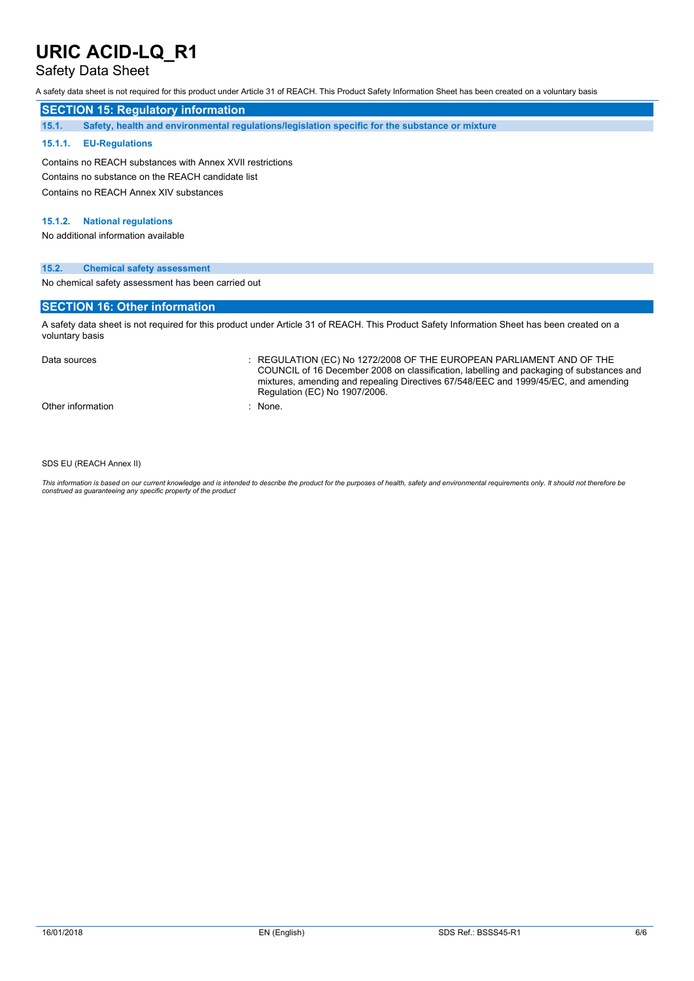### Safety Data Sheet

A safety data sheet is not required for this product under Article 31 of REACH. This Product Safety Information Sheet has been created on a voluntary basis

#### **SECTION 15: Regulatory information**

**15.1. Safety, health and environmental regulations/legislation specific for the substance or mixture**

#### **15.1.1. EU-Regulations**

Contains no REACH substances with Annex XVII restrictions Contains no substance on the REACH candidate list Contains no REACH Annex XIV substances

#### **15.1.2. National regulations**

No additional information available

#### **15.2. Chemical safety assessment**

No chemical safety assessment has been carried out

#### **SECTION 16: Other information**

A safety data sheet is not required for this product under Article 31 of REACH. This Product Safety Information Sheet has been created on a voluntary basis

Data sources **Superint Studies : REGULATION (EC) No 1272/2008 OF THE EUROPEAN PARLIAMENT AND OF THE** COUNCIL of 16 December 2008 on classification, labelling and packaging of substances and mixtures, amending and repealing Directives 67/548/EEC and 1999/45/EC, and amending Regulation (EC) No 1907/2006.

Other information in the set of the set of the set of the set of the set of the set of the set of the set of the set of the set of the set of the set of the set of the set of the set of the set of the set of the set of the

SDS EU (REACH Annex II)

This information is based on our current knowledge and is intended to describe the product for the purposes of health, safety and environmental requirements only. It should not therefore be<br>construed as guaranteeing any sp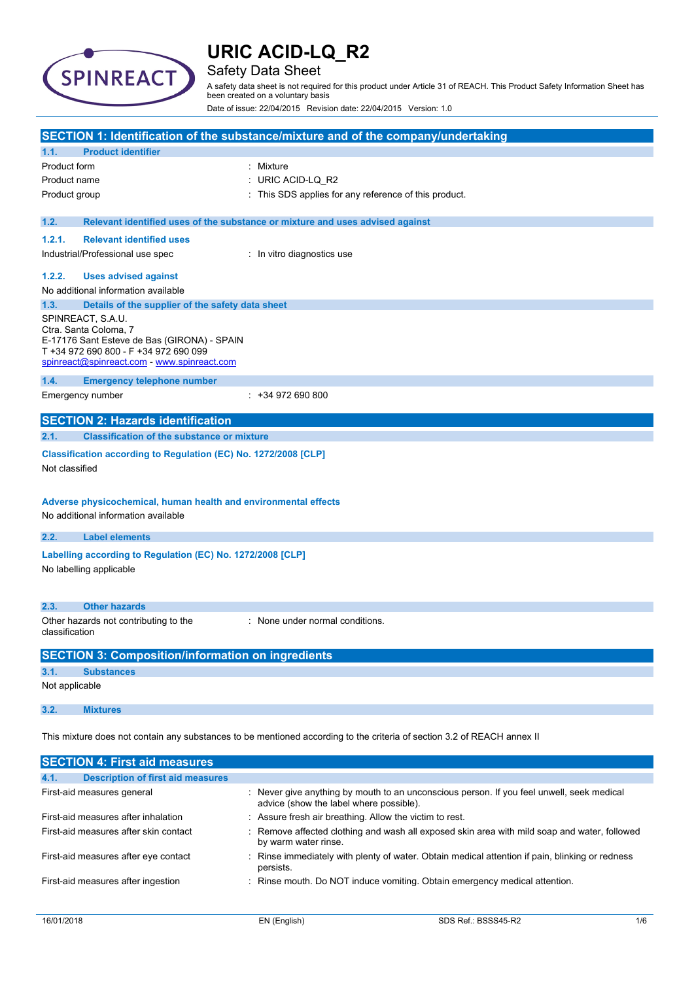

### Safety Data Sheet

A safety data sheet is not required for this product under Article 31 of REACH. This Product Safety Information Sheet has been created on a voluntary basis

Date of issue: 22/04/2015 Revision date: 22/04/2015 Version: 1.0

|                |                                                                                                                                                                                   | SECTION 1: Identification of the substance/mixture and of the company/undertaking                                       |  |
|----------------|-----------------------------------------------------------------------------------------------------------------------------------------------------------------------------------|-------------------------------------------------------------------------------------------------------------------------|--|
| 1.1.           | <b>Product identifier</b>                                                                                                                                                         |                                                                                                                         |  |
| Product form   |                                                                                                                                                                                   | Mixture                                                                                                                 |  |
| Product name   |                                                                                                                                                                                   | URIC ACID-LQ_R2                                                                                                         |  |
| Product group  |                                                                                                                                                                                   | This SDS applies for any reference of this product.                                                                     |  |
|                |                                                                                                                                                                                   |                                                                                                                         |  |
| 1.2.           |                                                                                                                                                                                   | Relevant identified uses of the substance or mixture and uses advised against                                           |  |
| 1.2.1.         | <b>Relevant identified uses</b>                                                                                                                                                   |                                                                                                                         |  |
|                | Industrial/Professional use spec                                                                                                                                                  | : In vitro diagnostics use                                                                                              |  |
| 1.2.2.         | <b>Uses advised against</b>                                                                                                                                                       |                                                                                                                         |  |
|                | No additional information available                                                                                                                                               |                                                                                                                         |  |
| 1.3.           | Details of the supplier of the safety data sheet                                                                                                                                  |                                                                                                                         |  |
|                | SPINREACT, S.A.U.<br>Ctra. Santa Coloma, 7<br>E-17176 Sant Esteve de Bas (GIRONA) - SPAIN<br>T +34 972 690 800 - F +34 972 690 099<br>spinreact@spinreact.com - www.spinreact.com |                                                                                                                         |  |
| 1.4.           | <b>Emergency telephone number</b>                                                                                                                                                 |                                                                                                                         |  |
|                | Emergency number                                                                                                                                                                  | $: +34972690800$                                                                                                        |  |
|                |                                                                                                                                                                                   |                                                                                                                         |  |
|                | <b>SECTION 2: Hazards identification</b>                                                                                                                                          |                                                                                                                         |  |
| 2.1.           | <b>Classification of the substance or mixture</b>                                                                                                                                 |                                                                                                                         |  |
| Not classified | Classification according to Regulation (EC) No. 1272/2008 [CLP]<br>Adverse physicochemical, human health and environmental effects<br>No additional information available         |                                                                                                                         |  |
| 2.2.           | <b>Label elements</b>                                                                                                                                                             |                                                                                                                         |  |
|                |                                                                                                                                                                                   |                                                                                                                         |  |
|                | Labelling according to Regulation (EC) No. 1272/2008 [CLP]<br>No labelling applicable                                                                                             |                                                                                                                         |  |
| 2.3.           | <b>Other hazards</b>                                                                                                                                                              |                                                                                                                         |  |
|                | Other hazards not contributing to the<br>: None under normal conditions.<br>classification                                                                                        |                                                                                                                         |  |
|                | <b>SECTION 3: Composition/information on ingredients</b>                                                                                                                          |                                                                                                                         |  |
| 3.1.           | <b>Substances</b>                                                                                                                                                                 |                                                                                                                         |  |
| Not applicable |                                                                                                                                                                                   |                                                                                                                         |  |
| 3.2.           | <b>Mixtures</b>                                                                                                                                                                   |                                                                                                                         |  |
|                |                                                                                                                                                                                   | This mixture does not contain any substances to be mentioned according to the criteria of section 3.2 of REACH annex II |  |
|                | <b>SECTION 4: First aid measures</b>                                                                                                                                              |                                                                                                                         |  |

| <b>Description of first aid measures</b><br>4.1. |                                                                                                                                      |
|--------------------------------------------------|--------------------------------------------------------------------------------------------------------------------------------------|
| First-aid measures general                       | : Never give anything by mouth to an unconscious person. If you feel unwell, seek medical<br>advice (show the label where possible). |
| First-aid measures after inhalation              | : Assure fresh air breathing. Allow the victim to rest.                                                                              |
| First-aid measures after skin contact            | : Remove affected clothing and wash all exposed skin area with mild soap and water, followed<br>by warm water rinse.                 |
| First-aid measures after eye contact             | : Rinse immediately with plenty of water. Obtain medical attention if pain, blinking or redness<br>persists.                         |
| First-aid measures after ingestion               | : Rinse mouth. Do NOT induce vomiting. Obtain emergency medical attention.                                                           |
|                                                  |                                                                                                                                      |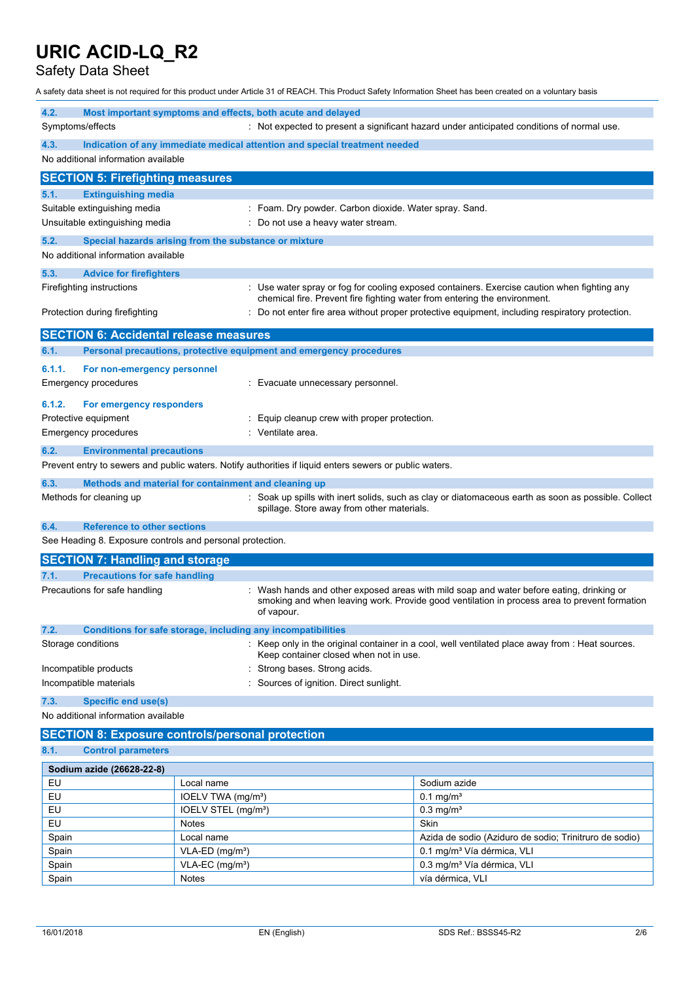Safety Data Sheet

A safety data sheet is not required for this product under Article 31 of REACH. This Product Safety Information Sheet has been created on a voluntary basis

| 4.2.                                                                                                           | Most important symptoms and effects, both acute and delayed                                             |                                                                                                                                                                                        |  |
|----------------------------------------------------------------------------------------------------------------|---------------------------------------------------------------------------------------------------------|----------------------------------------------------------------------------------------------------------------------------------------------------------------------------------------|--|
| : Not expected to present a significant hazard under anticipated conditions of normal use.<br>Symptoms/effects |                                                                                                         |                                                                                                                                                                                        |  |
| 4.3.                                                                                                           | Indication of any immediate medical attention and special treatment needed                              |                                                                                                                                                                                        |  |
| No additional information available                                                                            |                                                                                                         |                                                                                                                                                                                        |  |
| <b>SECTION 5: Firefighting measures</b>                                                                        |                                                                                                         |                                                                                                                                                                                        |  |
| <b>Extinguishing media</b><br>5.1.                                                                             |                                                                                                         |                                                                                                                                                                                        |  |
| Suitable extinguishing media                                                                                   |                                                                                                         | : Foam. Dry powder. Carbon dioxide. Water spray. Sand.                                                                                                                                 |  |
| Unsuitable extinguishing media                                                                                 |                                                                                                         | Do not use a heavy water stream.                                                                                                                                                       |  |
| 5.2.                                                                                                           | Special hazards arising from the substance or mixture                                                   |                                                                                                                                                                                        |  |
| No additional information available                                                                            |                                                                                                         |                                                                                                                                                                                        |  |
| 5.3.<br><b>Advice for firefighters</b>                                                                         |                                                                                                         |                                                                                                                                                                                        |  |
| Firefighting instructions                                                                                      |                                                                                                         | Use water spray or fog for cooling exposed containers. Exercise caution when fighting any                                                                                              |  |
|                                                                                                                |                                                                                                         | chemical fire. Prevent fire fighting water from entering the environment.                                                                                                              |  |
| Protection during firefighting                                                                                 |                                                                                                         | Do not enter fire area without proper protective equipment, including respiratory protection.                                                                                          |  |
| <b>SECTION 6: Accidental release measures</b>                                                                  |                                                                                                         |                                                                                                                                                                                        |  |
| 6.1.                                                                                                           | Personal precautions, protective equipment and emergency procedures                                     |                                                                                                                                                                                        |  |
| 6.1.1.<br>For non-emergency personnel                                                                          |                                                                                                         |                                                                                                                                                                                        |  |
| <b>Emergency procedures</b>                                                                                    | : Evacuate unnecessary personnel.                                                                       |                                                                                                                                                                                        |  |
| 6.1.2.<br>For emergency responders                                                                             |                                                                                                         |                                                                                                                                                                                        |  |
| Protective equipment                                                                                           | Equip cleanup crew with proper protection.                                                              |                                                                                                                                                                                        |  |
| <b>Emergency procedures</b>                                                                                    | Ventilate area.                                                                                         |                                                                                                                                                                                        |  |
| 6.2.<br><b>Environmental precautions</b>                                                                       |                                                                                                         |                                                                                                                                                                                        |  |
|                                                                                                                | Prevent entry to sewers and public waters. Notify authorities if liquid enters sewers or public waters. |                                                                                                                                                                                        |  |
| 6.3.                                                                                                           | Methods and material for containment and cleaning up                                                    |                                                                                                                                                                                        |  |
| Methods for cleaning up                                                                                        |                                                                                                         | Soak up spills with inert solids, such as clay or diatomaceous earth as soon as possible. Collect                                                                                      |  |
|                                                                                                                | spillage. Store away from other materials.                                                              |                                                                                                                                                                                        |  |
| <b>Reference to other sections</b><br>6.4.                                                                     |                                                                                                         |                                                                                                                                                                                        |  |
| See Heading 8. Exposure controls and personal protection.                                                      |                                                                                                         |                                                                                                                                                                                        |  |
| <b>SECTION 7: Handling and storage</b>                                                                         |                                                                                                         |                                                                                                                                                                                        |  |
| <b>Precautions for safe handling</b><br>7.1.                                                                   |                                                                                                         |                                                                                                                                                                                        |  |
| Precautions for safe handling<br>of vapour.                                                                    |                                                                                                         | Wash hands and other exposed areas with mild soap and water before eating, drinking or<br>smoking and when leaving work. Provide good ventilation in process area to prevent formation |  |
| 7.2.                                                                                                           | Conditions for safe storage, including any incompatibilities                                            |                                                                                                                                                                                        |  |
| Storage conditions                                                                                             | Keep container closed when not in use.                                                                  | Keep only in the original container in a cool, well ventilated place away from : Heat sources.                                                                                         |  |
| Incompatible products                                                                                          |                                                                                                         | Strong bases. Strong acids.                                                                                                                                                            |  |
| Incompatible materials                                                                                         |                                                                                                         | Sources of ignition. Direct sunlight.                                                                                                                                                  |  |
| <b>Specific end use(s)</b><br>7.3.                                                                             |                                                                                                         |                                                                                                                                                                                        |  |
| No additional information available                                                                            |                                                                                                         |                                                                                                                                                                                        |  |
| <b>SECTION 8: Exposure controls/personal protection</b>                                                        |                                                                                                         |                                                                                                                                                                                        |  |
| 8.1.<br><b>Control parameters</b>                                                                              |                                                                                                         |                                                                                                                                                                                        |  |
|                                                                                                                |                                                                                                         |                                                                                                                                                                                        |  |
| Sodium azide (26628-22-8)                                                                                      |                                                                                                         |                                                                                                                                                                                        |  |
| EU<br>EU                                                                                                       | Local name                                                                                              | Sodium azide                                                                                                                                                                           |  |
| EU                                                                                                             | IOELV TWA (mg/m <sup>3</sup> )<br>IOELV STEL (mg/m <sup>3</sup> )                                       | $0.1$ mg/m <sup>3</sup><br>$0.3$ mg/m <sup>3</sup>                                                                                                                                     |  |
| EU                                                                                                             | Notes                                                                                                   | Skin                                                                                                                                                                                   |  |
| Spain                                                                                                          | Local name                                                                                              | Azida de sodio (Aziduro de sodio; Trinitruro de sodio)                                                                                                                                 |  |
| Spain                                                                                                          | VLA-ED (mg/m <sup>3</sup> )                                                                             | 0.1 mg/m <sup>3</sup> Vía dérmica, VLI                                                                                                                                                 |  |
| Spain                                                                                                          | VLA-EC (mg/m <sup>3</sup> )                                                                             | 0.3 mg/m <sup>3</sup> Vía dérmica, VLI                                                                                                                                                 |  |

Spain Notes Notes vía dérmica, VLI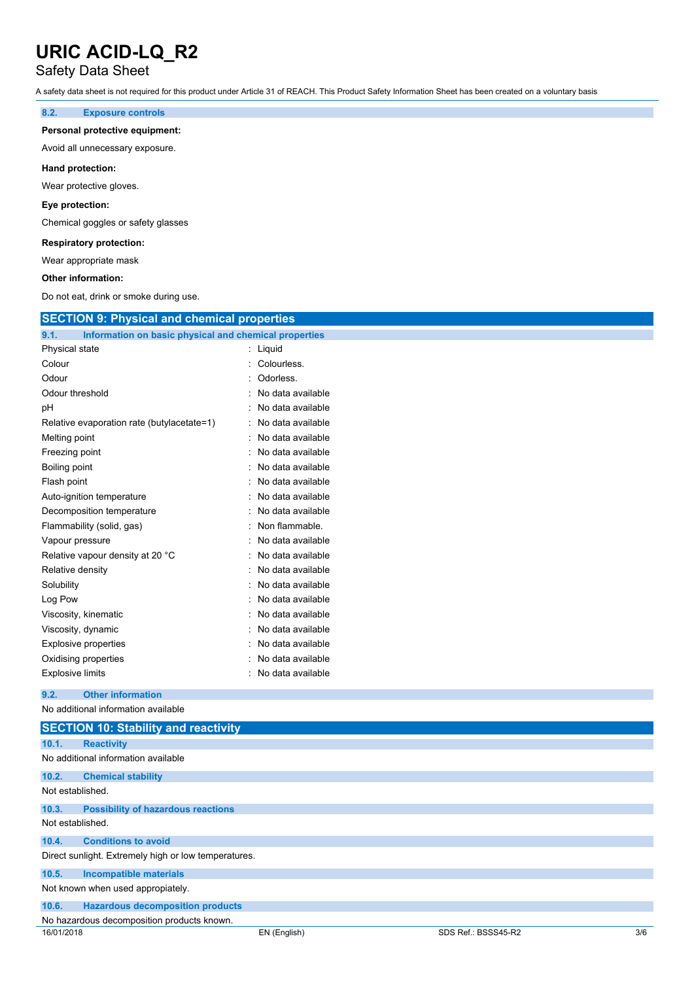### Safety Data Sheet

A safety data sheet is not required for this product under Article 31 of REACH. This Product Safety Information Sheet has been created on a voluntary basis

#### **8.2. Exposure controls**

#### **Personal protective equipment:**

Avoid all unnecessary exposure.

#### **Hand protection:**

Wear protective gloves.

#### **Eye protection:**

Chemical goggles or safety glasses

#### **Respiratory protection:**

Wear appropriate mask

#### **Other information:**

Do not eat, drink or smoke during use.

| <b>SECTION 9: Physical and chemical properties</b>            |                   |
|---------------------------------------------------------------|-------------------|
| Information on basic physical and chemical properties<br>9.1. |                   |
| Physical state                                                | : Liquid          |
| Colour                                                        | Colourless.       |
| Odour                                                         | Odorless.         |
| Odour threshold                                               | No data available |
| рH                                                            | No data available |
| Relative evaporation rate (butylacetate=1)                    | No data available |
| Melting point                                                 | No data available |
| Freezing point                                                | No data available |
| Boiling point                                                 | No data available |
| Flash point                                                   | No data available |
| Auto-ignition temperature                                     | No data available |
| Decomposition temperature                                     | No data available |
| Flammability (solid, gas)                                     | Non flammable.    |
| Vapour pressure                                               | No data available |
| Relative vapour density at 20 °C                              | No data available |
| Relative density                                              | No data available |
| Solubility                                                    | No data available |
| Log Pow                                                       | No data available |
| Viscosity, kinematic                                          | No data available |
| Viscosity, dynamic                                            | No data available |
| <b>Explosive properties</b>                                   | No data available |
| Oxidising properties                                          | No data available |
| <b>Explosive limits</b>                                       | No data available |
| <b>Other information</b><br>9.2.                              |                   |
| No additional information available                           |                   |
| <b>SECTION 10: Stability and reactivity</b>                   |                   |
| 10.1.<br><b>Reactivity</b>                                    |                   |
| No additional information available                           |                   |
| 10.2.<br><b>Chemical stability</b>                            |                   |
| Not established.                                              |                   |
| 10.3.<br><b>Possibility of hazardous reactions</b>            |                   |
| Not established.                                              |                   |

#### **10.4. Conditions to avoid**

Direct sunlight. Extremely high or low temperatures.

### **10.5. Incompatible materials**

Not known when used appropiately.

| 10.6. | <b>Hazardous decomposition products</b> |  |  |
|-------|-----------------------------------------|--|--|
|       |                                         |  |  |

No hazardous decomposition products known.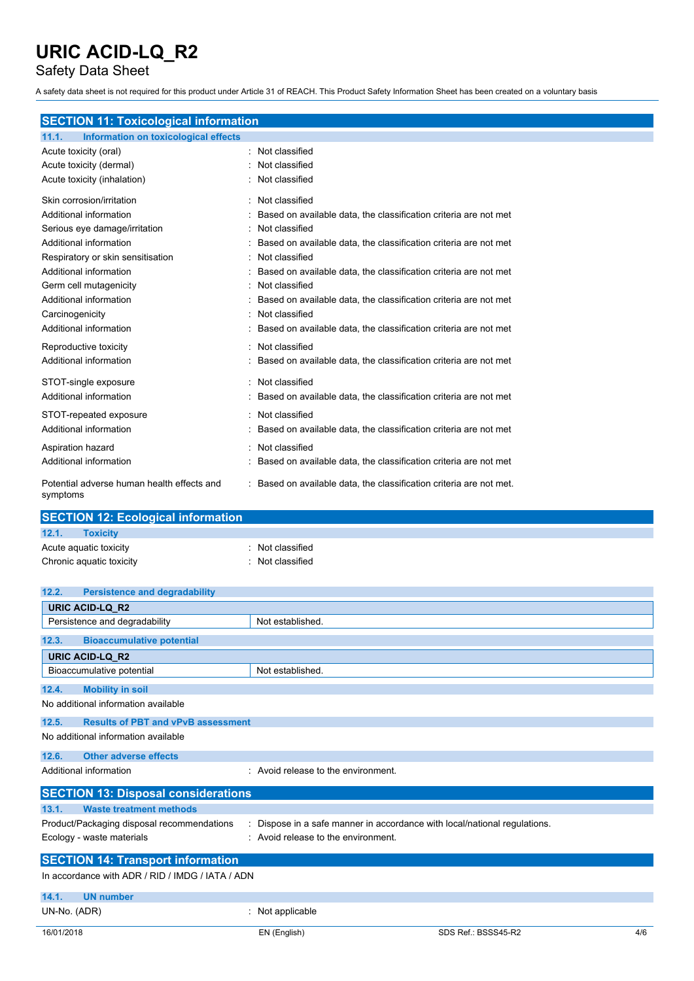Safety Data Sheet

A safety data sheet is not required for this product under Article 31 of REACH. This Product Safety Information Sheet has been created on a voluntary basis

### **SECTION 11: Toxicological information**

| 11.1.<br>Information on toxicological effects          |                                                                     |
|--------------------------------------------------------|---------------------------------------------------------------------|
| Acute toxicity (oral)                                  | Not classified                                                      |
| Acute toxicity (dermal)                                | Not classified                                                      |
| Acute toxicity (inhalation)                            | Not classified                                                      |
| Skin corrosion/irritation                              | Not classified                                                      |
| Additional information                                 | Based on available data, the classification criteria are not met    |
| Serious eye damage/irritation                          | Not classified                                                      |
| Additional information                                 | Based on available data, the classification criteria are not met    |
| Respiratory or skin sensitisation                      | Not classified                                                      |
| Additional information                                 | Based on available data, the classification criteria are not met    |
| Germ cell mutagenicity                                 | Not classified                                                      |
| Additional information                                 | Based on available data, the classification criteria are not met    |
| Carcinogenicity                                        | Not classified                                                      |
| Additional information                                 | Based on available data, the classification criteria are not met    |
| Reproductive toxicity                                  | Not classified                                                      |
| Additional information                                 | Based on available data, the classification criteria are not met    |
| STOT-single exposure                                   | Not classified                                                      |
| Additional information                                 | Based on available data, the classification criteria are not met    |
| STOT-repeated exposure                                 | Not classified                                                      |
| Additional information                                 | Based on available data, the classification criteria are not met    |
| Aspiration hazard                                      | Not classified                                                      |
| Additional information                                 | Based on available data, the classification criteria are not met    |
| Potential adverse human health effects and<br>symptoms | : Based on available data, the classification criteria are not met. |

| <b>SECTION 12: Ecological information</b> |                  |  |  |
|-------------------------------------------|------------------|--|--|
| 12.1.<br><b>Toxicity</b>                  |                  |  |  |
| Acute aquatic toxicity                    | : Not classified |  |  |
| Chronic aquatic toxicity                  | : Not classified |  |  |

| 12.2.        | <b>Persistence and degradability</b>             |                                                                         |                     |     |
|--------------|--------------------------------------------------|-------------------------------------------------------------------------|---------------------|-----|
|              | URIC ACID-LQ_R2                                  |                                                                         |                     |     |
|              | Persistence and degradability                    | Not established.                                                        |                     |     |
| 12.3.        | <b>Bioaccumulative potential</b>                 |                                                                         |                     |     |
|              | <b>URIC ACID-LQ R2</b>                           |                                                                         |                     |     |
|              | Bioaccumulative potential                        | Not established.                                                        |                     |     |
| 12.4.        | <b>Mobility in soil</b>                          |                                                                         |                     |     |
|              | No additional information available              |                                                                         |                     |     |
| 12.5.        | <b>Results of PBT and vPvB assessment</b>        |                                                                         |                     |     |
|              | No additional information available              |                                                                         |                     |     |
| 12.6.        | <b>Other adverse effects</b>                     |                                                                         |                     |     |
|              | Additional information                           | : Avoid release to the environment.                                     |                     |     |
|              | <b>SECTION 13: Disposal considerations</b>       |                                                                         |                     |     |
| 13.1.        | <b>Waste treatment methods</b>                   |                                                                         |                     |     |
|              | Product/Packaging disposal recommendations       | Dispose in a safe manner in accordance with local/national regulations. |                     |     |
|              | Ecology - waste materials                        | : Avoid release to the environment.                                     |                     |     |
|              | <b>SECTION 14: Transport information</b>         |                                                                         |                     |     |
|              | In accordance with ADR / RID / IMDG / IATA / ADN |                                                                         |                     |     |
| 14.1.        | <b>UN number</b>                                 |                                                                         |                     |     |
| UN-No. (ADR) |                                                  | Not applicable                                                          |                     |     |
| 16/01/2018   |                                                  | EN (English)                                                            | SDS Ref.: BSSS45-R2 | 4/6 |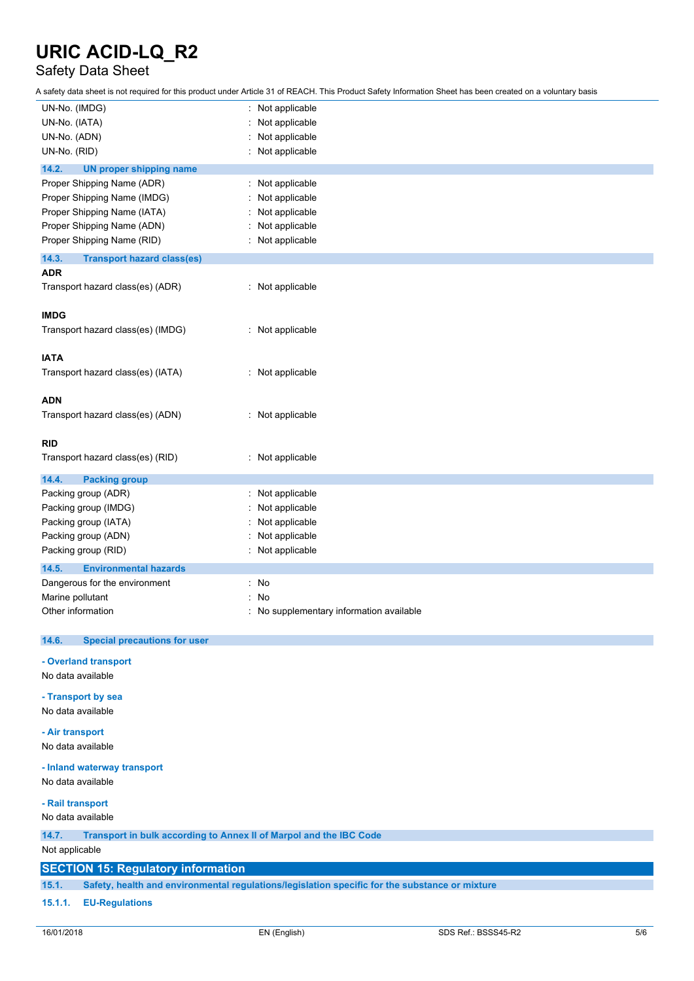### Safety Data Sheet

A safety data sheet is not required for this product under Article 31 of REACH. This Product Safety Information Sheet has been created on a voluntary basis

| UN-No. (IMDG)                                                               | : Not applicable                       |  |  |
|-----------------------------------------------------------------------------|----------------------------------------|--|--|
| UN-No. (IATA)                                                               | Not applicable                         |  |  |
| UN-No. (ADN)                                                                | Not applicable                         |  |  |
| UN-No. (RID)                                                                | Not applicable                         |  |  |
| 14.2.<br><b>UN proper shipping name</b>                                     |                                        |  |  |
| Proper Shipping Name (ADR)                                                  | Not applicable                         |  |  |
| Proper Shipping Name (IMDG)                                                 | Not applicable                         |  |  |
| Proper Shipping Name (IATA)                                                 | Not applicable                         |  |  |
| Proper Shipping Name (ADN)                                                  | Not applicable                         |  |  |
| Proper Shipping Name (RID)                                                  | Not applicable                         |  |  |
| 14.3.<br><b>Transport hazard class(es)</b>                                  |                                        |  |  |
| <b>ADR</b>                                                                  |                                        |  |  |
| Transport hazard class(es) (ADR)                                            | : Not applicable                       |  |  |
|                                                                             |                                        |  |  |
| <b>IMDG</b>                                                                 |                                        |  |  |
| Transport hazard class(es) (IMDG)                                           | : Not applicable                       |  |  |
|                                                                             |                                        |  |  |
| <b>IATA</b>                                                                 |                                        |  |  |
| Transport hazard class(es) (IATA)                                           | : Not applicable                       |  |  |
|                                                                             |                                        |  |  |
| <b>ADN</b>                                                                  |                                        |  |  |
| Transport hazard class(es) (ADN)                                            | : Not applicable                       |  |  |
|                                                                             |                                        |  |  |
| <b>RID</b>                                                                  |                                        |  |  |
| Transport hazard class(es) (RID)                                            | : Not applicable                       |  |  |
|                                                                             |                                        |  |  |
| 14.4.<br><b>Packing group</b>                                               |                                        |  |  |
| Packing group (ADR)                                                         | Not applicable<br>÷                    |  |  |
| Packing group (IMDG)                                                        | Not applicable                         |  |  |
| Packing group (IATA)                                                        | Not applicable                         |  |  |
| Packing group (ADN)                                                         | Not applicable                         |  |  |
| Packing group (RID)                                                         | Not applicable                         |  |  |
| 14.5.<br><b>Environmental hazards</b>                                       |                                        |  |  |
| Dangerous for the environment                                               | ÷<br>No                                |  |  |
| Marine pollutant                                                            | No                                     |  |  |
| Other information                                                           | No supplementary information available |  |  |
|                                                                             |                                        |  |  |
| 14.6.<br><b>Special precautions for user</b>                                |                                        |  |  |
| - Overland transport                                                        |                                        |  |  |
| No data available                                                           |                                        |  |  |
|                                                                             |                                        |  |  |
| - Transport by sea                                                          |                                        |  |  |
| No data available                                                           |                                        |  |  |
| - Air transport                                                             |                                        |  |  |
| No data available                                                           |                                        |  |  |
| - Inland waterway transport                                                 |                                        |  |  |
| No data available                                                           |                                        |  |  |
|                                                                             |                                        |  |  |
| - Rail transport                                                            |                                        |  |  |
| No data available                                                           |                                        |  |  |
| Transport in bulk according to Annex II of Marpol and the IBC Code<br>14.7. |                                        |  |  |
| Not applicable                                                              |                                        |  |  |
| <b>SECTION 15: Regulatory information</b>                                   |                                        |  |  |
|                                                                             |                                        |  |  |

**15.1. Safety, health and environmental regulations/legislation specific for the substance or mixture**

#### **15.1.1. EU-Regulations**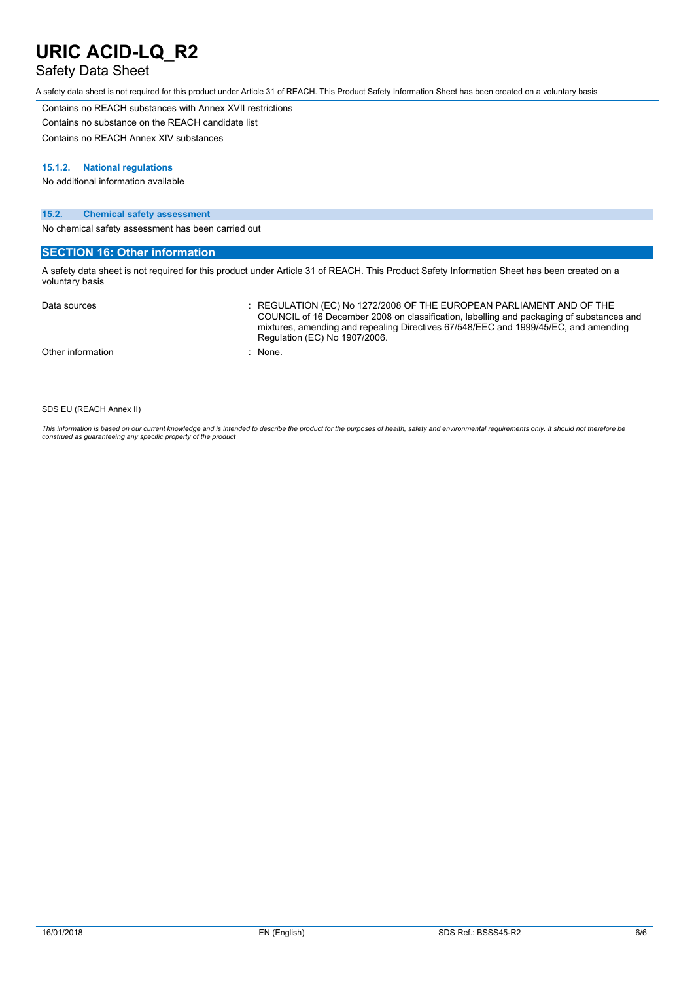### Safety Data Sheet

A safety data sheet is not required for this product under Article 31 of REACH. This Product Safety Information Sheet has been created on a voluntary basis

Contains no REACH substances with Annex XVII restrictions Contains no substance on the REACH candidate list

Contains no REACH Annex XIV substances

#### **15.1.2. National regulations**

No additional information available

#### **15.2. Chemical safety assessment**

No chemical safety assessment has been carried out

#### **SECTION 16: Other information**

A safety data sheet is not required for this product under Article 31 of REACH. This Product Safety Information Sheet has been created on a voluntary basis

| Data sources      | $\therefore$ REGULATION (EC) No 1272/2008 OF THE EUROPEAN PARLIAMENT AND OF THE<br>COUNCIL of 16 December 2008 on classification, labelling and packaging of substances and<br>mixtures, amending and repealing Directives 67/548/EEC and 1999/45/EC, and amending<br>Regulation (EC) No 1907/2006. |
|-------------------|-----------------------------------------------------------------------------------------------------------------------------------------------------------------------------------------------------------------------------------------------------------------------------------------------------|
| Other information | : None.                                                                                                                                                                                                                                                                                             |

#### SDS EU (REACH Annex II)

This information is based on our current knowledge and is intended to describe the product for the purposes of health, safety and environmental requirements only. It should not therefore be<br>construed as guaranteeing any sp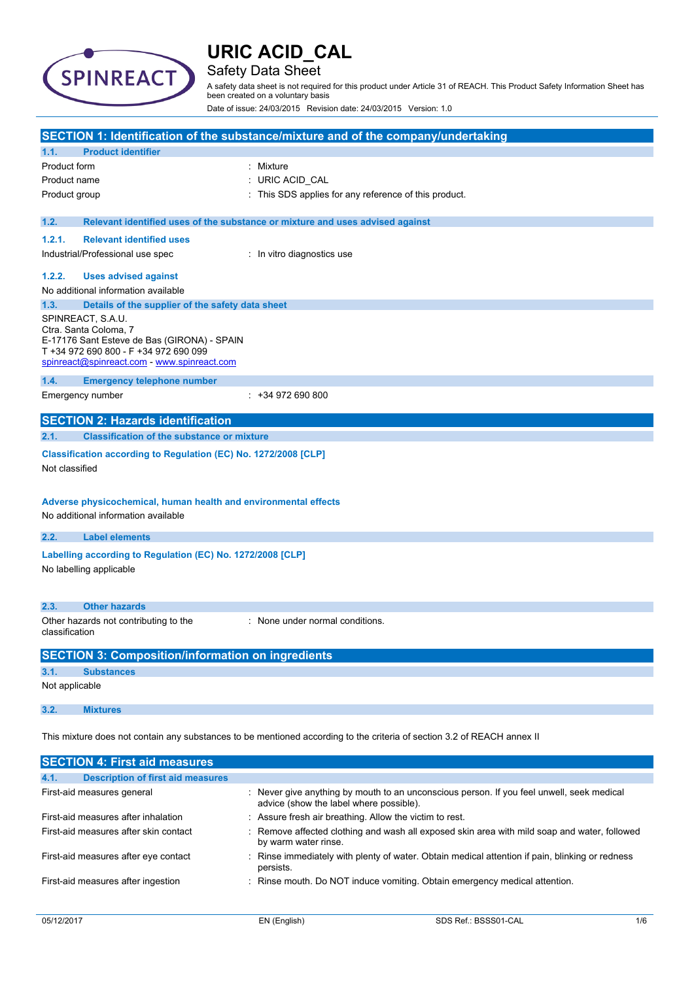

### Safety Data Sheet

A safety data sheet is not required for this product under Article 31 of REACH. This Product Safety Information Sheet has been created on a voluntary basis

Date of issue: 24/03/2015 Revision date: 24/03/2015 Version: 1.0

|                                                                                                                                                                                   | SECTION 1: Identification of the substance/mixture and of the company/undertaking                                                  |
|-----------------------------------------------------------------------------------------------------------------------------------------------------------------------------------|------------------------------------------------------------------------------------------------------------------------------------|
| <b>Product identifier</b><br>1.1.                                                                                                                                                 |                                                                                                                                    |
| Product form                                                                                                                                                                      | : Mixture                                                                                                                          |
| Product name                                                                                                                                                                      | URIC ACID_CAL                                                                                                                      |
| Product group                                                                                                                                                                     | This SDS applies for any reference of this product.                                                                                |
|                                                                                                                                                                                   |                                                                                                                                    |
| 1.2.                                                                                                                                                                              | Relevant identified uses of the substance or mixture and uses advised against                                                      |
| 1.2.1.<br><b>Relevant identified uses</b>                                                                                                                                         |                                                                                                                                    |
| Industrial/Professional use spec                                                                                                                                                  | : In vitro diagnostics use                                                                                                         |
| 1.2.2.<br><b>Uses advised against</b>                                                                                                                                             |                                                                                                                                    |
| No additional information available                                                                                                                                               |                                                                                                                                    |
| 1.3.                                                                                                                                                                              | Details of the supplier of the safety data sheet                                                                                   |
| SPINREACT, S.A.U.<br>Ctra. Santa Coloma, 7<br>E-17176 Sant Esteve de Bas (GIRONA) - SPAIN<br>T +34 972 690 800 - F +34 972 690 099<br>spinreact@spinreact.com - www.spinreact.com |                                                                                                                                    |
| 1.4.<br><b>Emergency telephone number</b>                                                                                                                                         |                                                                                                                                    |
| Emergency number                                                                                                                                                                  | $: +34972690800$                                                                                                                   |
|                                                                                                                                                                                   |                                                                                                                                    |
| <b>SECTION 2: Hazards identification</b>                                                                                                                                          |                                                                                                                                    |
| 2.1.                                                                                                                                                                              | <b>Classification of the substance or mixture</b>                                                                                  |
| Not classified<br>No additional information available                                                                                                                             | Classification according to Regulation (EC) No. 1272/2008 [CLP]<br>Adverse physicochemical, human health and environmental effects |
| <b>Label elements</b><br>2.2.                                                                                                                                                     |                                                                                                                                    |
|                                                                                                                                                                                   |                                                                                                                                    |
| No labelling applicable                                                                                                                                                           | Labelling according to Regulation (EC) No. 1272/2008 [CLP]                                                                         |
| <b>Other hazards</b><br>2.3.                                                                                                                                                      |                                                                                                                                    |
| Other hazards not contributing to the<br>classification                                                                                                                           | : None under normal conditions.                                                                                                    |
|                                                                                                                                                                                   | <b>SECTION 3: Composition/information on ingredients</b>                                                                           |
| 3.1.<br><b>Substances</b>                                                                                                                                                         |                                                                                                                                    |
| Not applicable                                                                                                                                                                    |                                                                                                                                    |
| 3.2.<br><b>Mixtures</b>                                                                                                                                                           |                                                                                                                                    |
|                                                                                                                                                                                   | This mixture does not contain any substances to be mentioned according to the criteria of section 3.2 of REACH annex II            |
| <b>SECTION 4: First aid measures</b>                                                                                                                                              |                                                                                                                                    |

| 4.1.<br><b>Description of first aid measures</b> |                                                                                                                                      |
|--------------------------------------------------|--------------------------------------------------------------------------------------------------------------------------------------|
| First-aid measures general                       | : Never give anything by mouth to an unconscious person. If you feel unwell, seek medical<br>advice (show the label where possible). |
| First-aid measures after inhalation              | : Assure fresh air breathing. Allow the victim to rest.                                                                              |
| First-aid measures after skin contact            | : Remove affected clothing and wash all exposed skin area with mild soap and water, followed<br>by warm water rinse.                 |
| First-aid measures after eye contact             | : Rinse immediately with plenty of water. Obtain medical attention if pain, blinking or redness<br>persists.                         |
| First-aid measures after ingestion               | : Rinse mouth. Do NOT induce vomiting. Obtain emergency medical attention.                                                           |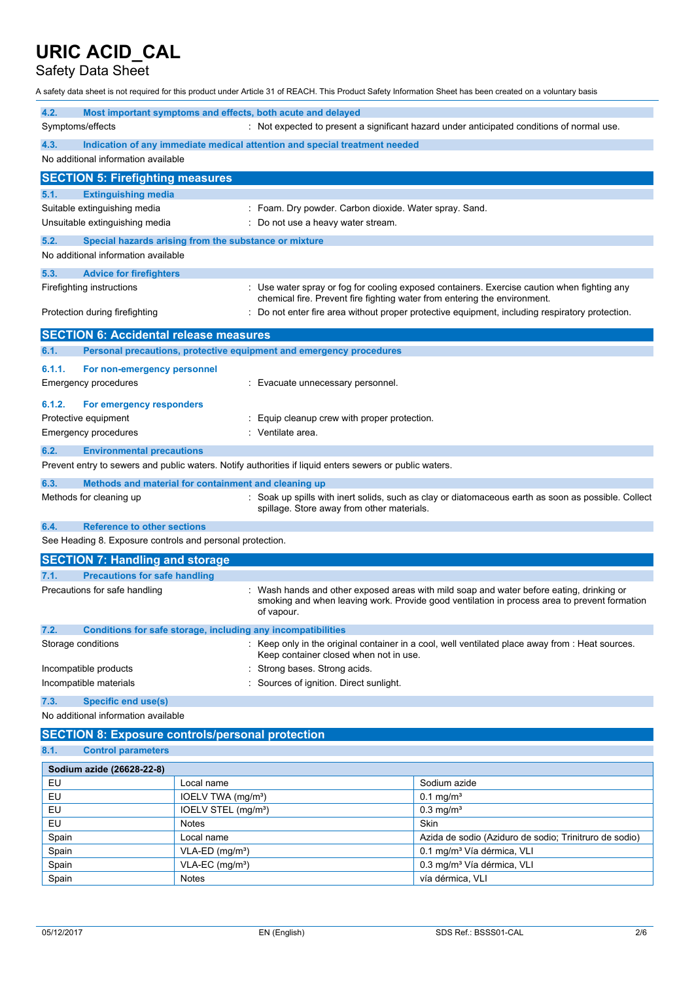### Safety Data Sheet

A safety data sheet is not required for this product under Article 31 of REACH. This Product Safety Information Sheet has been created on a voluntary basis

| 4.2.                                                      | Most important symptoms and effects, both acute and delayed                                             |                                                                                                                                                                                        |
|-----------------------------------------------------------|---------------------------------------------------------------------------------------------------------|----------------------------------------------------------------------------------------------------------------------------------------------------------------------------------------|
| Symptoms/effects                                          |                                                                                                         | : Not expected to present a significant hazard under anticipated conditions of normal use.                                                                                             |
| 4.3.<br>No additional information available               | Indication of any immediate medical attention and special treatment needed                              |                                                                                                                                                                                        |
| <b>SECTION 5: Firefighting measures</b>                   |                                                                                                         |                                                                                                                                                                                        |
| <b>Extinguishing media</b><br>5.1.                        |                                                                                                         |                                                                                                                                                                                        |
| Suitable extinguishing media                              |                                                                                                         | Foam. Dry powder. Carbon dioxide. Water spray. Sand.                                                                                                                                   |
| Unsuitable extinguishing media                            | Do not use a heavy water stream.                                                                        |                                                                                                                                                                                        |
| 5.2.                                                      | Special hazards arising from the substance or mixture                                                   |                                                                                                                                                                                        |
| No additional information available                       |                                                                                                         |                                                                                                                                                                                        |
| 5.3.<br><b>Advice for firefighters</b>                    |                                                                                                         |                                                                                                                                                                                        |
| Firefighting instructions                                 |                                                                                                         | : Use water spray or fog for cooling exposed containers. Exercise caution when fighting any<br>chemical fire. Prevent fire fighting water from entering the environment.               |
| Protection during firefighting                            |                                                                                                         | Do not enter fire area without proper protective equipment, including respiratory protection.                                                                                          |
| <b>SECTION 6: Accidental release measures</b>             |                                                                                                         |                                                                                                                                                                                        |
| 6.1.                                                      | Personal precautions, protective equipment and emergency procedures                                     |                                                                                                                                                                                        |
| 6.1.1.<br>For non-emergency personnel                     |                                                                                                         |                                                                                                                                                                                        |
| <b>Emergency procedures</b>                               | Evacuate unnecessary personnel.                                                                         |                                                                                                                                                                                        |
| 6.1.2.<br>For emergency responders                        |                                                                                                         |                                                                                                                                                                                        |
| Protective equipment                                      | Equip cleanup crew with proper protection.                                                              |                                                                                                                                                                                        |
| Emergency procedures                                      | Ventilate area.                                                                                         |                                                                                                                                                                                        |
|                                                           |                                                                                                         |                                                                                                                                                                                        |
| 6.2.<br><b>Environmental precautions</b>                  | Prevent entry to sewers and public waters. Notify authorities if liquid enters sewers or public waters. |                                                                                                                                                                                        |
|                                                           |                                                                                                         |                                                                                                                                                                                        |
| 6.3.                                                      | Methods and material for containment and cleaning up                                                    |                                                                                                                                                                                        |
| Methods for cleaning up                                   | spillage. Store away from other materials.                                                              | Soak up spills with inert solids, such as clay or diatomaceous earth as soon as possible. Collect                                                                                      |
| <b>Reference to other sections</b><br>6.4.                |                                                                                                         |                                                                                                                                                                                        |
| See Heading 8. Exposure controls and personal protection. |                                                                                                         |                                                                                                                                                                                        |
| <b>SECTION 7: Handling and storage</b>                    |                                                                                                         |                                                                                                                                                                                        |
| <b>Precautions for safe handling</b><br>7.1.              |                                                                                                         |                                                                                                                                                                                        |
| Precautions for safe handling                             | of vapour.                                                                                              | Wash hands and other exposed areas with mild soap and water before eating, drinking or<br>smoking and when leaving work. Provide good ventilation in process area to prevent formation |
| 7.2.                                                      | Conditions for safe storage, including any incompatibilities                                            |                                                                                                                                                                                        |
| Storage conditions                                        | Keep container closed when not in use.                                                                  | : Keep only in the original container in a cool, well ventilated place away from : Heat sources.                                                                                       |
| Incompatible products                                     | Strong bases. Strong acids.                                                                             |                                                                                                                                                                                        |
| Incompatible materials                                    | Sources of ignition. Direct sunlight.                                                                   |                                                                                                                                                                                        |
| <b>Specific end use(s)</b><br>7.3.                        |                                                                                                         |                                                                                                                                                                                        |
| No additional information available                       |                                                                                                         |                                                                                                                                                                                        |
|                                                           | <b>SECTION 8: Exposure controls/personal protection</b>                                                 |                                                                                                                                                                                        |
| 8.1.<br><b>Control parameters</b>                         |                                                                                                         |                                                                                                                                                                                        |
| Sodium azide (26628-22-8)                                 |                                                                                                         |                                                                                                                                                                                        |
| EU                                                        | Local name                                                                                              | Sodium azide                                                                                                                                                                           |
| EU                                                        | IOELV TWA (mg/m <sup>3</sup> )                                                                          | $0.1$ mg/m <sup>3</sup>                                                                                                                                                                |
| EU                                                        | IOELV STEL (mg/m <sup>3</sup> )                                                                         | $0.3$ mg/m <sup>3</sup>                                                                                                                                                                |
| EU                                                        | <b>Notes</b>                                                                                            | Skin                                                                                                                                                                                   |
| Spain                                                     | Local name                                                                                              | Azida de sodio (Aziduro de sodio; Trinitruro de sodio)                                                                                                                                 |
| Spain                                                     | $VLA-ED$ (mg/m <sup>3</sup> )                                                                           | 0.1 mg/m <sup>3</sup> Vía dérmica, VLI                                                                                                                                                 |

Spain VLA-EC (mg/m<sup>3</sup>) VLA-EC (mg/m<sup>3</sup>) 0.3 mg/m<sup>3</sup> Vía dérmica, VLI

Spain Notes Notes vía dérmica, VLI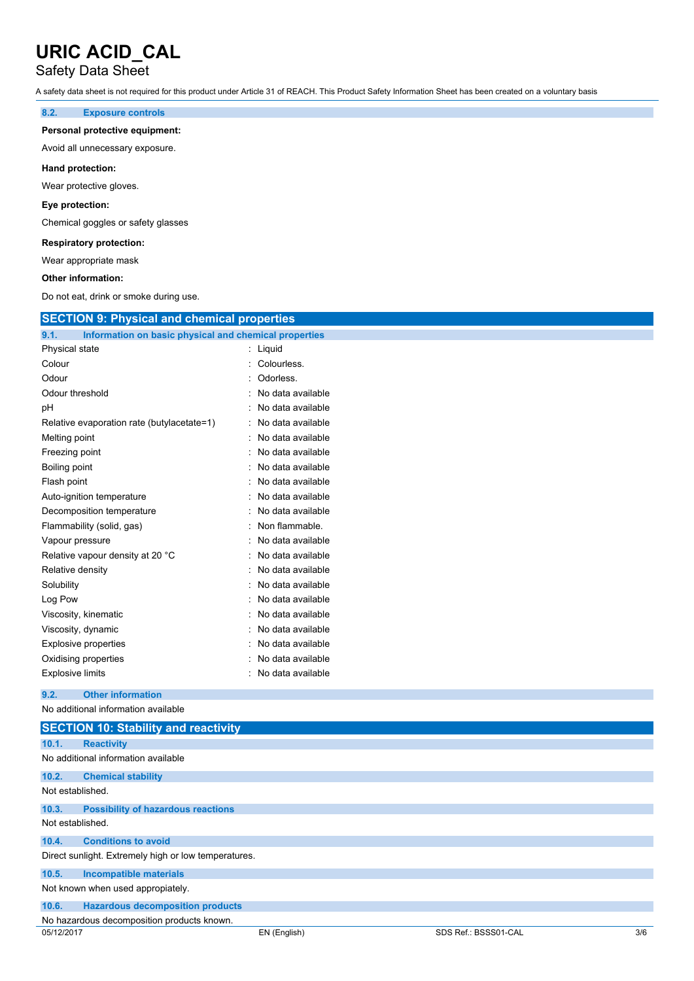### Safety Data Sheet

A safety data sheet is not required for this product under Article 31 of REACH. This Product Safety Information Sheet has been created on a voluntary basis

#### **8.2. Exposure controls**

#### **Personal protective equipment:**

Avoid all unnecessary exposure.

#### **Hand protection:**

Wear protective gloves.

#### **Eye protection:**

Chemical goggles or safety glasses

#### **Respiratory protection:**

Wear appropriate mask

#### **Other information:**

Do not eat, drink or smoke during use.

| <b>SECTION 9: Physical and chemical properties</b>            |                   |
|---------------------------------------------------------------|-------------------|
| 9.1.<br>Information on basic physical and chemical properties |                   |
| Physical state                                                | : Liquid          |
| Colour                                                        | Colourless.       |
| Odour                                                         | Odorless.         |
| Odour threshold                                               | No data available |
| рH                                                            | No data available |
| Relative evaporation rate (butylacetate=1)                    | No data available |
| Melting point                                                 | No data available |
| Freezing point                                                | No data available |
| <b>Boiling point</b>                                          | No data available |
| Flash point                                                   | No data available |
| Auto-ignition temperature                                     | No data available |
| Decomposition temperature                                     | No data available |
| Flammability (solid, gas)                                     | Non flammable.    |
| Vapour pressure                                               | No data available |
| Relative vapour density at 20 °C                              | No data available |
| Relative density                                              | No data available |
| Solubility                                                    | No data available |
| Log Pow                                                       | No data available |
| Viscosity, kinematic                                          | No data available |
| Viscosity, dynamic                                            | No data available |
| <b>Explosive properties</b>                                   | No data available |
| Oxidising properties                                          | No data available |
| <b>Explosive limits</b>                                       | No data available |
| <b>Other information</b><br>9.2.                              |                   |
| No additional information available                           |                   |
| <b>SECTION 10: Stability and reactivity</b>                   |                   |
| 10.1.<br><b>Reactivity</b>                                    |                   |
| No additional information available                           |                   |
| 10.2.<br><b>Chemical stability</b>                            |                   |
| Not established.                                              |                   |
| 10.3.<br><b>Possibility of hazardous reactions</b>            |                   |
| Not established.                                              |                   |

#### **10.4. Conditions to avoid**

Direct sunlight. Extremely high or low temperatures.

#### **10.5. Incompatible materials**

Not known when used appropiately.

| 10.6. | <b>Hazardous decomposition products</b> |  |  |
|-------|-----------------------------------------|--|--|

No hazardous decomposition products known.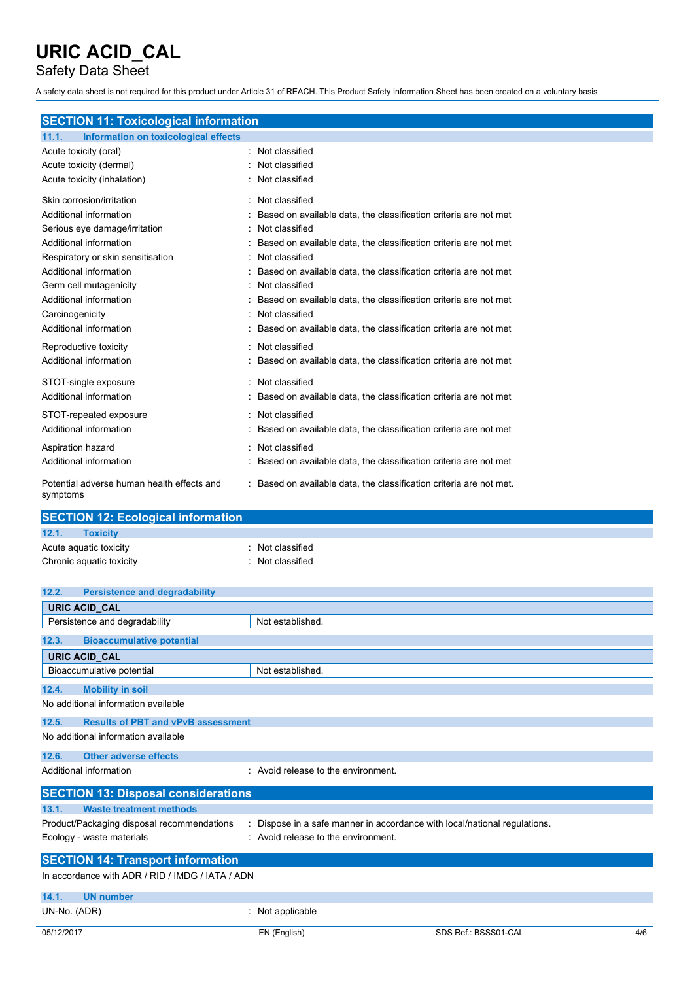Safety Data Sheet

A safety data sheet is not required for this product under Article 31 of REACH. This Product Safety Information Sheet has been created on a voluntary basis

### **SECTION 11: Toxicological information**

| Information on toxicological effects<br>11.1.          |                                                                     |
|--------------------------------------------------------|---------------------------------------------------------------------|
| Acute toxicity (oral)                                  | : Not classified                                                    |
| Acute toxicity (dermal)                                | Not classified                                                      |
| Acute toxicity (inhalation)                            | Not classified                                                      |
| Skin corrosion/irritation                              | Not classified                                                      |
| Additional information                                 | Based on available data, the classification criteria are not met    |
| Serious eye damage/irritation                          | Not classified                                                      |
| Additional information                                 | Based on available data, the classification criteria are not met    |
| Respiratory or skin sensitisation                      | Not classified                                                      |
| Additional information                                 | Based on available data, the classification criteria are not met    |
| Germ cell mutagenicity                                 | Not classified                                                      |
| Additional information                                 | Based on available data, the classification criteria are not met    |
| Carcinogenicity                                        | Not classified                                                      |
| Additional information                                 | Based on available data, the classification criteria are not met    |
| Reproductive toxicity                                  | Not classified                                                      |
| Additional information                                 | Based on available data, the classification criteria are not met    |
| STOT-single exposure                                   | : Not classified                                                    |
| Additional information                                 | Based on available data, the classification criteria are not met    |
| STOT-repeated exposure                                 | : Not classified                                                    |
| Additional information                                 | Based on available data, the classification criteria are not met    |
| Aspiration hazard                                      | Not classified                                                      |
| Additional information                                 | Based on available data, the classification criteria are not met    |
| Potential adverse human health effects and<br>symptoms | : Based on available data, the classification criteria are not met. |

| <b>SECTION 12: Ecological information</b> |                |  |
|-------------------------------------------|----------------|--|
| 12.1.<br><b>Toxicity</b>                  |                |  |
| Acute aguatic toxicity                    | Not classified |  |
| Chronic aquatic toxicity                  | Not classified |  |

| 12.2.<br><b>Persistence and degradability</b>    |                                           |                                     |                                                                         |     |
|--------------------------------------------------|-------------------------------------------|-------------------------------------|-------------------------------------------------------------------------|-----|
| <b>URIC ACID_CAL</b>                             |                                           |                                     |                                                                         |     |
| Persistence and degradability                    |                                           | Not established.                    |                                                                         |     |
| <b>Bioaccumulative potential</b><br>12.3.        |                                           |                                     |                                                                         |     |
| <b>URIC ACID CAL</b>                             |                                           |                                     |                                                                         |     |
| Bioaccumulative potential                        |                                           | Not established.                    |                                                                         |     |
| <b>Mobility in soil</b><br>12.4.                 |                                           |                                     |                                                                         |     |
| No additional information available              |                                           |                                     |                                                                         |     |
| 12.5.                                            | <b>Results of PBT and vPvB assessment</b> |                                     |                                                                         |     |
| No additional information available              |                                           |                                     |                                                                         |     |
| 12.6.<br><b>Other adverse effects</b>            |                                           |                                     |                                                                         |     |
| Additional information                           |                                           | : Avoid release to the environment. |                                                                         |     |
| <b>SECTION 13: Disposal considerations</b>       |                                           |                                     |                                                                         |     |
| <b>Waste treatment methods</b><br>13.1.          |                                           |                                     |                                                                         |     |
| Product/Packaging disposal recommendations       |                                           |                                     | Dispose in a safe manner in accordance with local/national regulations. |     |
| Ecology - waste materials                        |                                           | : Avoid release to the environment. |                                                                         |     |
| <b>SECTION 14: Transport information</b>         |                                           |                                     |                                                                         |     |
| In accordance with ADR / RID / IMDG / IATA / ADN |                                           |                                     |                                                                         |     |
| 14.1.<br><b>UN number</b>                        |                                           |                                     |                                                                         |     |
| UN-No. (ADR)                                     |                                           | : Not applicable                    |                                                                         |     |
| 05/12/2017                                       |                                           | EN (English)                        | SDS Ref.: BSSS01-CAL                                                    | 4/6 |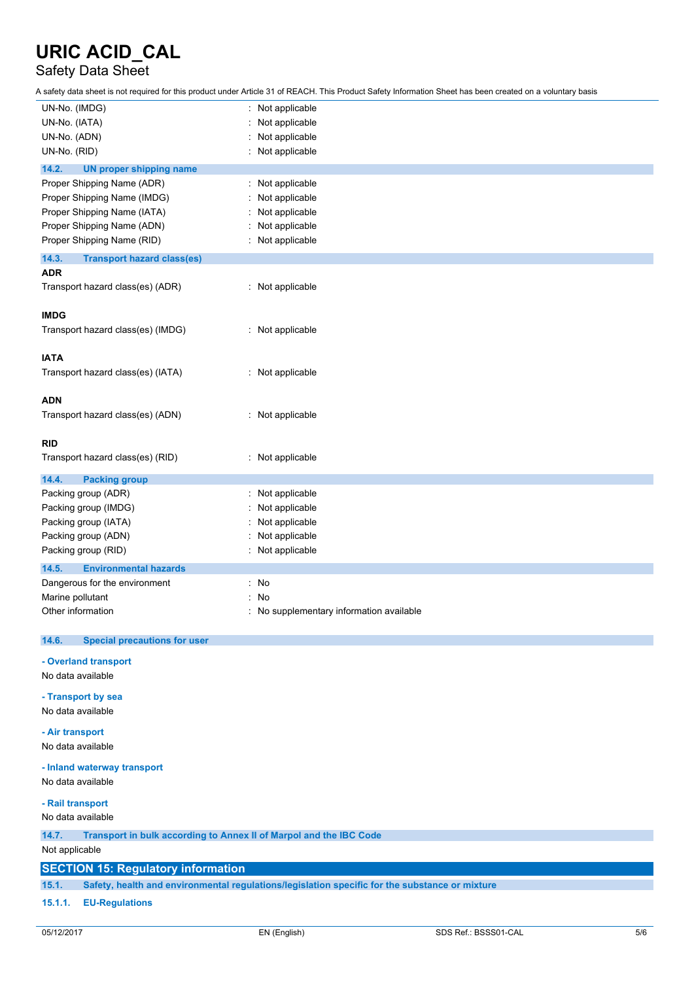## Safety Data Sheet

A safety data sheet is not required for this product under Article 31 of REACH. This Product Safety Information Sheet has been created on a voluntary basis

| UN-No. (IMDG)                                                               | Not applicable                                                                                 |  |
|-----------------------------------------------------------------------------|------------------------------------------------------------------------------------------------|--|
| UN-No. (IATA)                                                               | Not applicable                                                                                 |  |
| UN-No. (ADN)                                                                | Not applicable                                                                                 |  |
| UN-No. (RID)                                                                | Not applicable                                                                                 |  |
| 14.2.<br><b>UN proper shipping name</b>                                     |                                                                                                |  |
| Proper Shipping Name (ADR)                                                  | : Not applicable                                                                               |  |
| Proper Shipping Name (IMDG)                                                 | Not applicable                                                                                 |  |
|                                                                             |                                                                                                |  |
| Proper Shipping Name (IATA)                                                 | Not applicable                                                                                 |  |
| Proper Shipping Name (ADN)                                                  | Not applicable                                                                                 |  |
| Proper Shipping Name (RID)                                                  | Not applicable                                                                                 |  |
| 14.3.<br><b>Transport hazard class(es)</b>                                  |                                                                                                |  |
| <b>ADR</b>                                                                  |                                                                                                |  |
| Transport hazard class(es) (ADR)                                            | : Not applicable                                                                               |  |
|                                                                             |                                                                                                |  |
| <b>IMDG</b>                                                                 |                                                                                                |  |
| Transport hazard class(es) (IMDG)                                           | : Not applicable                                                                               |  |
|                                                                             |                                                                                                |  |
| <b>IATA</b>                                                                 |                                                                                                |  |
| Transport hazard class(es) (IATA)                                           | : Not applicable                                                                               |  |
|                                                                             |                                                                                                |  |
| <b>ADN</b>                                                                  |                                                                                                |  |
| Transport hazard class(es) (ADN)                                            | Not applicable<br>÷.                                                                           |  |
|                                                                             |                                                                                                |  |
| <b>RID</b>                                                                  |                                                                                                |  |
| Transport hazard class(es) (RID)                                            | : Not applicable                                                                               |  |
|                                                                             |                                                                                                |  |
| 14.4.<br><b>Packing group</b>                                               |                                                                                                |  |
| Packing group (ADR)                                                         | Not applicable                                                                                 |  |
| Packing group (IMDG)                                                        | Not applicable                                                                                 |  |
| Packing group (IATA)                                                        | Not applicable                                                                                 |  |
| Packing group (ADN)                                                         | Not applicable                                                                                 |  |
| Packing group (RID)                                                         | Not applicable                                                                                 |  |
| 14.5.<br><b>Environmental hazards</b>                                       |                                                                                                |  |
| Dangerous for the environment                                               | No<br>۰                                                                                        |  |
|                                                                             |                                                                                                |  |
| Marine pollutant                                                            | No                                                                                             |  |
| Other information                                                           | No supplementary information available                                                         |  |
| 14.6.<br><b>Special precautions for user</b>                                |                                                                                                |  |
|                                                                             |                                                                                                |  |
| - Overland transport                                                        |                                                                                                |  |
| No data available                                                           |                                                                                                |  |
|                                                                             |                                                                                                |  |
| - Transport by sea                                                          |                                                                                                |  |
| No data available                                                           |                                                                                                |  |
| - Air transport                                                             |                                                                                                |  |
| No data available                                                           |                                                                                                |  |
|                                                                             |                                                                                                |  |
| - Inland waterway transport                                                 |                                                                                                |  |
| No data available                                                           |                                                                                                |  |
| - Rail transport                                                            |                                                                                                |  |
| No data available                                                           |                                                                                                |  |
|                                                                             |                                                                                                |  |
| Transport in bulk according to Annex II of Marpol and the IBC Code<br>14.7. |                                                                                                |  |
| Not applicable                                                              |                                                                                                |  |
| <b>SECTION 15: Regulatory information</b>                                   |                                                                                                |  |
| 15.1.                                                                       | Safety, health and environmental regulations/legislation specific for the substance or mixture |  |
|                                                                             |                                                                                                |  |

#### **15.1.1. EU-Regulations**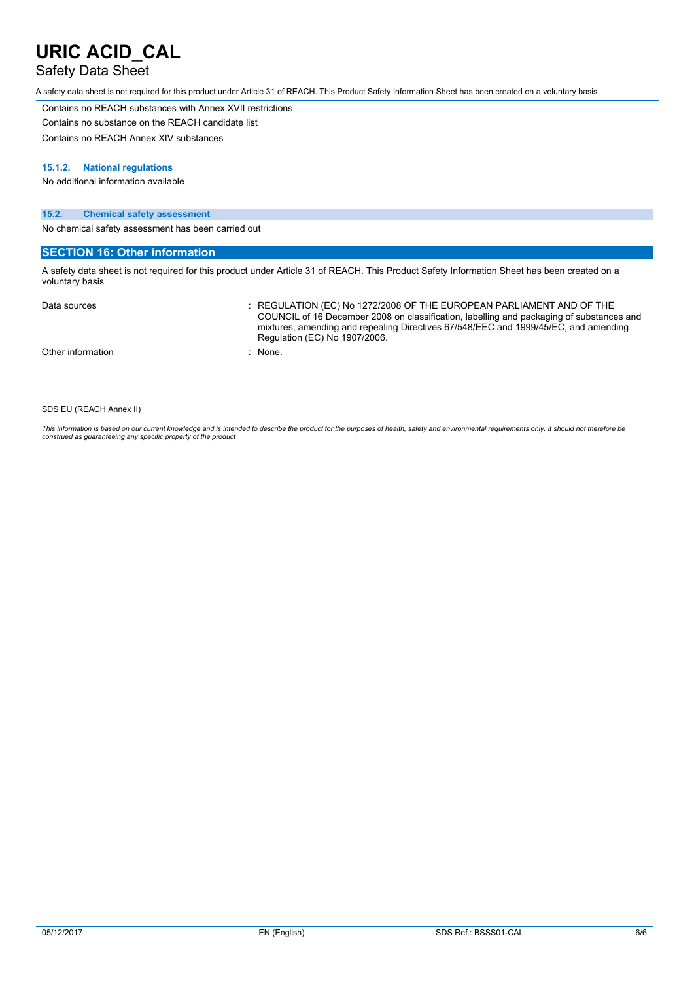### Safety Data Sheet

A safety data sheet is not required for this product under Article 31 of REACH. This Product Safety Information Sheet has been created on a voluntary basis

Contains no REACH substances with Annex XVII restrictions Contains no substance on the REACH candidate list

Contains no REACH Annex XIV substances

#### **15.1.2. National regulations**

No additional information available

#### **15.2. Chemical safety assessment**

No chemical safety assessment has been carried out

#### **SECTION 16: Other information**

A safety data sheet is not required for this product under Article 31 of REACH. This Product Safety Information Sheet has been created on a voluntary basis

| Data sources      | $\therefore$ REGULATION (EC) No 1272/2008 OF THE EUROPEAN PARLIAMENT AND OF THE<br>COUNCIL of 16 December 2008 on classification, labelling and packaging of substances and<br>mixtures, amending and repealing Directives 67/548/EEC and 1999/45/EC, and amending<br>Regulation (EC) No 1907/2006. |
|-------------------|-----------------------------------------------------------------------------------------------------------------------------------------------------------------------------------------------------------------------------------------------------------------------------------------------------|
| Other information | : None.                                                                                                                                                                                                                                                                                             |

SDS EU (REACH Annex II)

This information is based on our current knowledge and is intended to describe the product for the purposes of health, safety and environmental requirements only. It should not therefore be<br>construed as guaranteeing any sp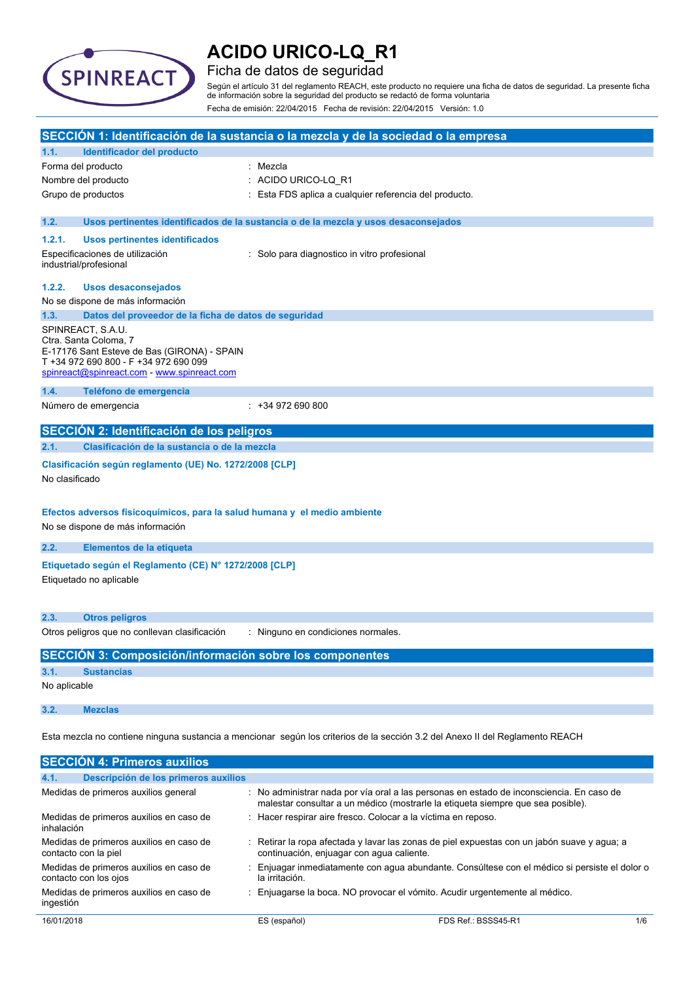

### Ficha de datos de seguridad

Según el artículo 31 del reglamento REACH, este producto no requiere una ficha de datos de seguridad. La presente ficha de información sobre la seguridad del producto se redactó de forma voluntaria Fecha de emisión: 22/04/2015 Fecha de revisión: 22/04/2015 Versión: 1.0

|                                                                                                                               |                                                                                                                                                                                   | SECCIÓN 1: Identificación de la sustancia o la mezcla y de la sociedad o la empresa                                                                                         |
|-------------------------------------------------------------------------------------------------------------------------------|-----------------------------------------------------------------------------------------------------------------------------------------------------------------------------------|-----------------------------------------------------------------------------------------------------------------------------------------------------------------------------|
| 1.1.                                                                                                                          | Identificador del producto                                                                                                                                                        |                                                                                                                                                                             |
|                                                                                                                               | Forma del producto                                                                                                                                                                | : Mezcla                                                                                                                                                                    |
|                                                                                                                               | Nombre del producto                                                                                                                                                               | : ACIDO URICO-LQ R1                                                                                                                                                         |
|                                                                                                                               | Grupo de productos                                                                                                                                                                | Esta FDS aplica a cualquier referencia del producto.                                                                                                                        |
| 1.2.                                                                                                                          |                                                                                                                                                                                   | Usos pertinentes identificados de la sustancia o de la mezcla y usos desaconsejados                                                                                         |
| 1.2.1.                                                                                                                        | <b>Usos pertinentes identificados</b>                                                                                                                                             |                                                                                                                                                                             |
|                                                                                                                               | Especificaciones de utilización<br>industrial/profesional                                                                                                                         | : Solo para diagnostico in vitro profesional                                                                                                                                |
| 1.2.2.                                                                                                                        | <b>Usos desaconsejados</b>                                                                                                                                                        |                                                                                                                                                                             |
|                                                                                                                               | No se dispone de más información                                                                                                                                                  |                                                                                                                                                                             |
| 1.3.                                                                                                                          | Datos del proveedor de la ficha de datos de seguridad                                                                                                                             |                                                                                                                                                                             |
|                                                                                                                               | SPINREACT, S.A.U.<br>Ctra. Santa Coloma, 7<br>E-17176 Sant Esteve de Bas (GIRONA) - SPAIN<br>T +34 972 690 800 - F +34 972 690 099<br>spinreact@spinreact.com - www.spinreact.com |                                                                                                                                                                             |
| 1.4.                                                                                                                          | Teléfono de emergencia                                                                                                                                                            |                                                                                                                                                                             |
|                                                                                                                               | Número de emergencia                                                                                                                                                              | $: +34972690800$                                                                                                                                                            |
|                                                                                                                               | SECCIÓN 2: Identificación de los peligros                                                                                                                                         |                                                                                                                                                                             |
| 2.1.                                                                                                                          | Clasificación de la sustancia o de la mezcla                                                                                                                                      |                                                                                                                                                                             |
| No clasificado                                                                                                                | Clasificación según reglamento (UE) No. 1272/2008 [CLP]                                                                                                                           |                                                                                                                                                                             |
|                                                                                                                               | Efectos adversos fisicoquímicos, para la salud humana y el medio ambiente<br>No se dispone de más información                                                                     |                                                                                                                                                                             |
| 2.2.                                                                                                                          | Elementos de la etiqueta                                                                                                                                                          |                                                                                                                                                                             |
|                                                                                                                               | Etiquetado según el Reglamento (CE) Nº 1272/2008 [CLP]<br>Etiquetado no aplicable                                                                                                 |                                                                                                                                                                             |
| 2.3.                                                                                                                          | <b>Otros peligros</b>                                                                                                                                                             |                                                                                                                                                                             |
|                                                                                                                               | Otros peligros que no conllevan clasificación                                                                                                                                     | : Ninguno en condiciones normales.                                                                                                                                          |
|                                                                                                                               | <b>SECCIÓN 3: Composición/información sobre los componentes</b>                                                                                                                   |                                                                                                                                                                             |
| 3.1.                                                                                                                          | <b>Sustancias</b>                                                                                                                                                                 |                                                                                                                                                                             |
| No aplicable                                                                                                                  |                                                                                                                                                                                   |                                                                                                                                                                             |
| 3.2.                                                                                                                          | <b>Mezclas</b>                                                                                                                                                                    |                                                                                                                                                                             |
| Esta mezcla no contiene ninguna sustancia a mencionar según los criterios de la sección 3.2 del Anexo II del Reglamento REACH |                                                                                                                                                                                   |                                                                                                                                                                             |
|                                                                                                                               | <b>SECCIÓN 4: Primeros auxilios</b>                                                                                                                                               |                                                                                                                                                                             |
| 4.1.                                                                                                                          | Descripción de los primeros auxilios                                                                                                                                              |                                                                                                                                                                             |
|                                                                                                                               | Medidas de primeros auxilios general                                                                                                                                              | : No administrar nada por vía oral a las personas en estado de inconsciencia. En caso de<br>malestar consultar a un médico (mostrarle la etiqueta siempre que sea posible). |
| inhalación                                                                                                                    | Medidas de primeros auxilios en caso de                                                                                                                                           | : Hacer respirar aire fresco. Colocar a la víctima en reposo.                                                                                                               |
|                                                                                                                               | Medidas de primeros auxilios en caso de<br>contacto con la piel                                                                                                                   | : Retirar la ropa afectada y lavar las zonas de piel expuestas con un jabón suave y agua; a<br>continuación, enjuagar con agua caliente.                                    |

- Medidas de primeros auxilios en caso de : Enjuagar inmediatamente con agua abundante. Consúltese con el médico si persiste el dolor o la irritación.
- Medidas de primeros auxilios en caso de : Enjuagarse la boca. NO provocar el vómito. Acudir urgentemente al médico.

contacto con los ojos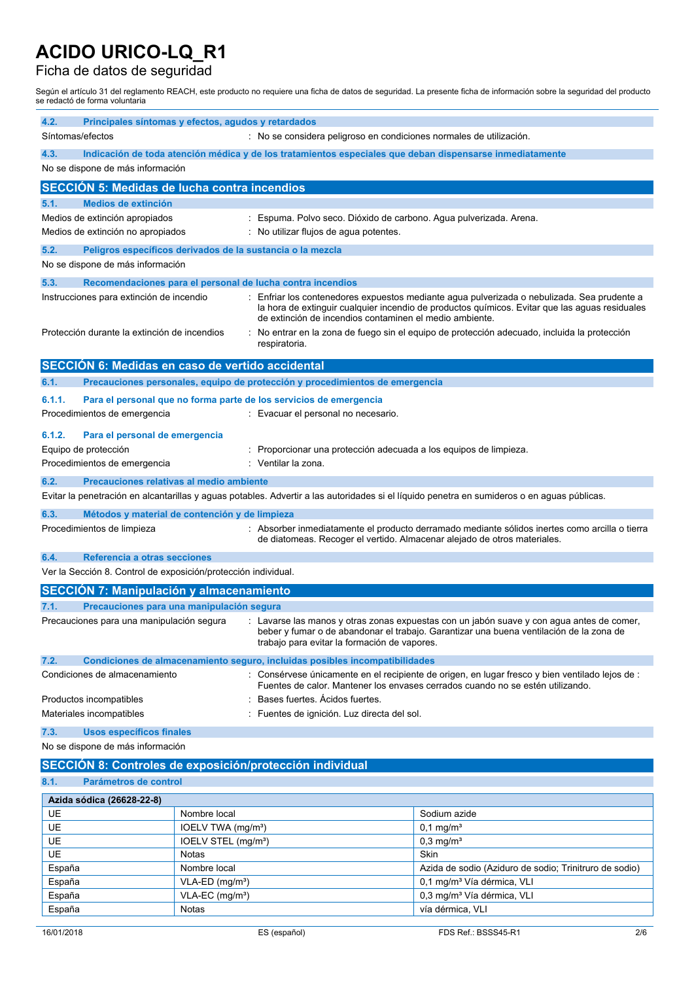## Ficha de datos de seguridad

Según el artículo 31 del reglamento REACH, este producto no requiere una ficha de datos de seguridad. La presente ficha de información sobre la seguridad del producto se redactó de forma voluntaria

| 4.2.<br>Síntomas/efectos                                 | Principales síntomas y efectos, agudos y retardados            |                                 | : No se considera peligroso en condiciones normales de utilización.                                      |                                                                                                                                                                                             |
|----------------------------------------------------------|----------------------------------------------------------------|---------------------------------|----------------------------------------------------------------------------------------------------------|---------------------------------------------------------------------------------------------------------------------------------------------------------------------------------------------|
| 4.3.                                                     |                                                                |                                 | Indicación de toda atención médica y de los tratamientos especiales que deban dispensarse inmediatamente |                                                                                                                                                                                             |
|                                                          | No se dispone de más información                               |                                 |                                                                                                          |                                                                                                                                                                                             |
|                                                          | <b>SECCION 5: Medidas de lucha contra incendios</b>            |                                 |                                                                                                          |                                                                                                                                                                                             |
| 5.1.                                                     | <b>Medios de extinción</b>                                     |                                 |                                                                                                          |                                                                                                                                                                                             |
|                                                          | Medios de extinción apropiados                                 |                                 | Espuma. Polvo seco. Dióxido de carbono. Agua pulverizada. Arena.                                         |                                                                                                                                                                                             |
|                                                          | Medios de extinción no apropiados                              |                                 | : No utilizar flujos de agua potentes.                                                                   |                                                                                                                                                                                             |
| 5.2.                                                     | Peligros específicos derivados de la sustancia o la mezcla     |                                 |                                                                                                          |                                                                                                                                                                                             |
|                                                          | No se dispone de más información                               |                                 |                                                                                                          |                                                                                                                                                                                             |
| 5.3.                                                     |                                                                |                                 | Recomendaciones para el personal de lucha contra incendios                                               |                                                                                                                                                                                             |
|                                                          | Instrucciones para extinción de incendio                       |                                 | de extinción de incendios contaminen el medio ambiente.                                                  | Enfriar los contenedores expuestos mediante agua pulverizada o nebulizada. Sea prudente a<br>la hora de extinguir cualquier incendio de productos químicos. Evitar que las aguas residuales |
|                                                          | Protección durante la extinción de incendios                   |                                 | respiratoria.                                                                                            | No entrar en la zona de fuego sin el equipo de protección adecuado, incluida la protección                                                                                                  |
|                                                          | SECCIÓN 6: Medidas en caso de vertido accidental               |                                 |                                                                                                          |                                                                                                                                                                                             |
| 6.1.                                                     |                                                                |                                 | Precauciones personales, equipo de protección y procedimientos de emergencia                             |                                                                                                                                                                                             |
| 6.1.1.                                                   |                                                                |                                 | Para el personal que no forma parte de los servicios de emergencia                                       |                                                                                                                                                                                             |
|                                                          | Procedimientos de emergencia                                   |                                 | : Evacuar el personal no necesario.                                                                      |                                                                                                                                                                                             |
| 6.1.2.                                                   | Para el personal de emergencia                                 |                                 |                                                                                                          |                                                                                                                                                                                             |
|                                                          | Equipo de protección                                           |                                 | Proporcionar una protección adecuada a los equipos de limpieza.                                          |                                                                                                                                                                                             |
|                                                          | Procedimientos de emergencia                                   |                                 | : Ventilar la zona.                                                                                      |                                                                                                                                                                                             |
| 6.2.                                                     | Precauciones relativas al medio ambiente                       |                                 |                                                                                                          |                                                                                                                                                                                             |
|                                                          |                                                                |                                 |                                                                                                          | Evitar la penetración en alcantarillas y aguas potables. Advertir a las autoridades si el líquido penetra en sumideros o en aguas públicas.                                                 |
| 6.3.                                                     | Métodos y material de contención y de limpieza                 |                                 |                                                                                                          |                                                                                                                                                                                             |
|                                                          | Procedimientos de limpieza                                     |                                 | de diatomeas. Recoger el vertido. Almacenar alejado de otros materiales.                                 | : Absorber inmediatamente el producto derramado mediante sólidos inertes como arcilla o tierra                                                                                              |
| 6.4.                                                     | Referencia a otras secciones                                   |                                 |                                                                                                          |                                                                                                                                                                                             |
|                                                          | Ver la Sección 8. Control de exposición/protección individual. |                                 |                                                                                                          |                                                                                                                                                                                             |
|                                                          | <b>SECCIÓN 7: Manipulación y almacenamiento</b>                |                                 |                                                                                                          |                                                                                                                                                                                             |
| 7.1.                                                     | Precauciones para una manipulación segura                      |                                 |                                                                                                          |                                                                                                                                                                                             |
|                                                          | Precauciones para una manipulación segura                      |                                 | trabajo para evitar la formación de vapores.                                                             | : Lavarse las manos y otras zonas expuestas con un jabón suave y con agua antes de comer,<br>beber y fumar o de abandonar el trabajo. Garantizar una buena ventilación de la zona de        |
| 7.2.                                                     |                                                                |                                 | Condiciones de almacenamiento seguro, incluidas posibles incompatibilidades                              |                                                                                                                                                                                             |
|                                                          | Condiciones de almacenamiento                                  |                                 |                                                                                                          | Consérvese únicamente en el recipiente de origen, en lugar fresco y bien ventilado lejos de :<br>Fuentes de calor. Mantener los envases cerrados cuando no se estén utilizando.             |
|                                                          | Productos incompatibles                                        |                                 | Bases fuertes. Acidos fuertes.                                                                           |                                                                                                                                                                                             |
|                                                          | Materiales incompatibles                                       |                                 | Fuentes de ignición. Luz directa del sol.                                                                |                                                                                                                                                                                             |
| 7.3.                                                     | Usos específicos finales                                       |                                 |                                                                                                          |                                                                                                                                                                                             |
| No se dispone de más información                         |                                                                |                                 |                                                                                                          |                                                                                                                                                                                             |
| SECCIÓN 8: Controles de exposición/protección individual |                                                                |                                 |                                                                                                          |                                                                                                                                                                                             |
| 8.1.<br>Parámetros de control                            |                                                                |                                 |                                                                                                          |                                                                                                                                                                                             |
|                                                          | Azida sódica (26628-22-8)                                      |                                 |                                                                                                          |                                                                                                                                                                                             |
| UE                                                       |                                                                | Nombre local                    |                                                                                                          | Sodium azide                                                                                                                                                                                |
| UE                                                       |                                                                | IOELV TWA (mg/m <sup>3</sup> )  |                                                                                                          | $0,1$ mg/m <sup>3</sup>                                                                                                                                                                     |
| UE                                                       |                                                                | IOELV STEL (mg/m <sup>3</sup> ) |                                                                                                          | $0,3$ mg/m <sup>3</sup>                                                                                                                                                                     |
| UE                                                       |                                                                | Notas                           |                                                                                                          | Skin                                                                                                                                                                                        |
| España                                                   |                                                                | Nombre local                    |                                                                                                          | Azida de sodio (Aziduro de sodio; Trinitruro de sodio)                                                                                                                                      |
| España                                                   |                                                                | VLA-ED (mg/m <sup>3</sup> )     |                                                                                                          | 0,1 mg/m <sup>3</sup> Vía dérmica, VLI                                                                                                                                                      |
| España                                                   |                                                                | VLA-EC (mg/m <sup>3</sup> )     |                                                                                                          | 0,3 mg/m <sup>3</sup> Vía dérmica, VLI                                                                                                                                                      |
| España                                                   |                                                                | Notas                           |                                                                                                          | vía dérmica, VLI                                                                                                                                                                            |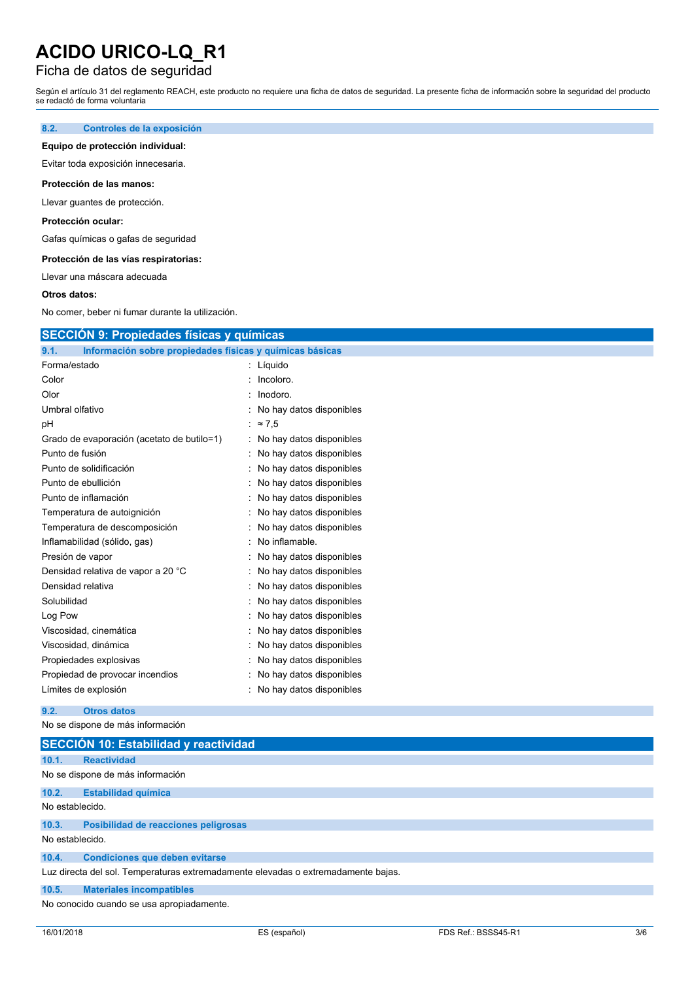## Ficha de datos de seguridad

Según el artículo 31 del reglamento REACH, este producto no requiere una ficha de datos de seguridad. La presente ficha de información sobre la seguridad del producto se redactó de forma voluntaria

#### **8.2. Controles de la exposición**

#### **Equipo de protección individual:**

Evitar toda exposición innecesaria.

#### **Protección de las manos:**

Llevar guantes de protección.

#### **Protección ocular:**

Gafas químicas o gafas de seguridad

#### **Protección de las vías respiratorias:**

Llevar una máscara adecuada

#### **Otros datos:**

No comer, beber ni fumar durante la utilización.

| Información sobre propiedades físicas y químicas básicas<br>9.1. |                            |
|------------------------------------------------------------------|----------------------------|
| Forma/estado                                                     | : Líquido                  |
| Color                                                            | Incoloro.                  |
| Olor                                                             | : Inodoro.                 |
| Umbral olfativo                                                  | No hay datos disponibles   |
| pH                                                               | : $\approx 7.5$            |
| Grado de evaporación (acetato de butilo=1)                       | : No hay datos disponibles |
| Punto de fusión                                                  | : No hay datos disponibles |
| Punto de solidificación                                          | No hay datos disponibles   |
| Punto de ebullición                                              | : No hay datos disponibles |
| Punto de inflamación                                             | No hay datos disponibles   |
| Temperatura de autoignición                                      | No hay datos disponibles   |
| Temperatura de descomposición                                    | No hay datos disponibles   |
| Inflamabilidad (sólido, gas)                                     | No inflamable.             |
| Presión de vapor                                                 | No hay datos disponibles   |
| Densidad relativa de vapor a 20 °C                               | No hay datos disponibles   |
| Densidad relativa                                                | No hay datos disponibles   |
| Solubilidad                                                      | : No hay datos disponibles |
| Log Pow                                                          | No hay datos disponibles   |
| Viscosidad, cinemática                                           | No hay datos disponibles   |
| Viscosidad, dinámica                                             | No hay datos disponibles   |
| Propiedades explosivas                                           | : No hay datos disponibles |
| Propiedad de provocar incendios                                  | No hay datos disponibles   |
| Límites de explosión                                             | No hay datos disponibles   |

No se dispone de más información

|                 | <b>SECCIÓN 10: Estabilidad y reactividad</b>                                      |
|-----------------|-----------------------------------------------------------------------------------|
| 10.1.           | <b>Reactividad</b>                                                                |
|                 | No se dispone de más información                                                  |
| 10.2.           | <b>Estabilidad química</b>                                                        |
| No establecido. |                                                                                   |
| 10.3.           | Posibilidad de reacciones peligrosas                                              |
| No establecido. |                                                                                   |
| 10.4.           | <b>Condiciones que deben evitarse</b>                                             |
|                 | Luz directa del sol. Temperaturas extremadamente elevadas o extremadamente bajas. |
| 10.5.           | <b>Materiales incompatibles</b>                                                   |
|                 | No conocido cuando se usa apropiadamente.                                         |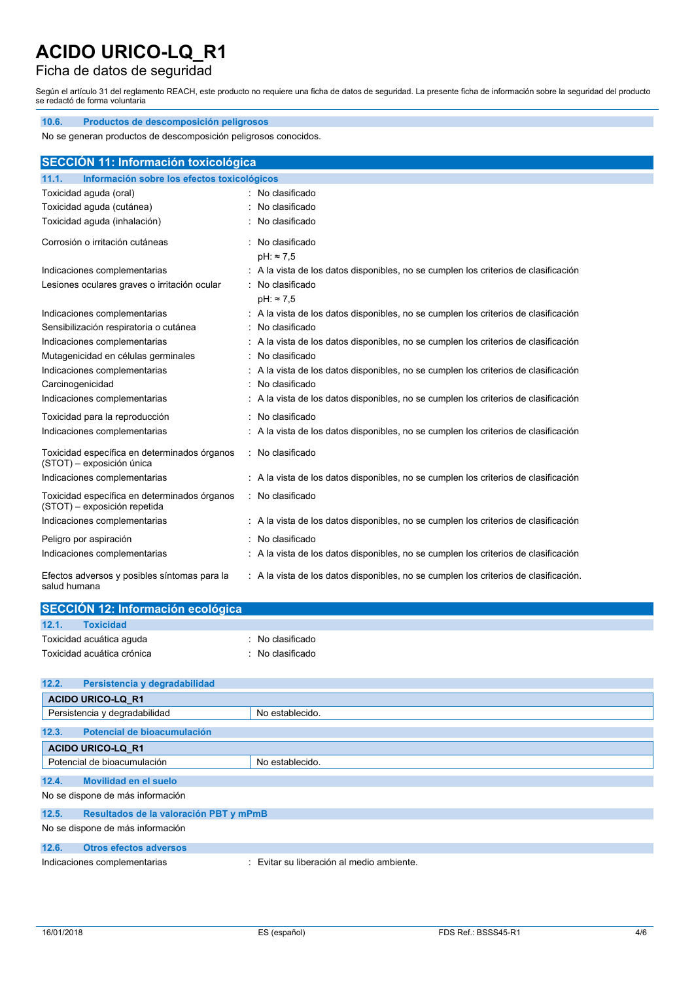**10.6. Productos de descomposición peligrosos**

### Ficha de datos de seguridad

Según el artículo 31 del reglamento REACH, este producto no requiere una ficha de datos de seguridad. La presente ficha de información sobre la seguridad del producto se redactó de forma voluntaria

| No se generan productos de descomposición peligrosos conocidos.              |                                                                                                         |  |  |
|------------------------------------------------------------------------------|---------------------------------------------------------------------------------------------------------|--|--|
| SECCIÓN 11: Información toxicológica                                         |                                                                                                         |  |  |
| Información sobre los efectos toxicológicos<br>11.1.                         |                                                                                                         |  |  |
| Toxicidad aguda (oral)                                                       | : No clasificado                                                                                        |  |  |
| Toxicidad aguda (cutánea)                                                    | : No clasificado                                                                                        |  |  |
| Toxicidad aguda (inhalación)                                                 | : No clasificado                                                                                        |  |  |
| Corrosión o irritación cutáneas                                              | : No clasificado                                                                                        |  |  |
|                                                                              | $pH: \approx 7.5$                                                                                       |  |  |
| Indicaciones complementarias                                                 | : A la vista de los datos disponibles, no se cumplen los criterios de clasificación<br>: No clasificado |  |  |
| Lesiones oculares graves o irritación ocular                                 | $pH: \approx 7.5$                                                                                       |  |  |
| Indicaciones complementarias                                                 | : A la vista de los datos disponibles, no se cumplen los criterios de clasificación                     |  |  |
| Sensibilización respiratoria o cutánea                                       | : No clasificado                                                                                        |  |  |
| Indicaciones complementarias                                                 | : A la vista de los datos disponibles, no se cumplen los criterios de clasificación                     |  |  |
| Mutagenicidad en células germinales                                          | No clasificado                                                                                          |  |  |
| Indicaciones complementarias                                                 | : A la vista de los datos disponibles, no se cumplen los criterios de clasificación                     |  |  |
| Carcinogenicidad                                                             | No clasificado                                                                                          |  |  |
| Indicaciones complementarias                                                 | : A la vista de los datos disponibles, no se cumplen los criterios de clasificación                     |  |  |
| Toxicidad para la reproducción                                               | : No clasificado                                                                                        |  |  |
| Indicaciones complementarias                                                 | : A la vista de los datos disponibles, no se cumplen los criterios de clasificación                     |  |  |
| Toxicidad específica en determinados órganos<br>(STOT) - exposición única    | : No clasificado                                                                                        |  |  |
| Indicaciones complementarias                                                 | : A la vista de los datos disponibles, no se cumplen los criterios de clasificación                     |  |  |
| Toxicidad específica en determinados órganos<br>(STOT) - exposición repetida | : No clasificado                                                                                        |  |  |
| Indicaciones complementarias                                                 | : A la vista de los datos disponibles, no se cumplen los criterios de clasificación                     |  |  |
| Peligro por aspiración                                                       | No clasificado                                                                                          |  |  |
| Indicaciones complementarias                                                 | : A la vista de los datos disponibles, no se cumplen los criterios de clasificación                     |  |  |
| Efectos adversos y posibles síntomas para la<br>salud humana                 | : A la vista de los datos disponibles, no se cumplen los criterios de clasificación.                    |  |  |

| SECCIÓN 12: Información ecológica |                |  |
|-----------------------------------|----------------|--|
| 12.1.<br><b>Toxicidad</b>         |                |  |
| Toxicidad acuática aguda          | No clasificado |  |
| Toxicidad acuática crónica        | No clasificado |  |

| 12.2.                                                                     | Persistencia y degradabilidad          |                 |
|---------------------------------------------------------------------------|----------------------------------------|-----------------|
|                                                                           | <b>ACIDO URICO-LQ R1</b>               |                 |
|                                                                           | Persistencia y degradabilidad          | No establecido. |
| 12.3.                                                                     | Potencial de bioacumulación            |                 |
|                                                                           | <b>ACIDO URICO-LQ R1</b>               |                 |
|                                                                           | Potencial de bioacumulación            | No establecido. |
| 12.4.                                                                     | Movilidad en el suelo                  |                 |
| No se dispone de más información                                          |                                        |                 |
| 12.5.                                                                     | Resultados de la valoración PBT y mPmB |                 |
|                                                                           | No se dispone de más información       |                 |
| 12.6.                                                                     | <b>Otros efectos adversos</b>          |                 |
| : Evitar su liberación al medio ambiente.<br>Indicaciones complementarias |                                        |                 |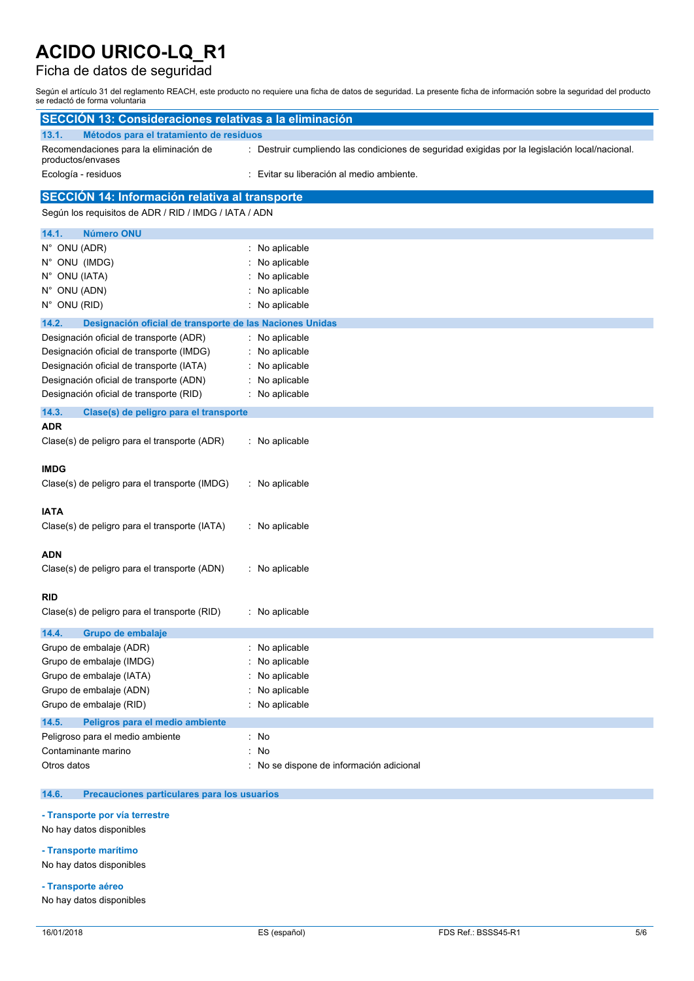### Ficha de datos de seguridad

Según el artículo 31 del reglamento REACH, este producto no requiere una ficha de datos de seguridad. La presente ficha de información sobre la seguridad del producto se redactó de forma voluntaria

| <b>SECCIÓN 13: Consideraciones relativas a la eliminación</b>     |                                                                                                |
|-------------------------------------------------------------------|------------------------------------------------------------------------------------------------|
| Métodos para el tratamiento de residuos<br>13.1.                  |                                                                                                |
| Recomendaciones para la eliminación de<br>productos/envases       | : Destruir cumpliendo las condiciones de seguridad exigidas por la legislación local/nacional. |
| Ecología - residuos                                               | Evitar su liberación al medio ambiente.                                                        |
| <b>SECCIÓN 14: Información relativa al transporte</b>             |                                                                                                |
| Según los requisitos de ADR / RID / IMDG / IATA / ADN             |                                                                                                |
| 14.1.<br><b>Número ONU</b>                                        |                                                                                                |
| N° ONU (ADR)                                                      | : No aplicable                                                                                 |
| N° ONU (IMDG)                                                     | No aplicable                                                                                   |
| N° ONU (IATA)                                                     | No aplicable                                                                                   |
| N° ONU (ADN)                                                      | No aplicable                                                                                   |
| N° ONU (RID)                                                      | No aplicable                                                                                   |
| 14.2.<br>Designación oficial de transporte de las Naciones Unidas |                                                                                                |
| Designación oficial de transporte (ADR)                           | No aplicable                                                                                   |
| Designación oficial de transporte (IMDG)                          | No aplicable                                                                                   |
| Designación oficial de transporte (IATA)                          | No aplicable                                                                                   |
| Designación oficial de transporte (ADN)                           | No aplicable                                                                                   |
| Designación oficial de transporte (RID)                           | No aplicable                                                                                   |
| 14.3.<br>Clase(s) de peligro para el transporte                   |                                                                                                |
| ADR                                                               |                                                                                                |
| Clase(s) de peligro para el transporte (ADR)                      | : No aplicable                                                                                 |
|                                                                   |                                                                                                |
| IMDG                                                              |                                                                                                |
| Clase(s) de peligro para el transporte (IMDG)                     | : No aplicable                                                                                 |
| <b>IATA</b>                                                       |                                                                                                |
| Clase(s) de peligro para el transporte (IATA)                     | : No aplicable                                                                                 |
|                                                                   |                                                                                                |
| ADN                                                               |                                                                                                |
| Clase(s) de peligro para el transporte (ADN)                      | : No aplicable                                                                                 |
|                                                                   |                                                                                                |
| RID                                                               |                                                                                                |
| Clase(s) de peligro para el transporte (RID)                      | : No aplicable                                                                                 |
| 14.4.<br>Grupo de embalaje                                        |                                                                                                |
| Grupo de embalaje (ADR)                                           | No aplicable                                                                                   |
| Grupo de embalaje (IMDG)                                          | No aplicable                                                                                   |
| Grupo de embalaje (IATA)                                          | No aplicable                                                                                   |
| Grupo de embalaje (ADN)                                           | No aplicable                                                                                   |
| Grupo de embalaje (RID)                                           | No aplicable                                                                                   |
| 14.5.<br>Peligros para el medio ambiente                          |                                                                                                |
| Peligroso para el medio ambiente                                  | : No                                                                                           |
| Contaminante marino                                               | No<br>÷.                                                                                       |
| Otros datos                                                       | : No se dispone de información adicional                                                       |
|                                                                   |                                                                                                |

#### **14.6. Precauciones particulares para los usuarios**

**- Transporte por vía terrestre**

No hay datos disponibles

#### **- Transporte marítimo**

No hay datos disponibles

**- Transporte aéreo**

No hay datos disponibles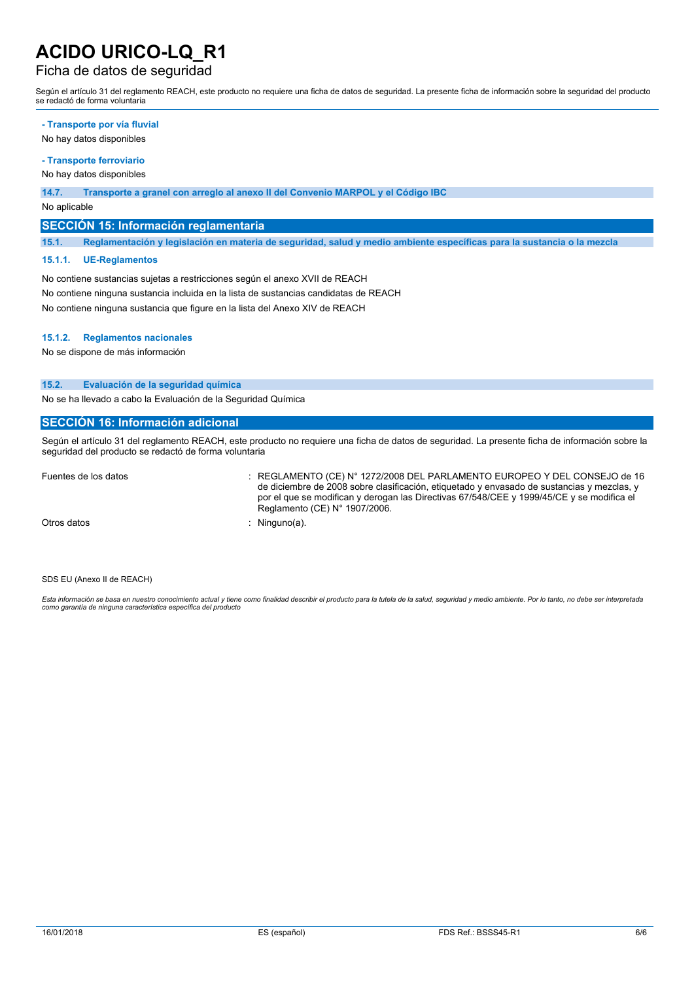### Ficha de datos de seguridad

Según el artículo 31 del reglamento REACH, este producto no requiere una ficha de datos de seguridad. La presente ficha de información sobre la seguridad del producto se redactó de forma voluntaria

#### **- Transporte por vía fluvial**

No hay datos disponibles

### **- Transporte ferroviario**

No hay datos disponibles

#### **14.7. Transporte a granel con arreglo al anexo II del Convenio MARPOL y el Código IBC**

No aplicable

#### **SECCIÓN 15: Información reglamentaria**

15.1. Reglamentación y legislación en materia de seguridad, salud y medio ambiente específicas para la sustancia o la mezcla

#### **15.1.1. UE-Reglamentos**

No contiene sustancias sujetas a restricciones según el anexo XVII de REACH No contiene ninguna sustancia incluida en la lista de sustancias candidatas de REACH No contiene ninguna sustancia que figure en la lista del Anexo XIV de REACH

#### **15.1.2. Reglamentos nacionales**

No se dispone de más información

#### **15.2. Evaluación de la seguridad química**

No se ha llevado a cabo la Evaluación de la Seguridad Química

#### **SECCIÓN 16: Información adicional**

Según el artículo 31 del reglamento REACH, este producto no requiere una ficha de datos de seguridad. La presente ficha de información sobre la seguridad del producto se redactó de forma voluntaria

Fuentes de los datos : REGLAMENTO (CE) N° 1272/2008 DEL PARLAMENTO EUROPEO Y DEL CONSEJO de 16 de diciembre de 2008 sobre clasificación, etiquetado y envasado de sustancias y mezclas, y por el que se modifican y derogan las Directivas 67/548/CEE y 1999/45/CE y se modifica el Reglamento (CE) N° 1907/2006.

Otros datos : Ninguno(a).

SDS EU (Anexo II de REACH)

Esta información se basa en nuestro conocimiento actual y tiene como finalidad describir el producto para la tutela de la salud, seguridad y medio ambiente. Por lo tanto, no debe ser interpretada *como garantía de ninguna característica específica del producto*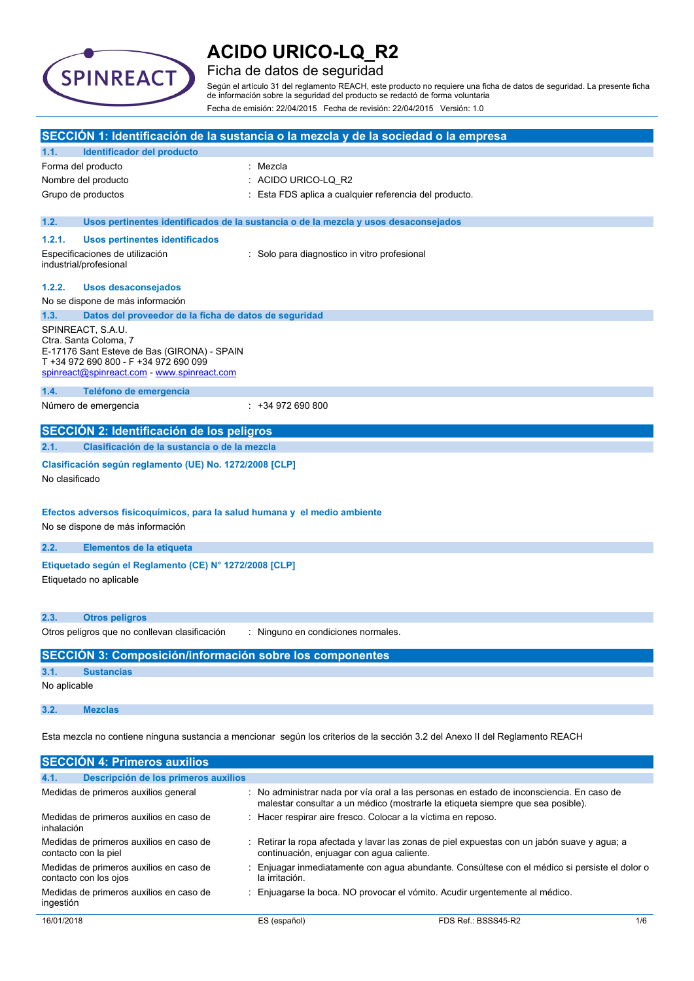

### Ficha de datos de seguridad

Según el artículo 31 del reglamento REACH, este producto no requiere una ficha de datos de seguridad. La presente ficha de información sobre la seguridad del producto se redactó de forma voluntaria Fecha de emisión: 22/04/2015 Fecha de revisión: 22/04/2015 Versión: 1.0

|                |                                                                                                                                                                                   | SECCIÓN 1: Identificación de la sustancia o la mezcla y de la sociedad o la empresa                                                                                       |
|----------------|-----------------------------------------------------------------------------------------------------------------------------------------------------------------------------------|---------------------------------------------------------------------------------------------------------------------------------------------------------------------------|
| 1.1.           | Identificador del producto                                                                                                                                                        |                                                                                                                                                                           |
|                | Forma del producto                                                                                                                                                                | : Mezcla                                                                                                                                                                  |
|                | Nombre del producto                                                                                                                                                               | : ACIDO URICO-LQ R2                                                                                                                                                       |
|                | Grupo de productos                                                                                                                                                                | Esta FDS aplica a cualquier referencia del producto.                                                                                                                      |
| 1.2.           |                                                                                                                                                                                   | Usos pertinentes identificados de la sustancia o de la mezcla y usos desaconsejados                                                                                       |
| 1.2.1.         | <b>Usos pertinentes identificados</b>                                                                                                                                             |                                                                                                                                                                           |
|                | Especificaciones de utilización<br>industrial/profesional                                                                                                                         | : Solo para diagnostico in vitro profesional                                                                                                                              |
| 1.2.2.         | <b>Usos desaconsejados</b>                                                                                                                                                        |                                                                                                                                                                           |
|                | No se dispone de más información                                                                                                                                                  |                                                                                                                                                                           |
| 1.3.           | Datos del proveedor de la ficha de datos de seguridad                                                                                                                             |                                                                                                                                                                           |
|                | SPINREACT, S.A.U.<br>Ctra. Santa Coloma, 7<br>E-17176 Sant Esteve de Bas (GIRONA) - SPAIN<br>T +34 972 690 800 - F +34 972 690 099<br>spinreact@spinreact.com - www.spinreact.com |                                                                                                                                                                           |
| 1.4.           | Teléfono de emergencia                                                                                                                                                            |                                                                                                                                                                           |
|                | Número de emergencia                                                                                                                                                              | $: +34972690800$                                                                                                                                                          |
|                | SECCIÓN 2: Identificación de los peligros                                                                                                                                         |                                                                                                                                                                           |
| 2.1.           | Clasificación de la sustancia o de la mezcla                                                                                                                                      |                                                                                                                                                                           |
| No clasificado | Clasificación según reglamento (UE) No. 1272/2008 [CLP]                                                                                                                           |                                                                                                                                                                           |
|                | Efectos adversos fisicoquímicos, para la salud humana y el medio ambiente<br>No se dispone de más información                                                                     |                                                                                                                                                                           |
| 2.2.           | Elementos de la etiqueta                                                                                                                                                          |                                                                                                                                                                           |
|                | Etiquetado según el Reglamento (CE) Nº 1272/2008 [CLP]<br>Etiquetado no aplicable                                                                                                 |                                                                                                                                                                           |
| 2.3.           | <b>Otros peligros</b>                                                                                                                                                             |                                                                                                                                                                           |
|                | Otros peligros que no conllevan clasificación                                                                                                                                     | : Ninguno en condiciones normales.                                                                                                                                        |
|                | <b>SECCIÓN 3: Composición/información sobre los componentes</b>                                                                                                                   |                                                                                                                                                                           |
| 3.1.           | <b>Sustancias</b>                                                                                                                                                                 |                                                                                                                                                                           |
| No aplicable   |                                                                                                                                                                                   |                                                                                                                                                                           |
| 3.2.           | <b>Mezclas</b>                                                                                                                                                                    |                                                                                                                                                                           |
|                |                                                                                                                                                                                   | Esta mezcla no contiene ninguna sustancia a mencionar según los criterios de la sección 3.2 del Anexo II del Reglamento REACH                                             |
|                | <b>SECCIÓN 4: Primeros auxilios</b>                                                                                                                                               |                                                                                                                                                                           |
| 4.1.           | Descripción de los primeros auxilios                                                                                                                                              |                                                                                                                                                                           |
|                | Medidas de primeros auxilios general                                                                                                                                              | No administrar nada por vía oral a las personas en estado de inconsciencia. En caso de<br>malestar consultar a un médico (mostrarle la etiqueta siempre que sea posible). |
| inhalación     | Medidas de primeros auxilios en caso de                                                                                                                                           | Hacer respirar aire fresco. Colocar a la víctima en reposo.                                                                                                               |
|                | Medidas de primeros auxilios en caso de<br>contacto con la piel                                                                                                                   | Retirar la ropa afectada y lavar las zonas de piel expuestas con un jabón suave y agua; a<br>continuación, enjuagar con agua caliente.                                    |

- Medidas de primeros auxilios en caso de : Enjuagar inmediatamente con agua abundante. Consúltese con el médico si persiste el dolor o la irritación.
- Medidas de primeros auxilios en caso de ingestión : Enjuagarse la boca. NO provocar el vómito. Acudir urgentemente al médico.

contacto con los ojos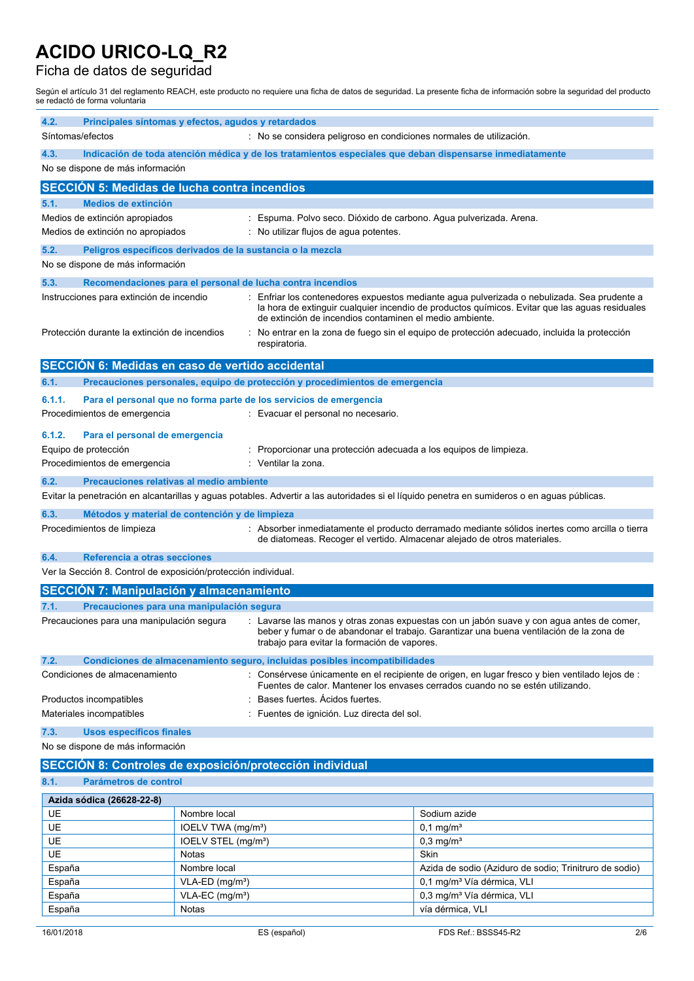## Ficha de datos de seguridad

Según el artículo 31 del reglamento REACH, este producto no requiere una ficha de datos de seguridad. La presente ficha de información sobre la seguridad del producto se redactó de forma voluntaria

| 4.2.   | Principales síntomas y efectos, agudos y retardados<br>Síntomas/efectos<br>: No se considera peligroso en condiciones normales de utilización.                                                                                                                                    |                                 |                                                                              |                                                                                                                                                                                             |
|--------|-----------------------------------------------------------------------------------------------------------------------------------------------------------------------------------------------------------------------------------------------------------------------------------|---------------------------------|------------------------------------------------------------------------------|---------------------------------------------------------------------------------------------------------------------------------------------------------------------------------------------|
| 4.3.   | Indicación de toda atención médica y de los tratamientos especiales que deban dispensarse inmediatamente                                                                                                                                                                          |                                 |                                                                              |                                                                                                                                                                                             |
|        | No se dispone de más información                                                                                                                                                                                                                                                  |                                 |                                                                              |                                                                                                                                                                                             |
|        | <b>SECCION 5: Medidas de lucha contra incendios</b>                                                                                                                                                                                                                               |                                 |                                                                              |                                                                                                                                                                                             |
| 5.1.   | <b>Medios de extinción</b>                                                                                                                                                                                                                                                        |                                 |                                                                              |                                                                                                                                                                                             |
|        | Medios de extinción apropiados                                                                                                                                                                                                                                                    |                                 | : Espuma. Polvo seco. Dióxido de carbono. Agua pulverizada. Arena.           |                                                                                                                                                                                             |
|        | Medios de extinción no apropiados                                                                                                                                                                                                                                                 |                                 | : No utilizar flujos de agua potentes.                                       |                                                                                                                                                                                             |
| 5.2.   | Peligros específicos derivados de la sustancia o la mezcla                                                                                                                                                                                                                        |                                 |                                                                              |                                                                                                                                                                                             |
|        | No se dispone de más información                                                                                                                                                                                                                                                  |                                 |                                                                              |                                                                                                                                                                                             |
| 5.3.   |                                                                                                                                                                                                                                                                                   |                                 | Recomendaciones para el personal de lucha contra incendios                   |                                                                                                                                                                                             |
|        | Instrucciones para extinción de incendio                                                                                                                                                                                                                                          |                                 | de extinción de incendios contaminen el medio ambiente.                      | Enfriar los contenedores expuestos mediante agua pulverizada o nebulizada. Sea prudente a<br>la hora de extinguir cualquier incendio de productos químicos. Evitar que las aguas residuales |
|        | Protección durante la extinción de incendios                                                                                                                                                                                                                                      |                                 | respiratoria.                                                                | No entrar en la zona de fuego sin el equipo de protección adecuado, incluida la protección                                                                                                  |
|        | SECCIÓN 6: Medidas en caso de vertido accidental                                                                                                                                                                                                                                  |                                 |                                                                              |                                                                                                                                                                                             |
| 6.1.   |                                                                                                                                                                                                                                                                                   |                                 | Precauciones personales, equipo de protección y procedimientos de emergencia |                                                                                                                                                                                             |
| 6.1.1. |                                                                                                                                                                                                                                                                                   |                                 | Para el personal que no forma parte de los servicios de emergencia           |                                                                                                                                                                                             |
|        | Procedimientos de emergencia                                                                                                                                                                                                                                                      |                                 | : Evacuar el personal no necesario.                                          |                                                                                                                                                                                             |
| 6.1.2. | Para el personal de emergencia                                                                                                                                                                                                                                                    |                                 |                                                                              |                                                                                                                                                                                             |
|        | Equipo de protección                                                                                                                                                                                                                                                              |                                 | Proporcionar una protección adecuada a los equipos de limpieza.              |                                                                                                                                                                                             |
|        | Procedimientos de emergencia                                                                                                                                                                                                                                                      |                                 | : Ventilar la zona.                                                          |                                                                                                                                                                                             |
| 6.2.   | Precauciones relativas al medio ambiente                                                                                                                                                                                                                                          |                                 |                                                                              |                                                                                                                                                                                             |
|        |                                                                                                                                                                                                                                                                                   |                                 |                                                                              | Evitar la penetración en alcantarillas y aguas potables. Advertir a las autoridades si el líquido penetra en sumideros o en aguas públicas.                                                 |
| 6.3.   |                                                                                                                                                                                                                                                                                   |                                 |                                                                              |                                                                                                                                                                                             |
|        | Métodos y material de contención y de limpieza<br>Procedimientos de limpieza<br>: Absorber inmediatamente el producto derramado mediante sólidos inertes como arcilla o tierra<br>de diatomeas. Recoger el vertido. Almacenar alejado de otros materiales.                        |                                 |                                                                              |                                                                                                                                                                                             |
| 6.4.   | Referencia a otras secciones                                                                                                                                                                                                                                                      |                                 |                                                                              |                                                                                                                                                                                             |
|        | Ver la Sección 8. Control de exposición/protección individual.                                                                                                                                                                                                                    |                                 |                                                                              |                                                                                                                                                                                             |
|        | <b>SECCIÓN 7: Manipulación y almacenamiento</b>                                                                                                                                                                                                                                   |                                 |                                                                              |                                                                                                                                                                                             |
| 7.1.   | Precauciones para una manipulación segura                                                                                                                                                                                                                                         |                                 |                                                                              |                                                                                                                                                                                             |
|        | Precauciones para una manipulación segura<br>: Lavarse las manos y otras zonas expuestas con un jabón suave y con agua antes de comer,<br>beber y fumar o de abandonar el trabajo. Garantizar una buena ventilación de la zona de<br>trabajo para evitar la formación de vapores. |                                 |                                                                              |                                                                                                                                                                                             |
| 7.2.   |                                                                                                                                                                                                                                                                                   |                                 | Condiciones de almacenamiento seguro, incluidas posibles incompatibilidades  |                                                                                                                                                                                             |
|        | Condiciones de almacenamiento                                                                                                                                                                                                                                                     |                                 |                                                                              | : Consérvese únicamente en el recipiente de origen, en lugar fresco y bien ventilado lejos de :<br>Fuentes de calor. Mantener los envases cerrados cuando no se estén utilizando.           |
|        | Productos incompatibles                                                                                                                                                                                                                                                           |                                 | Bases fuertes. Acidos fuertes.                                               |                                                                                                                                                                                             |
|        | Materiales incompatibles                                                                                                                                                                                                                                                          |                                 | Fuentes de ignición. Luz directa del sol.                                    |                                                                                                                                                                                             |
| 7.3.   | Usos específicos finales                                                                                                                                                                                                                                                          |                                 |                                                                              |                                                                                                                                                                                             |
|        | No se dispone de más información                                                                                                                                                                                                                                                  |                                 |                                                                              |                                                                                                                                                                                             |
|        |                                                                                                                                                                                                                                                                                   |                                 | SECCIÓN 8: Controles de exposición/protección individual                     |                                                                                                                                                                                             |
| 8.1.   | Parámetros de control                                                                                                                                                                                                                                                             |                                 |                                                                              |                                                                                                                                                                                             |
|        | Azida sódica (26628-22-8)                                                                                                                                                                                                                                                         |                                 |                                                                              |                                                                                                                                                                                             |
| UE     |                                                                                                                                                                                                                                                                                   | Nombre local                    |                                                                              | Sodium azide                                                                                                                                                                                |
| UE     |                                                                                                                                                                                                                                                                                   | IOELV TWA (mg/m <sup>3</sup> )  |                                                                              | $0,1$ mg/m <sup>3</sup>                                                                                                                                                                     |
| UE     |                                                                                                                                                                                                                                                                                   | IOELV STEL (mg/m <sup>3</sup> ) |                                                                              | $0,3$ mg/m <sup>3</sup>                                                                                                                                                                     |
| UE     |                                                                                                                                                                                                                                                                                   | Notas                           |                                                                              | Skin                                                                                                                                                                                        |
| España |                                                                                                                                                                                                                                                                                   | Nombre local                    |                                                                              | Azida de sodio (Aziduro de sodio; Trinitruro de sodio)                                                                                                                                      |
| España |                                                                                                                                                                                                                                                                                   | VLA-ED (mg/m <sup>3</sup> )     |                                                                              | 0,1 mg/m <sup>3</sup> Vía dérmica, VLI                                                                                                                                                      |
| España |                                                                                                                                                                                                                                                                                   | VLA-EC (mg/m <sup>3</sup> )     |                                                                              | 0,3 mg/m <sup>3</sup> Vía dérmica, VLI                                                                                                                                                      |
| España |                                                                                                                                                                                                                                                                                   | Notas                           |                                                                              | vía dérmica, VLI                                                                                                                                                                            |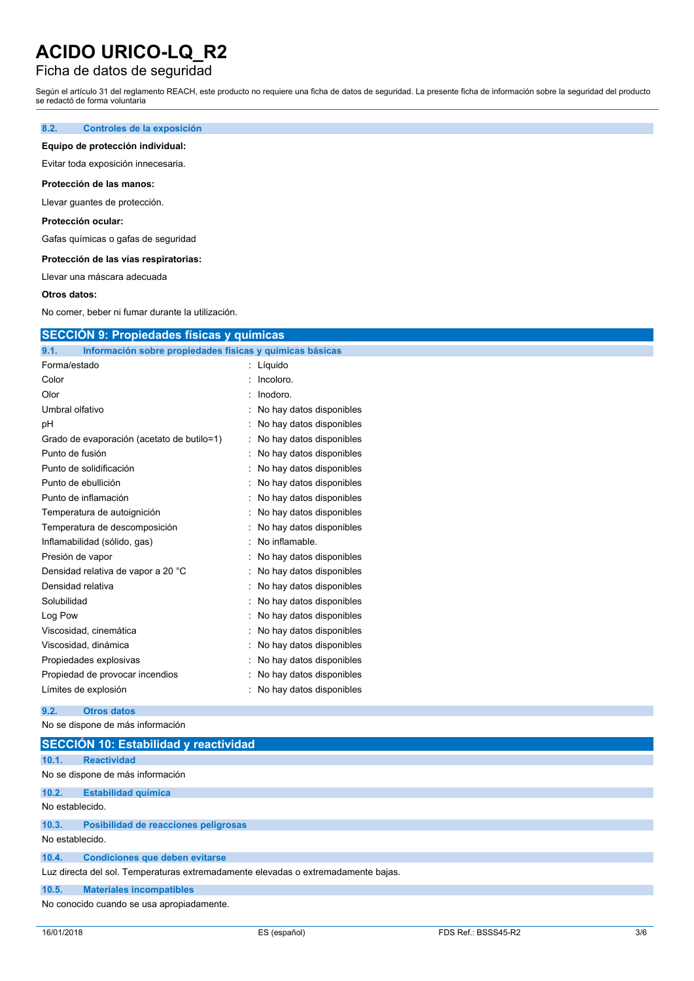### Ficha de datos de seguridad

Según el artículo 31 del reglamento REACH, este producto no requiere una ficha de datos de seguridad. La presente ficha de información sobre la seguridad del producto se redactó de forma voluntaria

#### **8.2. Controles de la exposición**

#### **Equipo de protección individual:**

Evitar toda exposición innecesaria.

#### **Protección de las manos:**

Llevar guantes de protección.

#### **Protección ocular:**

Gafas químicas o gafas de seguridad

#### **Protección de las vías respiratorias:**

Llevar una máscara adecuada

#### **Otros datos:**

No comer, beber ni fumar durante la utilización.

## **SECCIÓN 9: Propiedades físicas y químicas**

| 9.1.                | Información sobre propiedades físicas y químicas básicas |                          |
|---------------------|----------------------------------------------------------|--------------------------|
| Forma/estado        |                                                          | Líquido                  |
| Color               |                                                          | Incoloro.                |
| Olor                |                                                          | Inodoro.                 |
| Umbral olfativo     |                                                          | No hay datos disponibles |
| рH                  |                                                          | No hay datos disponibles |
|                     | Grado de evaporación (acetato de butilo=1)               | No hay datos disponibles |
| Punto de fusión     |                                                          | No hay datos disponibles |
|                     | Punto de solidificación                                  | No hay datos disponibles |
| Punto de ebullición |                                                          | No hay datos disponibles |
|                     | Punto de inflamación                                     | No hay datos disponibles |
|                     | Temperatura de autoignición                              | No hay datos disponibles |
|                     | Temperatura de descomposición                            | No hay datos disponibles |
|                     | Inflamabilidad (sólido, gas)                             | No inflamable.           |
| Presión de vapor    |                                                          | No hay datos disponibles |
|                     | Densidad relativa de vapor a 20 °C                       | No hay datos disponibles |
| Densidad relativa   |                                                          | No hay datos disponibles |
| Solubilidad         |                                                          | No hay datos disponibles |
| Log Pow             |                                                          | No hay datos disponibles |
|                     | Viscosidad, cinemática                                   | No hay datos disponibles |
|                     | Viscosidad, dinámica                                     | No hay datos disponibles |
|                     | Propiedades explosivas                                   | No hay datos disponibles |
|                     | Propiedad de provocar incendios                          | No hay datos disponibles |
|                     | Límites de explosión                                     | No hay datos disponibles |

#### **9.2. Otros datos**

No se dispone de más información

|                 | SECCIÓN 10: Estabilidad y reactividad                                             |
|-----------------|-----------------------------------------------------------------------------------|
| 10.1.           | <b>Reactividad</b>                                                                |
|                 | No se dispone de más información                                                  |
| 10.2.           | <b>Estabilidad química</b>                                                        |
| No establecido. |                                                                                   |
| 10.3.           | Posibilidad de reacciones peligrosas                                              |
| No establecido. |                                                                                   |
| 10.4.           | <b>Condiciones que deben evitarse</b>                                             |
|                 | Luz directa del sol. Temperaturas extremadamente elevadas o extremadamente bajas. |
| 10.5.           | <b>Materiales incompatibles</b>                                                   |
|                 | No conocido cuando se usa apropiadamente.                                         |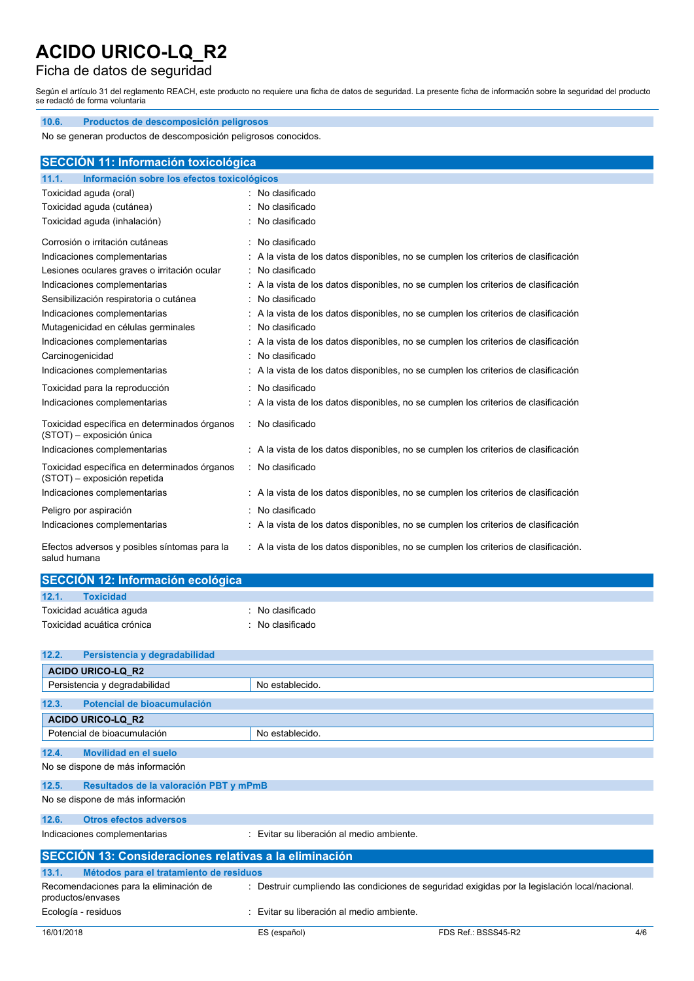## Ficha de datos de seguridad

Según el artículo 31 del reglamento REACH, este producto no requiere una ficha de datos de seguridad. La presente ficha de información sobre la seguridad del producto se redactó de forma voluntaria

| No se generan productos de descomposición peligrosos conocidos.<br><b>SECCIÓN 11: Información toxicológica</b><br>Información sobre los efectos toxicológicos<br>11.1.<br>Toxicidad aguda (oral)<br>: No clasificado |  |
|----------------------------------------------------------------------------------------------------------------------------------------------------------------------------------------------------------------------|--|
|                                                                                                                                                                                                                      |  |
|                                                                                                                                                                                                                      |  |
|                                                                                                                                                                                                                      |  |
|                                                                                                                                                                                                                      |  |
|                                                                                                                                                                                                                      |  |
| No clasificado<br>Toxicidad aguda (cutánea)                                                                                                                                                                          |  |
| Toxicidad aguda (inhalación)<br>No clasificado                                                                                                                                                                       |  |
| : No clasificado<br>Corrosión o irritación cutáneas                                                                                                                                                                  |  |
| Indicaciones complementarias<br>: A la vista de los datos disponibles, no se cumplen los criterios de clasificación                                                                                                  |  |
| : No clasificado<br>Lesiones oculares graves o irritación ocular                                                                                                                                                     |  |
| Indicaciones complementarias<br>: A la vista de los datos disponibles, no se cumplen los criterios de clasificación                                                                                                  |  |
| No clasificado<br>Sensibilización respiratoria o cutánea                                                                                                                                                             |  |
| Indicaciones complementarias<br>: A la vista de los datos disponibles, no se cumplen los criterios de clasificación                                                                                                  |  |
| : No clasificado<br>Mutagenicidad en células germinales                                                                                                                                                              |  |
| Indicaciones complementarias<br>: A la vista de los datos disponibles, no se cumplen los criterios de clasificación                                                                                                  |  |
| No clasificado<br>Carcinogenicidad                                                                                                                                                                                   |  |
| Indicaciones complementarias<br>: A la vista de los datos disponibles, no se cumplen los criterios de clasificación                                                                                                  |  |
| : No clasificado<br>Toxicidad para la reproducción                                                                                                                                                                   |  |
| Indicaciones complementarias<br>: A la vista de los datos disponibles, no se cumplen los criterios de clasificación                                                                                                  |  |
| Toxicidad específica en determinados órganos<br>: No clasificado<br>(STOT) - exposición única                                                                                                                        |  |
| Indicaciones complementarias<br>: A la vista de los datos disponibles, no se cumplen los criterios de clasificación                                                                                                  |  |
| Toxicidad específica en determinados órganos<br>: No clasificado<br>(STOT) - exposición repetida                                                                                                                     |  |
| Indicaciones complementarias<br>: A la vista de los datos disponibles, no se cumplen los criterios de clasificación                                                                                                  |  |
| No clasificado<br>Peligro por aspiración                                                                                                                                                                             |  |
| : A la vista de los datos disponibles, no se cumplen los criterios de clasificación<br>Indicaciones complementarias                                                                                                  |  |
| Efectos adversos y posibles síntomas para la<br>: A la vista de los datos disponibles, no se cumplen los criterios de clasificación.<br>salud humana                                                                 |  |

| SECCIÓN 12: Información ecológica |                             |
|-----------------------------------|-----------------------------|
| 12.1.<br><b>Toxicidad</b>         |                             |
| Toxicidad acuática aguda          | $\therefore$ No clasificado |
| Toxicidad acuática crónica        | $\therefore$ No clasificado |
|                                   |                             |

| 12.2.      | Persistencia y degradabilidad                                                                                                                                 |                                           |                     |     |
|------------|---------------------------------------------------------------------------------------------------------------------------------------------------------------|-------------------------------------------|---------------------|-----|
|            | <b>ACIDO URICO-LQ R2</b>                                                                                                                                      |                                           |                     |     |
|            | Persistencia y degradabilidad                                                                                                                                 | No establecido.                           |                     |     |
| 12.3.      | Potencial de bioacumulación                                                                                                                                   |                                           |                     |     |
|            | <b>ACIDO URICO-LQ R2</b>                                                                                                                                      |                                           |                     |     |
|            | Potencial de bioacumulación                                                                                                                                   | No establecido.                           |                     |     |
| 12.4.      | <b>Movilidad en el suelo</b>                                                                                                                                  |                                           |                     |     |
|            | No se dispone de más información                                                                                                                              |                                           |                     |     |
| 12.5.      | Resultados de la valoración PBT y mPmB                                                                                                                        |                                           |                     |     |
|            | No se dispone de más información                                                                                                                              |                                           |                     |     |
| 12.6.      | <b>Otros efectos adversos</b>                                                                                                                                 |                                           |                     |     |
|            | Indicaciones complementarias                                                                                                                                  | : Evitar su liberación al medio ambiente. |                     |     |
|            | SECCIÓN 13: Consideraciones relativas a la eliminación                                                                                                        |                                           |                     |     |
| 13.1.      | Métodos para el tratamiento de residuos                                                                                                                       |                                           |                     |     |
|            | Recomendaciones para la eliminación de<br>: Destruir cumpliendo las condiciones de seguridad exigidas por la legislación local/nacional.<br>productos/envases |                                           |                     |     |
|            | Ecología - residuos                                                                                                                                           | Evitar su liberación al medio ambiente.   |                     |     |
| 16/01/2018 |                                                                                                                                                               | ES (español)                              | FDS Ref.: BSSS45-R2 | 4/6 |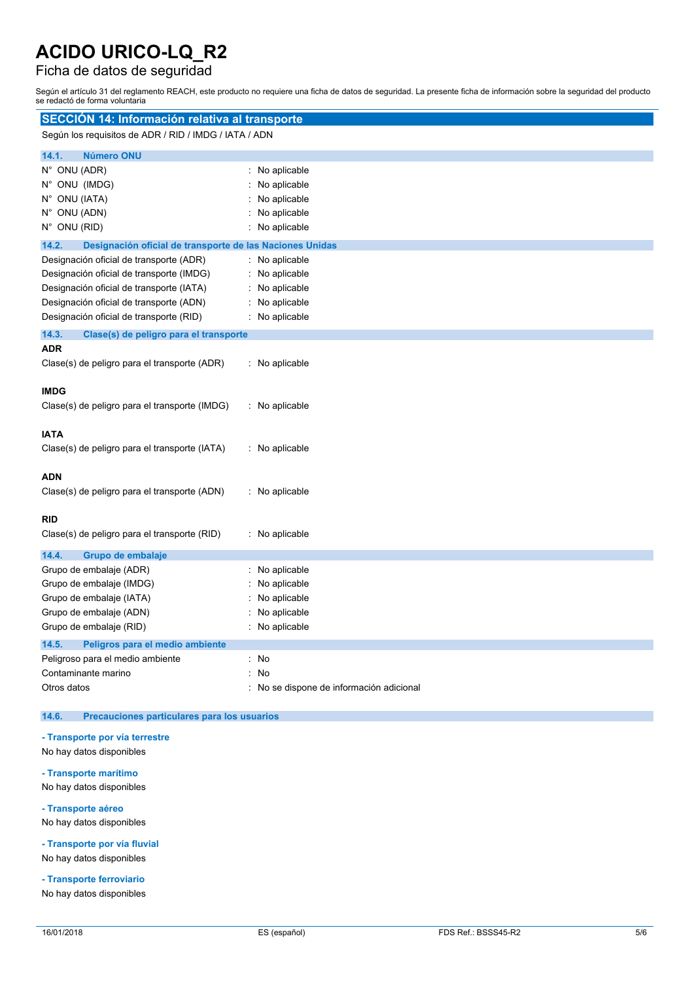### Ficha de datos de seguridad

Según el artículo 31 del reglamento REACH, este producto no requiere una ficha de datos de seguridad. La presente ficha de información sobre la seguridad del producto se redactó de forma voluntaria

| SECCIÓN 14: Información relativa al transporte                                      |                                        |  |
|-------------------------------------------------------------------------------------|----------------------------------------|--|
| Según los requisitos de ADR / RID / IMDG / IATA / ADN                               |                                        |  |
| <b>Número ONU</b><br>14.1.                                                          |                                        |  |
| N° ONU (ADR)                                                                        | No aplicable                           |  |
| N° ONU (IMDG)                                                                       | No aplicable                           |  |
| N° ONU (IATA)                                                                       | No aplicable                           |  |
| N° ONU (ADN)                                                                        | No aplicable                           |  |
| N° ONU (RID)                                                                        | No aplicable                           |  |
| 14.2.<br>Designación oficial de transporte de las Naciones Unidas                   |                                        |  |
| Designación oficial de transporte (ADR)<br>Designación oficial de transporte (IMDG) | No aplicable<br>No aplicable           |  |
| Designación oficial de transporte (IATA)                                            | No aplicable                           |  |
| Designación oficial de transporte (ADN)                                             | No aplicable                           |  |
| Designación oficial de transporte (RID)                                             | No aplicable                           |  |
| 14.3.<br>Clase(s) de peligro para el transporte                                     |                                        |  |
| <b>ADR</b>                                                                          |                                        |  |
| Clase(s) de peligro para el transporte (ADR)                                        | : No aplicable                         |  |
|                                                                                     |                                        |  |
| <b>IMDG</b>                                                                         |                                        |  |
| Clase(s) de peligro para el transporte (IMDG)                                       | $:$ No aplicable                       |  |
| <b>IATA</b>                                                                         |                                        |  |
| Clase(s) de peligro para el transporte (IATA)                                       | : No aplicable                         |  |
|                                                                                     |                                        |  |
| <b>ADN</b>                                                                          |                                        |  |
| Clase(s) de peligro para el transporte (ADN)                                        | : No aplicable                         |  |
|                                                                                     |                                        |  |
| <b>RID</b>                                                                          |                                        |  |
| Clase(s) de peligro para el transporte (RID)                                        | : No aplicable                         |  |
| 14.4.<br>Grupo de embalaje                                                          |                                        |  |
| Grupo de embalaje (ADR)                                                             | No aplicable                           |  |
| Grupo de embalaje (IMDG)                                                            | No aplicable                           |  |
| Grupo de embalaje (IATA)                                                            | No aplicable                           |  |
| Grupo de embalaje (ADN)<br>Grupo de embalaje (RID)                                  | No aplicable<br>No aplicable           |  |
|                                                                                     |                                        |  |
| 14.5.<br>Peligros para el medio ambiente<br>Peligroso para el medio ambiente        | : No                                   |  |
| Contaminante marino                                                                 | No                                     |  |
| Otros datos                                                                         | No se dispone de información adicional |  |
|                                                                                     |                                        |  |

#### **14.6. Precauciones particulares para los usuarios**

#### **- Transporte por vía terrestre**

- No hay datos disponibles
- **- Transporte marítimo**

No hay datos disponibles

**- Transporte aéreo**

No hay datos disponibles

**- Transporte por vía fluvial** No hay datos disponibles

**- Transporte ferroviario**

No hay datos disponibles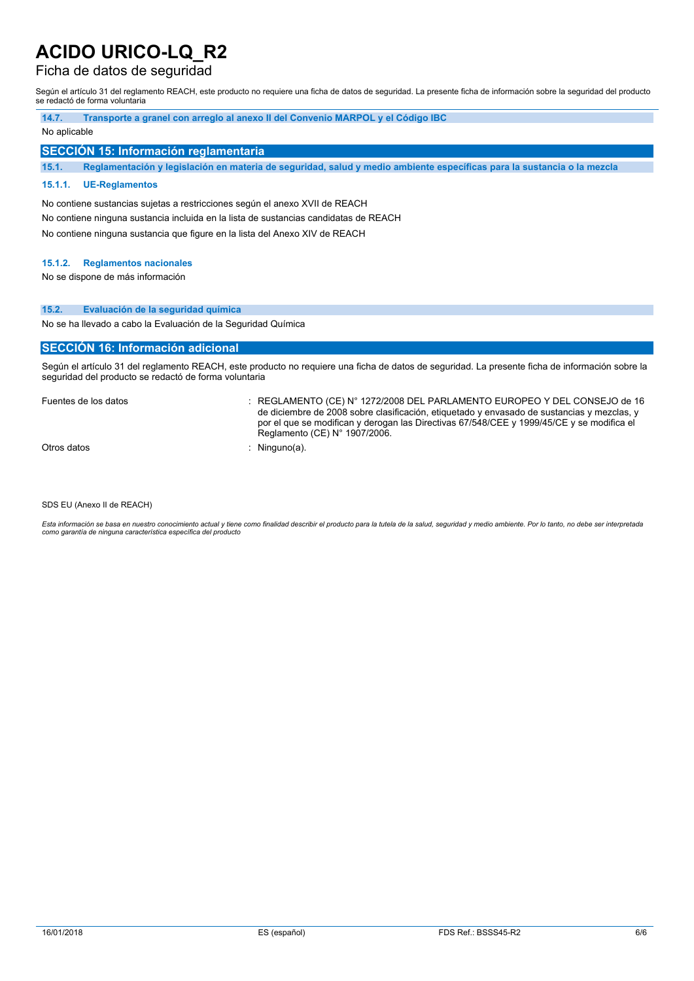### Ficha de datos de seguridad

Según el artículo 31 del reglamento REACH, este producto no requiere una ficha de datos de seguridad. La presente ficha de información sobre la seguridad del producto se redactó de forma voluntaria

| 14.7.        | Transporte a granel con arregio al anexo II del Convenio MARPOL y el Código IBC                                        |
|--------------|------------------------------------------------------------------------------------------------------------------------|
| No aplicable |                                                                                                                        |
|              | SECCIÓN 15: Información reglamentaria                                                                                  |
| 15.1.        | Reglamentación y legislación en materia de seguridad, salud y medio ambiente específicas para la sustancia o la mezcla |
|              |                                                                                                                        |

#### **15.1.1. UE-Reglamentos**

No contiene sustancias sujetas a restricciones según el anexo XVII de REACH No contiene ninguna sustancia incluida en la lista de sustancias candidatas de REACH No contiene ninguna sustancia que figure en la lista del Anexo XIV de REACH

#### **15.1.2. Reglamentos nacionales**

No se dispone de más información

#### **15.2. Evaluación de la seguridad química**

No se ha llevado a cabo la Evaluación de la Seguridad Química

#### **SECCIÓN 16: Información adicional**

Según el artículo 31 del reglamento REACH, este producto no requiere una ficha de datos de seguridad. La presente ficha de información sobre la seguridad del producto se redactó de forma voluntaria

Fuentes de los datos : REGLAMENTO (CE) N° 1272/2008 DEL PARLAMENTO EUROPEO Y DEL CONSEJO de 16 de diciembre de 2008 sobre clasificación, etiquetado y envasado de sustancias y mezclas, y por el que se modifican y derogan las Directivas 67/548/CEE y 1999/45/CE y se modifica el Reglamento (CE) N° 1907/2006.

Otros datos : Ninguno(a).

SDS EU (Anexo II de REACH)

Esta información se basa en nuestro conocimiento actual y tiene como finalidad describir el producto para la tutela de la salud, seguridad y medio ambiente. Por lo tanto, no debe ser interpretada *como garantía de ninguna característica específica del producto*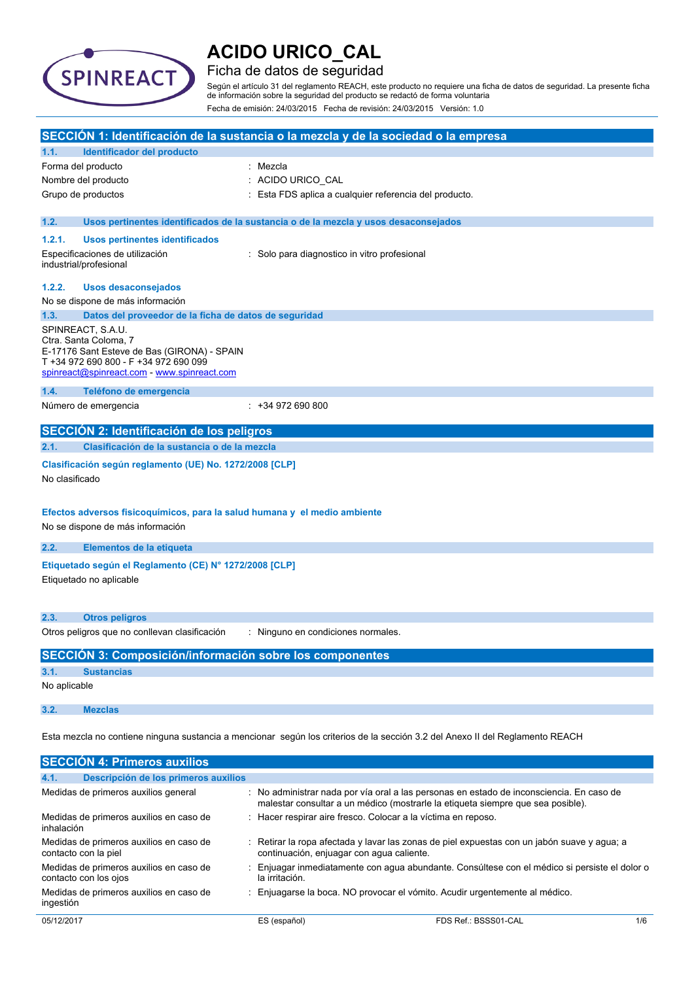

### Ficha de datos de seguridad

Según el artículo 31 del reglamento REACH, este producto no requiere una ficha de datos de seguridad. La presente ficha de información sobre la seguridad del producto se redactó de forma voluntaria Fecha de emisión: 24/03/2015 Fecha de revisión: 24/03/2015 Versión: 1.0

|                |                                                                                                               | SECCIÓN 1: Identificación de la sustancia o la mezcla y de la sociedad o la empresa                                                                                       |
|----------------|---------------------------------------------------------------------------------------------------------------|---------------------------------------------------------------------------------------------------------------------------------------------------------------------------|
| 1.1.           | Identificador del producto                                                                                    |                                                                                                                                                                           |
|                | Forma del producto                                                                                            | Mezcla                                                                                                                                                                    |
|                | Nombre del producto                                                                                           | : ACIDO URICO_CAL                                                                                                                                                         |
|                | Grupo de productos                                                                                            | Esta FDS aplica a cualquier referencia del producto.                                                                                                                      |
| 1.2.           |                                                                                                               | Usos pertinentes identificados de la sustancia o de la mezcla y usos desaconsejados                                                                                       |
| 1.2.1.         | <b>Usos pertinentes identificados</b>                                                                         |                                                                                                                                                                           |
|                | Especificaciones de utilización<br>industrial/profesional                                                     | Solo para diagnostico in vitro profesional                                                                                                                                |
| 1.2.2.         | <b>Usos desaconsejados</b>                                                                                    |                                                                                                                                                                           |
|                | No se dispone de más información                                                                              |                                                                                                                                                                           |
| 1.3.           | Datos del proveedor de la ficha de datos de seguridad                                                         |                                                                                                                                                                           |
|                | SPINREACT, S.A.U.                                                                                             |                                                                                                                                                                           |
|                | Ctra. Santa Coloma, 7<br>E-17176 Sant Esteve de Bas (GIRONA) - SPAIN                                          |                                                                                                                                                                           |
|                | T +34 972 690 800 - F +34 972 690 099                                                                         |                                                                                                                                                                           |
|                | spinreact@spinreact.com - www.spinreact.com                                                                   |                                                                                                                                                                           |
| 1.4.           | Teléfono de emergencia                                                                                        |                                                                                                                                                                           |
|                | Número de emergencia                                                                                          | $: +34972690800$                                                                                                                                                          |
|                | SECCIÓN 2: Identificación de los peligros                                                                     |                                                                                                                                                                           |
| 2.1.           | Clasificación de la sustancia o de la mezcla                                                                  |                                                                                                                                                                           |
| No clasificado | Clasificación según reglamento (UE) No. 1272/2008 [CLP]                                                       |                                                                                                                                                                           |
|                | Efectos adversos fisicoquímicos, para la salud humana y el medio ambiente<br>No se dispone de más información |                                                                                                                                                                           |
| 2.2.           | Elementos de la etiqueta                                                                                      |                                                                                                                                                                           |
|                | Etiquetado según el Reglamento (CE) Nº 1272/2008 [CLP]<br>Etiquetado no aplicable                             |                                                                                                                                                                           |
| 2.3.           | <b>Otros peligros</b>                                                                                         |                                                                                                                                                                           |
|                | Otros peligros que no conllevan clasificación                                                                 | : Ninguno en condiciones normales.                                                                                                                                        |
|                |                                                                                                               |                                                                                                                                                                           |
|                | <b>SECCIÓN 3: Composición/información sobre los componentes</b>                                               |                                                                                                                                                                           |
| 3.1.           | <b>Sustancias</b>                                                                                             |                                                                                                                                                                           |
| No aplicable   |                                                                                                               |                                                                                                                                                                           |
| 3.2.           | <b>Mezclas</b>                                                                                                |                                                                                                                                                                           |
|                |                                                                                                               | Esta mezcla no contiene ninguna sustancia a mencionar según los criterios de la sección 3.2 del Anexo II del Reglamento REACH                                             |
|                | <b>SECCIÓN 4: Primeros auxilios</b>                                                                           |                                                                                                                                                                           |
| 4.1.           | Descripción de los primeros auxilios                                                                          |                                                                                                                                                                           |
|                | Medidas de primeros auxilios general                                                                          | No administrar nada por vía oral a las personas en estado de inconsciencia. En caso de<br>malestar consultar a un médico (mostrarle la etiqueta siempre que sea posible). |
| inhalación     | Medidas de primeros auxilios en caso de                                                                       | : Hacer respirar aire fresco. Colocar a la víctima en reposo.                                                                                                             |
|                | Medidas de primeros auxilios en caso de<br>contacto con la piel                                               | Retirar la ropa afectada y lavar las zonas de piel expuestas con un jabón suave y agua; a<br>continuación, enjuagar con agua caliente.                                    |
|                | Medidas de primeros auxilios en caso de                                                                       | Enjuagar inmediatamente con agua abundante. Consúltese con el médico si persiste el dolor o                                                                               |

contacto con los ojos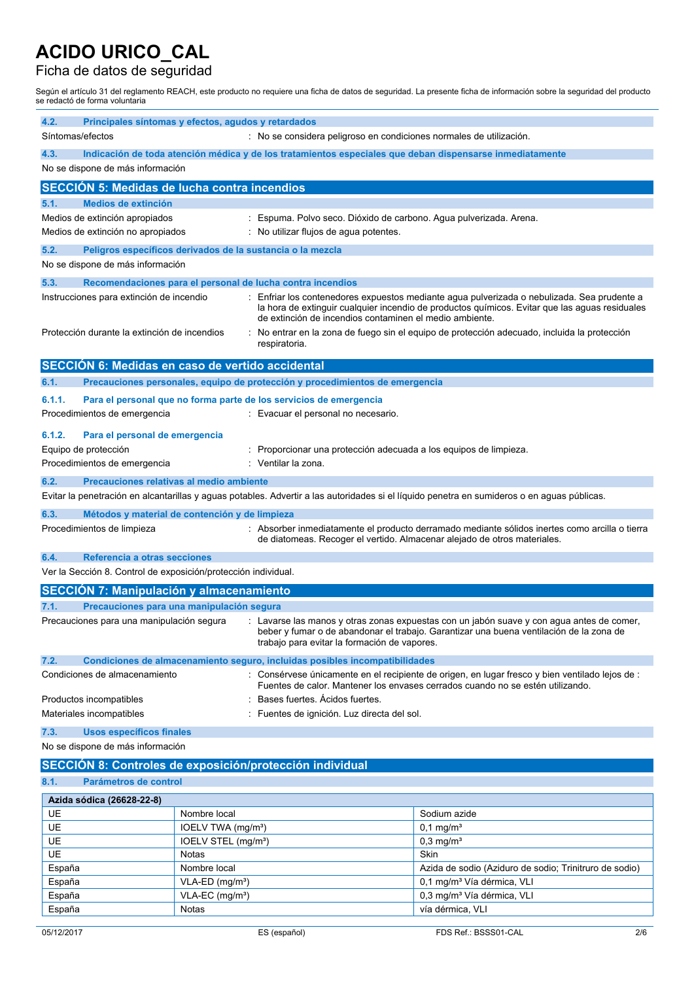### Ficha de datos de seguridad

Según el artículo 31 del reglamento REACH, este producto no requiere una ficha de datos de seguridad. La presente ficha de información sobre la seguridad del producto se redactó de forma voluntaria

| 4.2.   | Principales síntomas y efectos, agudos y retardados<br>Síntomas/efectos<br>: No se considera peligroso en condiciones normales de utilización.                                                                                                                                    |                                 |                                                                              |                                                                                                                                                                                             |
|--------|-----------------------------------------------------------------------------------------------------------------------------------------------------------------------------------------------------------------------------------------------------------------------------------|---------------------------------|------------------------------------------------------------------------------|---------------------------------------------------------------------------------------------------------------------------------------------------------------------------------------------|
| 4.3.   | Indicación de toda atención médica y de los tratamientos especiales que deban dispensarse inmediatamente                                                                                                                                                                          |                                 |                                                                              |                                                                                                                                                                                             |
|        | No se dispone de más información                                                                                                                                                                                                                                                  |                                 |                                                                              |                                                                                                                                                                                             |
|        | <b>SECCION 5: Medidas de lucha contra incendios</b>                                                                                                                                                                                                                               |                                 |                                                                              |                                                                                                                                                                                             |
| 5.1.   | <b>Medios de extinción</b>                                                                                                                                                                                                                                                        |                                 |                                                                              |                                                                                                                                                                                             |
|        | Medios de extinción apropiados                                                                                                                                                                                                                                                    |                                 | : Espuma. Polvo seco. Dióxido de carbono. Agua pulverizada. Arena.           |                                                                                                                                                                                             |
|        | Medios de extinción no apropiados                                                                                                                                                                                                                                                 |                                 | : No utilizar flujos de agua potentes.                                       |                                                                                                                                                                                             |
| 5.2.   | Peligros específicos derivados de la sustancia o la mezcla                                                                                                                                                                                                                        |                                 |                                                                              |                                                                                                                                                                                             |
|        | No se dispone de más información                                                                                                                                                                                                                                                  |                                 |                                                                              |                                                                                                                                                                                             |
| 5.3.   |                                                                                                                                                                                                                                                                                   |                                 | Recomendaciones para el personal de lucha contra incendios                   |                                                                                                                                                                                             |
|        | Instrucciones para extinción de incendio                                                                                                                                                                                                                                          |                                 | de extinción de incendios contaminen el medio ambiente.                      | Enfriar los contenedores expuestos mediante agua pulverizada o nebulizada. Sea prudente a<br>la hora de extinguir cualquier incendio de productos químicos. Evitar que las aguas residuales |
|        | Protección durante la extinción de incendios                                                                                                                                                                                                                                      |                                 | respiratoria.                                                                | No entrar en la zona de fuego sin el equipo de protección adecuado, incluida la protección                                                                                                  |
|        | SECCIÓN 6: Medidas en caso de vertido accidental                                                                                                                                                                                                                                  |                                 |                                                                              |                                                                                                                                                                                             |
| 6.1.   |                                                                                                                                                                                                                                                                                   |                                 | Precauciones personales, equipo de protección y procedimientos de emergencia |                                                                                                                                                                                             |
| 6.1.1. |                                                                                                                                                                                                                                                                                   |                                 | Para el personal que no forma parte de los servicios de emergencia           |                                                                                                                                                                                             |
|        | Procedimientos de emergencia                                                                                                                                                                                                                                                      |                                 | : Evacuar el personal no necesario.                                          |                                                                                                                                                                                             |
| 6.1.2. | Para el personal de emergencia                                                                                                                                                                                                                                                    |                                 |                                                                              |                                                                                                                                                                                             |
|        | Equipo de protección                                                                                                                                                                                                                                                              |                                 | Proporcionar una protección adecuada a los equipos de limpieza.              |                                                                                                                                                                                             |
|        | Procedimientos de emergencia                                                                                                                                                                                                                                                      |                                 | : Ventilar la zona.                                                          |                                                                                                                                                                                             |
| 6.2.   | Precauciones relativas al medio ambiente                                                                                                                                                                                                                                          |                                 |                                                                              |                                                                                                                                                                                             |
|        |                                                                                                                                                                                                                                                                                   |                                 |                                                                              | Evitar la penetración en alcantarillas y aguas potables. Advertir a las autoridades si el líquido penetra en sumideros o en aguas públicas.                                                 |
| 6.3.   |                                                                                                                                                                                                                                                                                   |                                 |                                                                              |                                                                                                                                                                                             |
|        | Métodos y material de contención y de limpieza<br>Procedimientos de limpieza<br>: Absorber inmediatamente el producto derramado mediante sólidos inertes como arcilla o tierra<br>de diatomeas. Recoger el vertido. Almacenar alejado de otros materiales.                        |                                 |                                                                              |                                                                                                                                                                                             |
| 6.4.   | Referencia a otras secciones                                                                                                                                                                                                                                                      |                                 |                                                                              |                                                                                                                                                                                             |
|        | Ver la Sección 8. Control de exposición/protección individual.                                                                                                                                                                                                                    |                                 |                                                                              |                                                                                                                                                                                             |
|        | <b>SECCIÓN 7: Manipulación y almacenamiento</b>                                                                                                                                                                                                                                   |                                 |                                                                              |                                                                                                                                                                                             |
| 7.1.   | Precauciones para una manipulación segura                                                                                                                                                                                                                                         |                                 |                                                                              |                                                                                                                                                                                             |
|        | Precauciones para una manipulación segura<br>: Lavarse las manos y otras zonas expuestas con un jabón suave y con agua antes de comer,<br>beber y fumar o de abandonar el trabajo. Garantizar una buena ventilación de la zona de<br>trabajo para evitar la formación de vapores. |                                 |                                                                              |                                                                                                                                                                                             |
| 7.2.   |                                                                                                                                                                                                                                                                                   |                                 | Condiciones de almacenamiento seguro, incluidas posibles incompatibilidades  |                                                                                                                                                                                             |
|        | Condiciones de almacenamiento                                                                                                                                                                                                                                                     |                                 |                                                                              | : Consérvese únicamente en el recipiente de origen, en lugar fresco y bien ventilado lejos de :<br>Fuentes de calor. Mantener los envases cerrados cuando no se estén utilizando.           |
|        | Productos incompatibles                                                                                                                                                                                                                                                           |                                 | Bases fuertes. Acidos fuertes.                                               |                                                                                                                                                                                             |
|        | Materiales incompatibles                                                                                                                                                                                                                                                          |                                 | Fuentes de ignición. Luz directa del sol.                                    |                                                                                                                                                                                             |
| 7.3.   | Usos específicos finales                                                                                                                                                                                                                                                          |                                 |                                                                              |                                                                                                                                                                                             |
|        | No se dispone de más información                                                                                                                                                                                                                                                  |                                 |                                                                              |                                                                                                                                                                                             |
|        |                                                                                                                                                                                                                                                                                   |                                 | SECCIÓN 8: Controles de exposición/protección individual                     |                                                                                                                                                                                             |
| 8.1.   | Parámetros de control                                                                                                                                                                                                                                                             |                                 |                                                                              |                                                                                                                                                                                             |
|        | Azida sódica (26628-22-8)                                                                                                                                                                                                                                                         |                                 |                                                                              |                                                                                                                                                                                             |
| UE     |                                                                                                                                                                                                                                                                                   | Nombre local                    |                                                                              | Sodium azide                                                                                                                                                                                |
| UE     |                                                                                                                                                                                                                                                                                   | IOELV TWA (mg/m <sup>3</sup> )  |                                                                              | $0,1$ mg/m <sup>3</sup>                                                                                                                                                                     |
| UE     |                                                                                                                                                                                                                                                                                   | IOELV STEL (mg/m <sup>3</sup> ) |                                                                              | $0,3$ mg/m <sup>3</sup>                                                                                                                                                                     |
| UE     |                                                                                                                                                                                                                                                                                   | Notas                           |                                                                              | Skin                                                                                                                                                                                        |
| España |                                                                                                                                                                                                                                                                                   | Nombre local                    |                                                                              | Azida de sodio (Aziduro de sodio; Trinitruro de sodio)                                                                                                                                      |
| España |                                                                                                                                                                                                                                                                                   | VLA-ED (mg/m <sup>3</sup> )     |                                                                              | 0,1 mg/m <sup>3</sup> Vía dérmica, VLI                                                                                                                                                      |
| España |                                                                                                                                                                                                                                                                                   | VLA-EC (mg/m <sup>3</sup> )     |                                                                              | 0,3 mg/m <sup>3</sup> Vía dérmica, VLI                                                                                                                                                      |
| España |                                                                                                                                                                                                                                                                                   | Notas                           |                                                                              | vía dérmica, VLI                                                                                                                                                                            |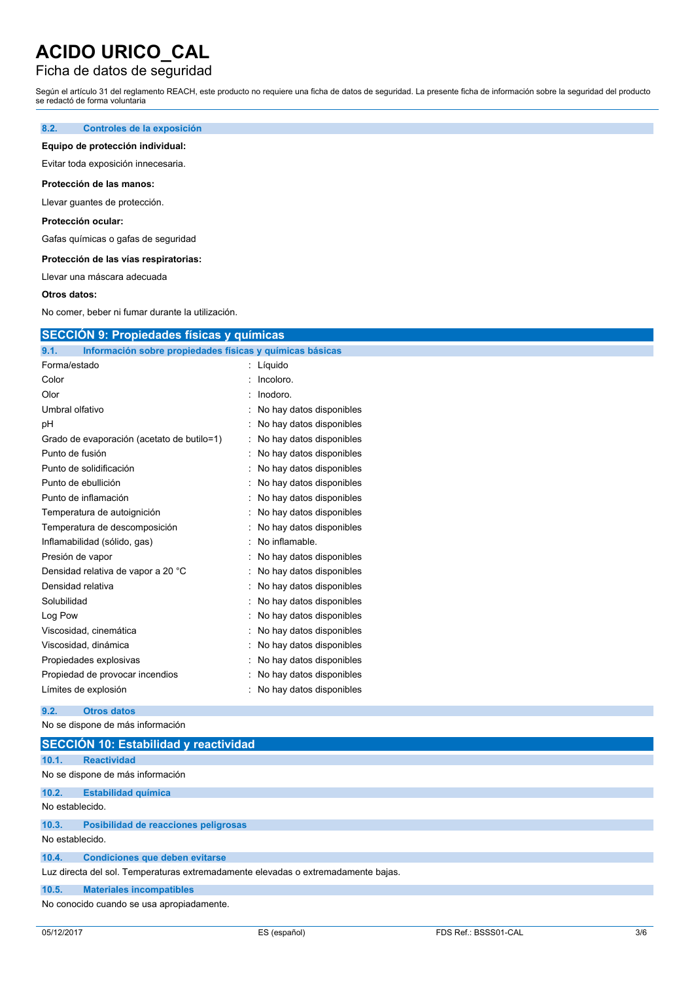### Ficha de datos de seguridad

Según el artículo 31 del reglamento REACH, este producto no requiere una ficha de datos de seguridad. La presente ficha de información sobre la seguridad del producto se redactó de forma voluntaria

#### **8.2. Controles de la exposición**

#### **Equipo de protección individual:**

Evitar toda exposición innecesaria.

#### **Protección de las manos:**

Llevar guantes de protección.

#### **Protección ocular:**

Gafas químicas o gafas de seguridad

#### **Protección de las vías respiratorias:**

Llevar una máscara adecuada

#### **Otros datos:**

No comer, beber ni fumar durante la utilización.

### **SECCIÓN 9: Propiedades físicas y químicas**

| 9.1.              | Información sobre propiedades físicas y químicas básicas |                          |
|-------------------|----------------------------------------------------------|--------------------------|
| Forma/estado      |                                                          | Líquido                  |
| Color             |                                                          | Incoloro.                |
| Olor              |                                                          | Inodoro.                 |
| Umbral olfativo   |                                                          | No hay datos disponibles |
| рH                |                                                          | No hay datos disponibles |
|                   | Grado de evaporación (acetato de butilo=1)               | No hay datos disponibles |
| Punto de fusión   |                                                          | No hay datos disponibles |
|                   | Punto de solidificación                                  | No hay datos disponibles |
|                   | Punto de ebullición                                      | No hay datos disponibles |
|                   | Punto de inflamación                                     | No hay datos disponibles |
|                   | Temperatura de autoignición                              | No hay datos disponibles |
|                   | Temperatura de descomposición                            | No hay datos disponibles |
|                   | Inflamabilidad (sólido, gas)                             | No inflamable.           |
| Presión de vapor  |                                                          | No hay datos disponibles |
|                   | Densidad relativa de vapor a 20 °C                       | No hay datos disponibles |
| Densidad relativa |                                                          | No hay datos disponibles |
| Solubilidad       |                                                          | No hay datos disponibles |
| Log Pow           |                                                          | No hay datos disponibles |
|                   | Viscosidad, cinemática                                   | No hay datos disponibles |
|                   | Viscosidad, dinámica                                     | No hay datos disponibles |
|                   | Propiedades explosivas                                   | No hay datos disponibles |
|                   | Propiedad de provocar incendios                          | No hay datos disponibles |
|                   | Límites de explosión                                     | No hay datos disponibles |

#### **9.2. Otros datos**

No se dispone de más información

| SECCIÓN 10: Estabilidad y reactividad |                                                                                   |  |
|---------------------------------------|-----------------------------------------------------------------------------------|--|
| 10.1.                                 | <b>Reactividad</b>                                                                |  |
| No se dispone de más información      |                                                                                   |  |
| 10.2.                                 | <b>Estabilidad química</b>                                                        |  |
| No establecido.                       |                                                                                   |  |
| 10.3.                                 | Posibilidad de reacciones peligrosas                                              |  |
| No establecido.                       |                                                                                   |  |
| 10.4.                                 | <b>Condiciones que deben evitarse</b>                                             |  |
|                                       | Luz directa del sol. Temperaturas extremadamente elevadas o extremadamente bajas. |  |
| 10.5.                                 | <b>Materiales incompatibles</b>                                                   |  |
|                                       | No conocido cuando se usa apropiadamente.                                         |  |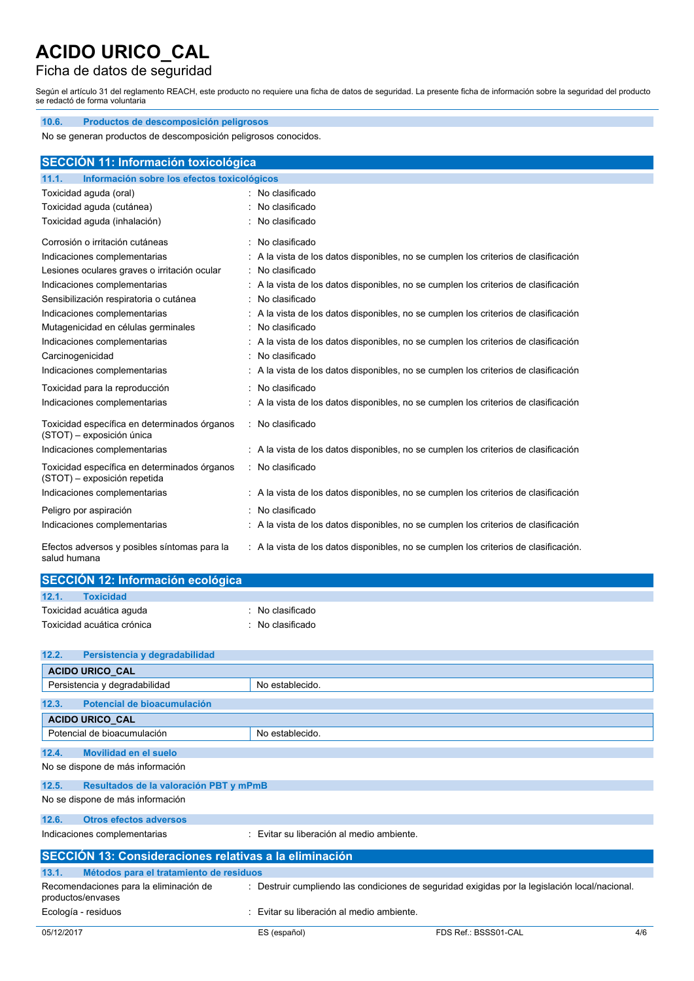### Ficha de datos de seguridad

Según el artículo 31 del reglamento REACH, este producto no requiere una ficha de datos de seguridad. La presente ficha de información sobre la seguridad del producto se redactó de forma voluntaria

| Productos de descomposición peligrosos<br>10.6.                              |                                                                                      |
|------------------------------------------------------------------------------|--------------------------------------------------------------------------------------|
| No se generan productos de descomposición peligrosos conocidos.              |                                                                                      |
| <b>SECCIÓN 11: Información toxicológica</b>                                  |                                                                                      |
| Información sobre los efectos toxicológicos<br>11.1.                         |                                                                                      |
| Toxicidad aguda (oral)                                                       | No clasificado                                                                       |
| Toxicidad aguda (cutánea)                                                    | No clasificado                                                                       |
| Toxicidad aguda (inhalación)                                                 | No clasificado                                                                       |
| Corrosión o irritación cutáneas                                              | : No clasificado                                                                     |
| Indicaciones complementarias                                                 | : A la vista de los datos disponibles, no se cumplen los criterios de clasificación  |
| Lesiones oculares graves o irritación ocular                                 | : No clasificado                                                                     |
| Indicaciones complementarias                                                 | A la vista de los datos disponibles, no se cumplen los criterios de clasificación    |
| Sensibilización respiratoria o cutánea                                       | No clasificado                                                                       |
| Indicaciones complementarias                                                 | : A la vista de los datos disponibles, no se cumplen los criterios de clasificación  |
| Mutagenicidad en células germinales                                          | No clasificado<br>÷                                                                  |
| Indicaciones complementarias                                                 | : A la vista de los datos disponibles, no se cumplen los criterios de clasificación  |
| Carcinogenicidad                                                             | : No clasificado                                                                     |
| Indicaciones complementarias                                                 | : A la vista de los datos disponibles, no se cumplen los criterios de clasificación  |
| Toxicidad para la reproducción                                               | No clasificado                                                                       |
| Indicaciones complementarias                                                 | : A la vista de los datos disponibles, no se cumplen los criterios de clasificación  |
| Toxicidad específica en determinados órganos<br>(STOT) - exposición única    | : No clasificado                                                                     |
| Indicaciones complementarias                                                 | : A la vista de los datos disponibles, no se cumplen los criterios de clasificación  |
| Toxicidad específica en determinados órganos<br>(STOT) - exposición repetida | : No clasificado                                                                     |
| Indicaciones complementarias                                                 | : A la vista de los datos disponibles, no se cumplen los criterios de clasificación  |
| Peligro por aspiración                                                       | No clasificado                                                                       |
| Indicaciones complementarias                                                 | : A la vista de los datos disponibles, no se cumplen los criterios de clasificación  |
| Efectos adversos y posibles síntomas para la<br>salud humana                 | : A la vista de los datos disponibles, no se cumplen los criterios de clasificación. |

| SECCIÓN 12: Información ecológica |                  |  |
|-----------------------------------|------------------|--|
| 12.1.<br><b>Toxicidad</b>         |                  |  |
| Toxicidad acuática aguda          | No clasificado   |  |
| Toxicidad acuática crónica        | : No clasificado |  |

| 12.2.      | Persistencia y degradabilidad                               |                                           |                                                                                                |     |
|------------|-------------------------------------------------------------|-------------------------------------------|------------------------------------------------------------------------------------------------|-----|
|            |                                                             |                                           |                                                                                                |     |
|            | <b>ACIDO URICO CAL</b>                                      |                                           |                                                                                                |     |
|            | Persistencia y degradabilidad                               | No establecido.                           |                                                                                                |     |
|            |                                                             |                                           |                                                                                                |     |
| 12.3.      | Potencial de bioacumulación                                 |                                           |                                                                                                |     |
|            | <b>ACIDO URICO CAL</b>                                      |                                           |                                                                                                |     |
|            | Potencial de bioacumulación                                 | No establecido.                           |                                                                                                |     |
| 12.4.      | Movilidad en el suelo                                       |                                           |                                                                                                |     |
|            | No se dispone de más información                            |                                           |                                                                                                |     |
|            |                                                             |                                           |                                                                                                |     |
| 12.5.      | Resultados de la valoración PBT y mPmB                      |                                           |                                                                                                |     |
|            | No se dispone de más información                            |                                           |                                                                                                |     |
| 12.6.      | <b>Otros efectos adversos</b>                               |                                           |                                                                                                |     |
|            | Indicaciones complementarias                                | : Evitar su liberación al medio ambiente. |                                                                                                |     |
|            | SECCIÓN 13: Consideraciones relativas a la eliminación      |                                           |                                                                                                |     |
| 13.1.      | Métodos para el tratamiento de residuos                     |                                           |                                                                                                |     |
|            | Recomendaciones para la eliminación de<br>productos/envases |                                           | : Destruir cumpliendo las condiciones de seguridad exigidas por la legislación local/nacional. |     |
|            | Ecología - residuos                                         | Evitar su liberación al medio ambiente.   |                                                                                                |     |
| 05/12/2017 |                                                             | ES (español)                              | FDS Ref.: BSSS01-CAL                                                                           | 4/6 |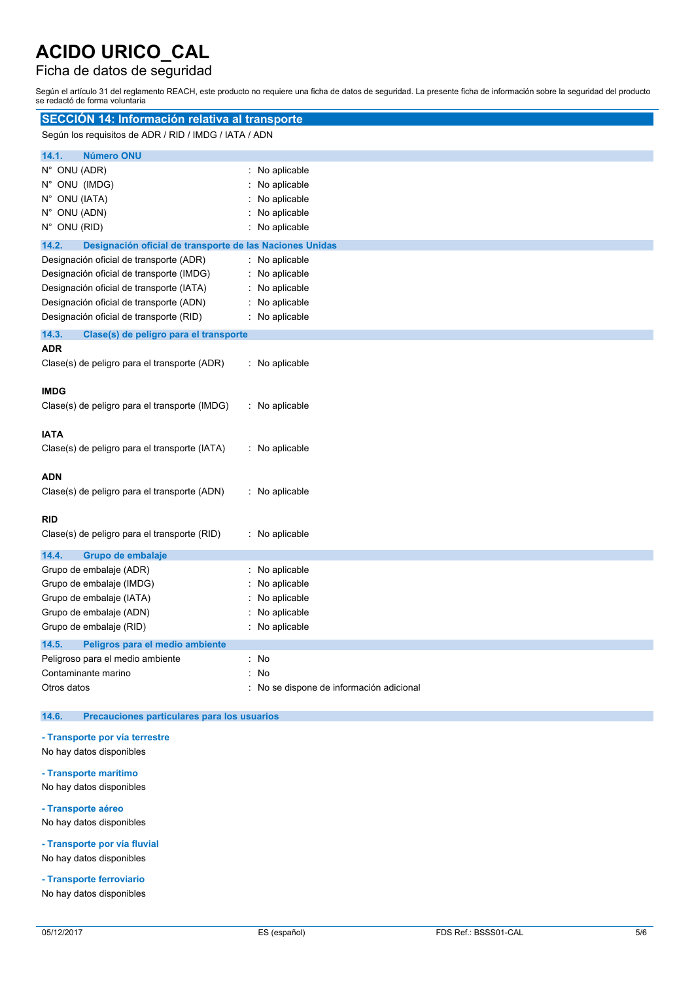### Ficha de datos de seguridad

Según el artículo 31 del reglamento REACH, este producto no requiere una ficha de datos de seguridad. La presente ficha de información sobre la seguridad del producto se redactó de forma voluntaria

| SECCIÓN 14: Información relativa al transporte                                                                                                                                                                        |                                                                                |  |
|-----------------------------------------------------------------------------------------------------------------------------------------------------------------------------------------------------------------------|--------------------------------------------------------------------------------|--|
| Según los requisitos de ADR / RID / IMDG / IATA / ADN                                                                                                                                                                 |                                                                                |  |
| 14.1.<br><b>Número ONU</b>                                                                                                                                                                                            |                                                                                |  |
| N° ONU (ADR)<br>N° ONU (IMDG)<br>N° ONU (IATA)<br>N° ONU (ADN)<br>N° ONU (RID)                                                                                                                                        | : No aplicable<br>No aplicable<br>No aplicable<br>No aplicable<br>No aplicable |  |
| 14.2.<br>Designación oficial de transporte de las Naciones Unidas                                                                                                                                                     |                                                                                |  |
| Designación oficial de transporte (ADR)<br>Designación oficial de transporte (IMDG)<br>Designación oficial de transporte (IATA)<br>Designación oficial de transporte (ADN)<br>Designación oficial de transporte (RID) | No aplicable<br>No aplicable<br>No aplicable<br>No aplicable<br>No aplicable   |  |
| 14.3.<br>Clase(s) de peligro para el transporte                                                                                                                                                                       |                                                                                |  |
| <b>ADR</b><br>Clase(s) de peligro para el transporte (ADR)                                                                                                                                                            | No aplicable                                                                   |  |
| <b>IMDG</b><br>Clase(s) de peligro para el transporte (IMDG)                                                                                                                                                          | : No aplicable                                                                 |  |
| <b>IATA</b><br>Clase(s) de peligro para el transporte (IATA)                                                                                                                                                          | : No aplicable                                                                 |  |
| <b>ADN</b><br>Clase(s) de peligro para el transporte (ADN)                                                                                                                                                            | : No aplicable                                                                 |  |
| <b>RID</b><br>Clase(s) de peligro para el transporte (RID)                                                                                                                                                            | : No aplicable                                                                 |  |
| 14.4.<br>Grupo de embalaje<br>Grupo de embalaje (ADR)<br>Grupo de embalaje (IMDG)<br>Grupo de embalaje (IATA)<br>Grupo de embalaje (ADN)<br>Grupo de embalaje (RID)<br>14.5.<br>Peligros para el medio ambiente       | No aplicable<br>No aplicable<br>No aplicable<br>No aplicable<br>No aplicable   |  |
| Peligroso para el medio ambiente<br>Contaminante marino<br>Otros datos                                                                                                                                                | : No<br>No<br>No se dispone de información adicional                           |  |

#### **14.6. Precauciones particulares para los usuarios**

#### **- Transporte por vía terrestre**

- No hay datos disponibles
- **- Transporte marítimo**

No hay datos disponibles

**- Transporte aéreo**

No hay datos disponibles

**- Transporte por vía fluvial** No hay datos disponibles

**- Transporte ferroviario**

No hay datos disponibles